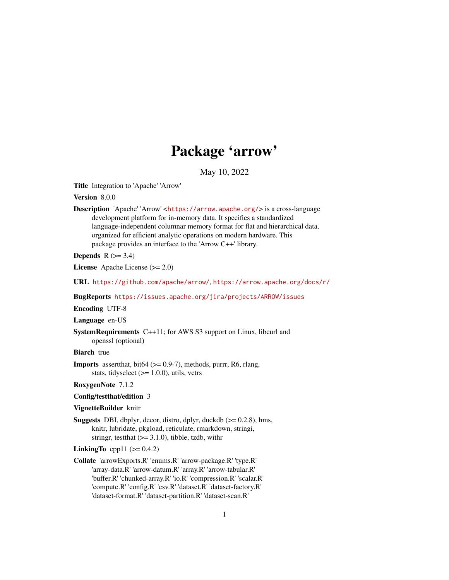# Package 'arrow'

May 10, 2022

<span id="page-0-0"></span>Title Integration to 'Apache' 'Arrow'

Version 8.0.0

Description 'Apache' 'Arrow' <<https://arrow.apache.org/>> is a cross-language development platform for in-memory data. It specifies a standardized language-independent columnar memory format for flat and hierarchical data, organized for efficient analytic operations on modern hardware. This package provides an interface to the 'Arrow C++' library.

Depends  $R$  ( $>= 3.4$ )

License Apache License (>= 2.0)

URL <https://github.com/apache/arrow/>, <https://arrow.apache.org/docs/r/>

BugReports <https://issues.apache.org/jira/projects/ARROW/issues>

Encoding UTF-8

Language en-US

SystemRequirements C++11; for AWS S3 support on Linux, libcurl and openssl (optional)

**Biarch** true

**Imports** assert that, bit 64 ( $> = 0.9$ -7), methods, purrr, R6, rlang, stats, tidyselect  $(>= 1.0.0)$ , utils, vctrs

RoxygenNote 7.1.2

Config/testthat/edition 3

#### VignetteBuilder knitr

**Suggests** DBI, dbplyr, decor, distro, dplyr, duckdb  $(>= 0.2.8)$ , hms, knitr, lubridate, pkgload, reticulate, rmarkdown, stringi, stringr, test that  $(>= 3.1.0)$ , tibble, tzdb, with r

# LinkingTo cpp11  $(>= 0.4.2)$

Collate 'arrowExports.R' 'enums.R' 'arrow-package.R' 'type.R' 'array-data.R' 'arrow-datum.R' 'array.R' 'arrow-tabular.R' 'buffer.R' 'chunked-array.R' 'io.R' 'compression.R' 'scalar.R' 'compute.R' 'config.R' 'csv.R' 'dataset.R' 'dataset-factory.R' 'dataset-format.R' 'dataset-partition.R' 'dataset-scan.R'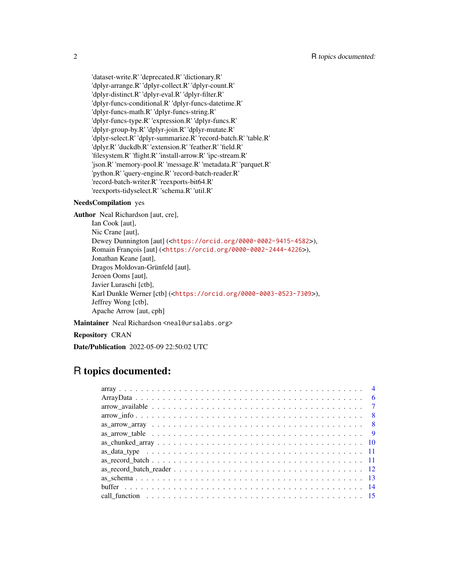'dataset-write.R' 'deprecated.R' 'dictionary.R' 'dplyr-arrange.R' 'dplyr-collect.R' 'dplyr-count.R' 'dplyr-distinct.R' 'dplyr-eval.R' 'dplyr-filter.R' 'dplyr-funcs-conditional.R' 'dplyr-funcs-datetime.R' 'dplyr-funcs-math.R' 'dplyr-funcs-string.R' 'dplyr-funcs-type.R' 'expression.R' 'dplyr-funcs.R' 'dplyr-group-by.R' 'dplyr-join.R' 'dplyr-mutate.R' 'dplyr-select.R' 'dplyr-summarize.R' 'record-batch.R' 'table.R' 'dplyr.R' 'duckdb.R' 'extension.R' 'feather.R' 'field.R' 'filesystem.R' 'flight.R' 'install-arrow.R' 'ipc-stream.R' 'json.R' 'memory-pool.R' 'message.R' 'metadata.R' 'parquet.R' 'python.R' 'query-engine.R' 'record-batch-reader.R' 'record-batch-writer.R' 'reexports-bit64.R' 'reexports-tidyselect.R' 'schema.R' 'util.R'

#### NeedsCompilation yes

Author Neal Richardson [aut, cre],

Ian Cook [aut], Nic Crane [aut], Dewey Dunnington [aut] (<<https://orcid.org/0000-0002-9415-4582>>), Romain François [aut] (<<https://orcid.org/0000-0002-2444-4226>>), Jonathan Keane [aut], Dragos, Moldovan-Grünfeld [aut], Jeroen Ooms [aut], Javier Luraschi [ctb], Karl Dunkle Werner [ctb] (<<https://orcid.org/0000-0003-0523-7309>>), Jeffrey Wong [ctb], Apache Arrow [aut, cph]

Maintainer Neal Richardson <neal@ursalabs.org>

Repository CRAN

Date/Publication 2022-05-09 22:50:02 UTC

# R topics documented: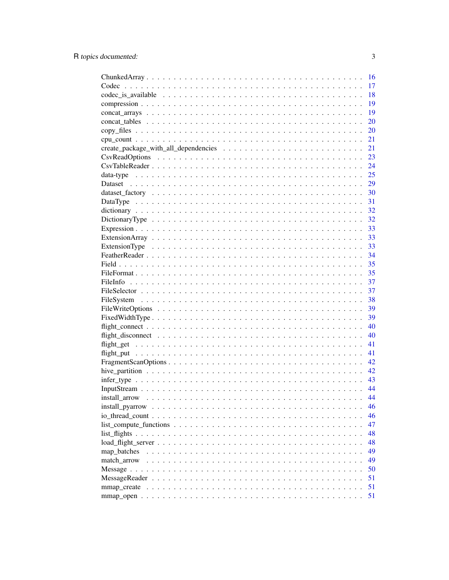|                                                                                                         | 16 |
|---------------------------------------------------------------------------------------------------------|----|
|                                                                                                         | 17 |
|                                                                                                         | 18 |
|                                                                                                         | 19 |
|                                                                                                         | 19 |
|                                                                                                         | 20 |
|                                                                                                         | 20 |
|                                                                                                         | 21 |
|                                                                                                         | 21 |
|                                                                                                         | 23 |
|                                                                                                         | 24 |
|                                                                                                         | 25 |
|                                                                                                         | 29 |
|                                                                                                         | 30 |
|                                                                                                         | 31 |
|                                                                                                         | 32 |
|                                                                                                         | 32 |
|                                                                                                         | 33 |
|                                                                                                         | 33 |
|                                                                                                         | 33 |
|                                                                                                         | 34 |
|                                                                                                         | 35 |
|                                                                                                         | 35 |
|                                                                                                         | 37 |
|                                                                                                         | 37 |
|                                                                                                         | 38 |
|                                                                                                         |    |
|                                                                                                         | 39 |
|                                                                                                         | 39 |
|                                                                                                         | 40 |
|                                                                                                         | 40 |
|                                                                                                         | 41 |
|                                                                                                         | 41 |
|                                                                                                         | 42 |
|                                                                                                         | 42 |
| $infer\_type \dots \dots \dots \dots \dots \dots \dots \dots \dots \dots \dots \dots \dots \dots \dots$ | 43 |
|                                                                                                         | 44 |
|                                                                                                         | 44 |
|                                                                                                         | 46 |
|                                                                                                         | 46 |
|                                                                                                         | 47 |
|                                                                                                         | 48 |
|                                                                                                         | 48 |
| map_batches                                                                                             | 49 |
| match arrow                                                                                             | 49 |
|                                                                                                         | 50 |
|                                                                                                         | 51 |
|                                                                                                         | 51 |
|                                                                                                         | 51 |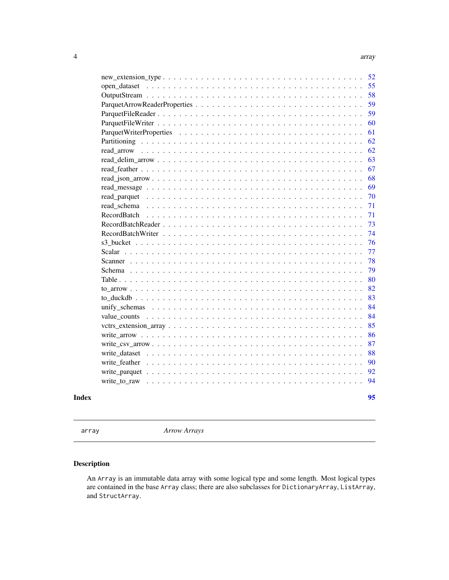<span id="page-3-0"></span>

| read arrow<br>read schema<br>RecordBatch<br>s3 bucket $\ldots$<br>Scalar<br>$\mathbf{1}$ $\mathbf{1}$ $\mathbf{1}$ $\mathbf{1}$ $\mathbf{1}$<br>Scanner<br>Schema $\ldots$ .<br>Table $\ldots$ $\ldots$<br>unify schemas |
|--------------------------------------------------------------------------------------------------------------------------------------------------------------------------------------------------------------------------|
|                                                                                                                                                                                                                          |
|                                                                                                                                                                                                                          |
|                                                                                                                                                                                                                          |
|                                                                                                                                                                                                                          |
|                                                                                                                                                                                                                          |
|                                                                                                                                                                                                                          |
|                                                                                                                                                                                                                          |
|                                                                                                                                                                                                                          |
|                                                                                                                                                                                                                          |
|                                                                                                                                                                                                                          |
|                                                                                                                                                                                                                          |
|                                                                                                                                                                                                                          |
|                                                                                                                                                                                                                          |
|                                                                                                                                                                                                                          |
|                                                                                                                                                                                                                          |
|                                                                                                                                                                                                                          |
|                                                                                                                                                                                                                          |
|                                                                                                                                                                                                                          |
|                                                                                                                                                                                                                          |
|                                                                                                                                                                                                                          |
|                                                                                                                                                                                                                          |
|                                                                                                                                                                                                                          |
|                                                                                                                                                                                                                          |
|                                                                                                                                                                                                                          |
|                                                                                                                                                                                                                          |
|                                                                                                                                                                                                                          |
|                                                                                                                                                                                                                          |
|                                                                                                                                                                                                                          |
|                                                                                                                                                                                                                          |
|                                                                                                                                                                                                                          |
|                                                                                                                                                                                                                          |
|                                                                                                                                                                                                                          |

array *Arrow Arrays*

# <span id="page-3-1"></span>Description

An Array is an immutable data array with some logical type and some length. Most logical types are contained in the base Array class; there are also subclasses for DictionaryArray, ListArray, and StructArray.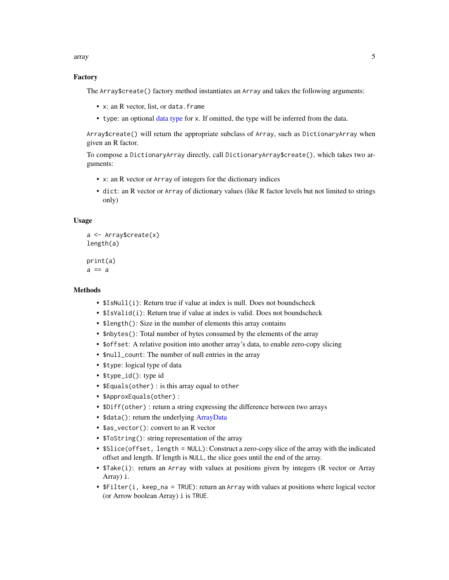array 5

# Factory

The Array\$create() factory method instantiates an Array and takes the following arguments:

- x: an R vector, list, or data.frame
- type: an optional [data type](#page-24-1) for x. If omitted, the type will be inferred from the data.

Array\$create() will return the appropriate subclass of Array, such as DictionaryArray when given an R factor.

To compose a DictionaryArray directly, call DictionaryArray\$create(), which takes two arguments:

- x: an R vector or Array of integers for the dictionary indices
- dict: an R vector or Array of dictionary values (like R factor levels but not limited to strings only)

# Usage

```
a <- Array$create(x)
length(a)
```
print(a)  $a == a$ 

# Methods

- \$IsNull(i): Return true if value at index is null. Does not boundscheck
- \$IsValid(i): Return true if value at index is valid. Does not boundscheck
- \$1ength(): Size in the number of elements this array contains
- \$nbytes(): Total number of bytes consumed by the elements of the array
- \$offset: A relative position into another array's data, to enable zero-copy slicing
- \$null\_count: The number of null entries in the array
- \$type: logical type of data
- \$type\_id(): type id
- \$Equals(other) : is this array equal to other
- \$ApproxEquals(other) :
- \$Diff(other) : return a string expressing the difference between two arrays
- \$data(): return the underlying [ArrayData](#page-5-1)
- \$as\_vector(): convert to an R vector
- \$ToString(): string representation of the array
- \$Slice(offset, length = NULL): Construct a zero-copy slice of the array with the indicated offset and length. If length is NULL, the slice goes until the end of the array.
- \$Take(i): return an Array with values at positions given by integers (R vector or Array Array) i.
- \$Filter(i, keep\_na = TRUE): return an Array with values at positions where logical vector (or Arrow boolean Array) i is TRUE.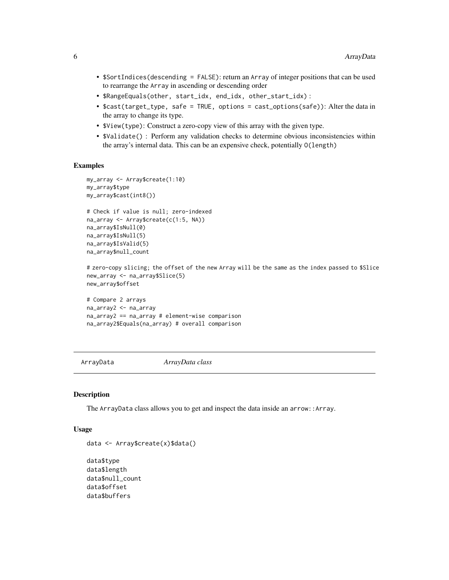- <span id="page-5-0"></span>• \$SortIndices(descending = FALSE): return an Array of integer positions that can be used to rearrange the Array in ascending or descending order
- \$RangeEquals(other, start\_idx, end\_idx, other\_start\_idx) :
- \$cast(target\_type, safe = TRUE, options = cast\_options(safe)): Alter the data in the array to change its type.
- \$View(type): Construct a zero-copy view of this array with the given type.
- \$Validate() : Perform any validation checks to determine obvious inconsistencies within the array's internal data. This can be an expensive check, potentially O(length)

#### Examples

```
my_array <- Array$create(1:10)
my_array$type
my_array$cast(int8())
# Check if value is null; zero-indexed
na_array <- Array$create(c(1:5, NA))
na_array$IsNull(0)
na_array$IsNull(5)
na_array$IsValid(5)
na_array$null_count
# zero-copy slicing; the offset of the new Array will be the same as the index passed to $Slice
new_array <- na_array$Slice(5)
new_array$offset
# Compare 2 arrays
na_array2 <- na_array
na_array2 == na_array # element-wise comparison
na_array2$Equals(na_array) # overall comparison
```
<span id="page-5-1"></span>ArrayData *ArrayData class*

# Description

The ArrayData class allows you to get and inspect the data inside an arrow::Array.

#### Usage

```
data <- Array$create(x)$data()
```

```
data$type
data$length
data$null_count
data$offset
data$buffers
```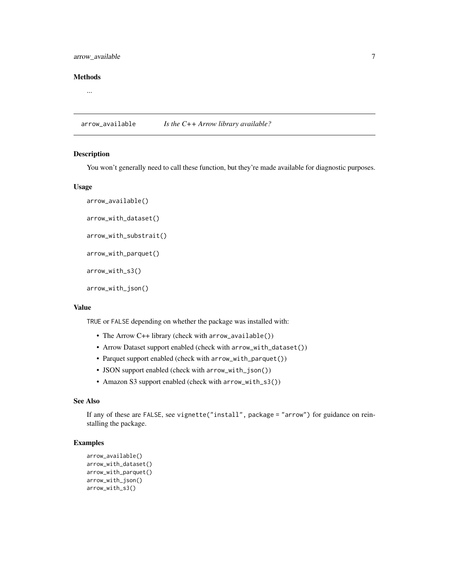# <span id="page-6-0"></span>arrow\_available 7

## Methods

...

arrow\_available *Is the C++ Arrow library available?*

#### Description

You won't generally need to call these function, but they're made available for diagnostic purposes.

#### Usage

```
arrow_available()
arrow_with_dataset()
arrow_with_substrait()
arrow_with_parquet()
arrow_with_s3()
```
arrow\_with\_json()

#### Value

TRUE or FALSE depending on whether the package was installed with:

- The Arrow C++ library (check with arrow\_available())
- Arrow Dataset support enabled (check with arrow\_with\_dataset())
- Parquet support enabled (check with arrow\_with\_parquet())
- JSON support enabled (check with arrow\_with\_json())
- Amazon S3 support enabled (check with arrow\_with\_s3())

# See Also

```
If any of these are FALSE, see vignette("install", package = "arrow") for guidance on rein-
stalling the package.
```
# Examples

```
arrow_available()
arrow_with_dataset()
arrow_with_parquet()
arrow_with_json()
arrow_with_s3()
```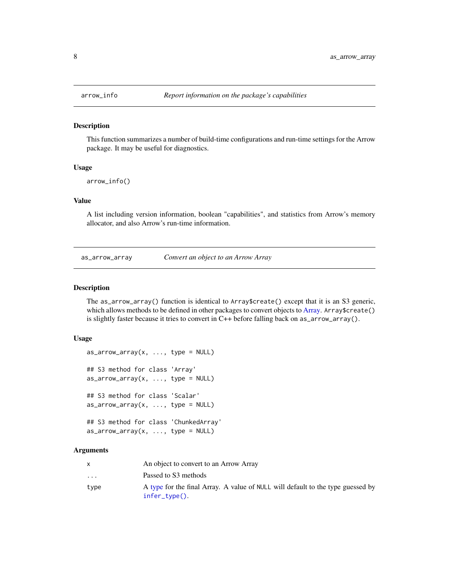This function summarizes a number of build-time configurations and run-time settings for the Arrow package. It may be useful for diagnostics.

#### Usage

```
arrow_info()
```
# Value

A list including version information, boolean "capabilities", and statistics from Arrow's memory allocator, and also Arrow's run-time information.

as\_arrow\_array *Convert an object to an Arrow Array*

#### Description

The as\_arrow\_array() function is identical to Array\$create() except that it is an S3 generic, which allows methods to be defined in other packages to convert objects to [Array.](#page-3-1) Array\$create() is slightly faster because it tries to convert in C++ before falling back on as\_arrow\_array().

#### Usage

```
as_2arrow_array(x, \ldots, \text{type} = \text{NULL})## S3 method for class 'Array'
as_1arrow_array(x, \ldots, \text{type} = \text{NULL})## S3 method for class 'Scalar'
as_1arrow_array(x, \ldots, type = NULL)## S3 method for class 'ChunkedArray'
as_1arrow_array(x, \ldots, type = NULL)
```
# Arguments

|                         | An object to convert to an Arrow Array                                                               |
|-------------------------|------------------------------------------------------------------------------------------------------|
| $\cdot$ $\cdot$ $\cdot$ | Passed to S3 methods                                                                                 |
| tvpe                    | A type for the final Array. A value of NULL will default to the type guessed by<br>$infer\_type()$ . |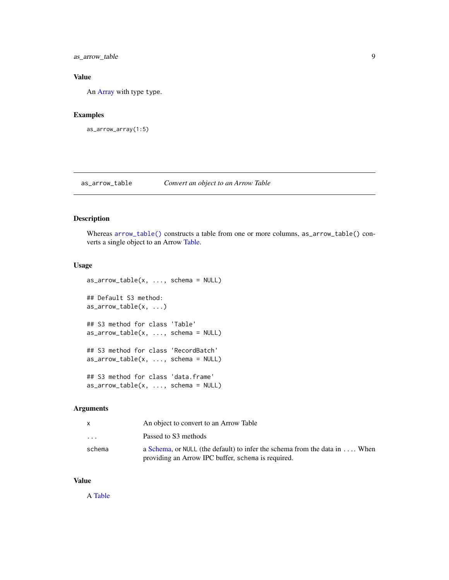<span id="page-8-0"></span>as\_arrow\_table 9

# Value

An [Array](#page-3-1) with type type.

# Examples

```
as_arrow_array(1:5)
```
as\_arrow\_table *Convert an object to an Arrow Table*

# Description

Whereas [arrow\\_table\(\)](#page-79-1) constructs a table from one or more columns, as\_arrow\_table() converts a single object to an Arrow [Table.](#page-79-2)

# Usage

```
as_1arrow_table(x, ..., schema = NULL)
## Default S3 method:
as_1arrow_table(x, \ldots)## S3 method for class 'Table'
as_1arrow_table(x, ..., schema = NULL)
## S3 method for class 'RecordBatch'
as_1arrow_table(x, ..., schema = NULL)
## S3 method for class 'data.frame'
as_arrow\_table(x, ..., schema = NULL)
```
# Arguments

|                         | An object to convert to an Arrow Table                                              |
|-------------------------|-------------------------------------------------------------------------------------|
| $\cdot$ $\cdot$ $\cdot$ | Passed to S3 methods                                                                |
| schema                  | a Schema, or NULL (the default) to infer the schema from the data in $\dots$ . When |
|                         | providing an Arrow IPC buffer, schema is required.                                  |

# Value

A [Table](#page-79-2)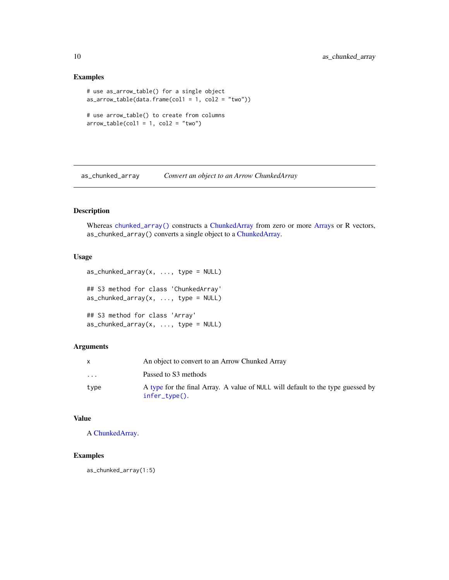#### Examples

```
# use as_arrow_table() for a single object
as_arrow\_table(data frame(col1 = 1, col2 = "two"))# use arrow_table() to create from columns
arrow\_table(col1 = 1, col2 = "two")
```
as\_chunked\_array *Convert an object to an Arrow ChunkedArray*

# Description

Whereas [chunked\\_array\(\)](#page-15-1) constructs a [ChunkedArray](#page-15-2) from zero or more [Arrays](#page-3-1) or R vectors, as\_chunked\_array() converts a single object to a [ChunkedArray.](#page-15-2)

# Usage

 $as\_chunked\_array(x, ..., type = NULL)$ ## S3 method for class 'ChunkedArray'  $as\_chunked\_array(x, ..., type = NULL)$ ## S3 method for class 'Array'  $as\_chunked\_array(x, ..., type = NULL)$ 

# Arguments

|                         | An object to convert to an Arrow Chunked Array                                                       |
|-------------------------|------------------------------------------------------------------------------------------------------|
| $\cdot$ $\cdot$ $\cdot$ | Passed to S3 methods                                                                                 |
| tvpe                    | A type for the final Array. A value of NULL will default to the type guessed by<br>$infer\_type()$ . |

# Value

A [ChunkedArray.](#page-15-2)

# Examples

as\_chunked\_array(1:5)

<span id="page-9-0"></span>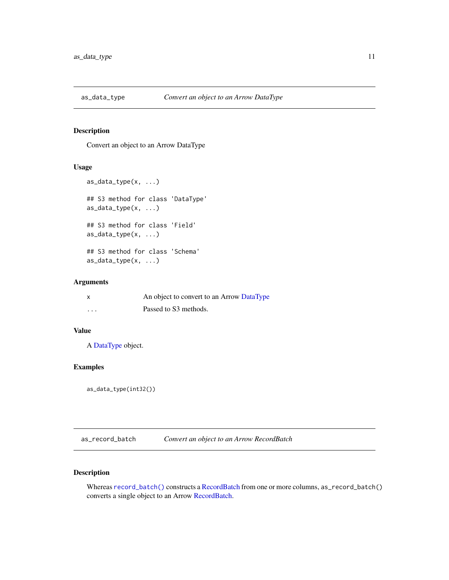<span id="page-10-0"></span>

Convert an object to an Arrow DataType

# Usage

```
as_data_type(x, ...)
## S3 method for class 'DataType'
as_data_type(x, ...)
## S3 method for class 'Field'
as_data_type(x, ...)
## S3 method for class 'Schema'
as_data_type(x, ...)
```
# Arguments

| $\boldsymbol{\mathsf{x}}$ | An object to convert to an Arrow DataType |
|---------------------------|-------------------------------------------|
| $\cdot$ $\cdot$ $\cdot$   | Passed to S3 methods.                     |

# Value

A [DataType](#page-24-1) object.

# Examples

as\_data\_type(int32())

as\_record\_batch *Convert an object to an Arrow RecordBatch*

# Description

Whereas [record\\_batch\(\)](#page-70-1) constructs a [RecordBatch](#page-70-2) from one or more columns, as\_record\_batch() converts a single object to an Arrow [RecordBatch.](#page-70-2)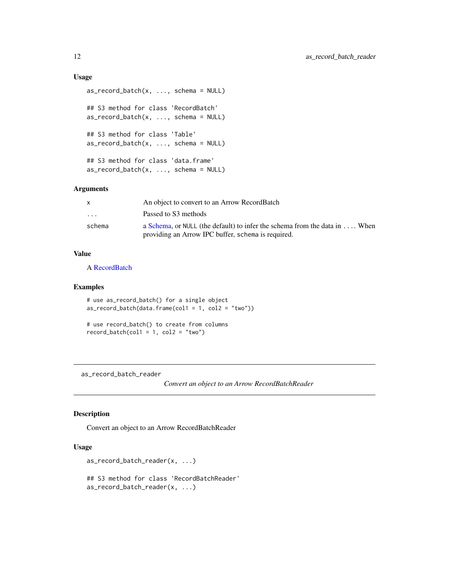# Usage

```
as\_record\_batch(x, ..., schema = NULL)## S3 method for class 'RecordBatch'
as\_record\_batch(x, ..., schema = NULL)## S3 method for class 'Table'
as\_record\_batch(x, ..., schema = NULL)## S3 method for class 'data.frame'
as\_record\_batch(x, ..., schema = NULL)
```
# Arguments

|                         | An object to convert to an Arrow RecordBatch                                        |
|-------------------------|-------------------------------------------------------------------------------------|
| $\cdot$ $\cdot$ $\cdot$ | Passed to S3 methods                                                                |
| schema                  | a Schema, or NULL (the default) to infer the schema from the data in $\dots$ . When |
|                         | providing an Arrow IPC buffer, schema is required.                                  |

# Value

A [RecordBatch](#page-70-2)

# Examples

```
# use as_record_batch() for a single object
as\_record\_batch(data-frame(col1 = 1, col2 = "two"))
```

```
# use record_batch() to create from columns
record\_batch(col1 = 1, col2 = "two")
```
as\_record\_batch\_reader

*Convert an object to an Arrow RecordBatchReader*

#### Description

Convert an object to an Arrow RecordBatchReader

# Usage

```
as_record_batch_reader(x, ...)
## S3 method for class 'RecordBatchReader'
as_record_batch_reader(x, ...)
```
<span id="page-11-0"></span>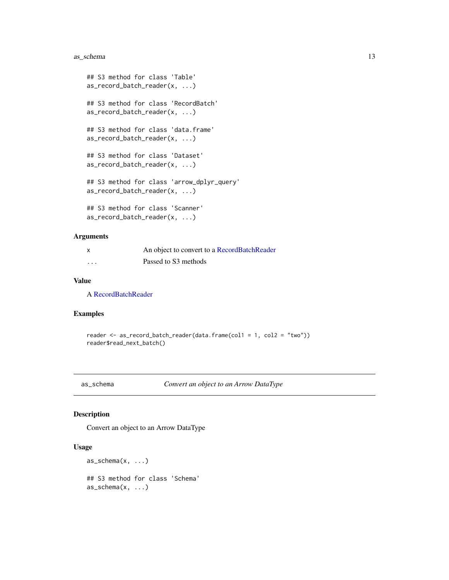# <span id="page-12-0"></span>as\_schema 13

```
## S3 method for class 'Table'
as_record_batch_reader(x, ...)
## S3 method for class 'RecordBatch'
as_record_batch_reader(x, ...)
## S3 method for class 'data.frame'
as_record_batch_reader(x, ...)
## S3 method for class 'Dataset'
as_record_batch_reader(x, ...)
## S3 method for class 'arrow_dplyr_query'
as_record_batch_reader(x, ...)
## S3 method for class 'Scanner'
as_record_batch_reader(x, ...)
```
# Arguments

| x | An object to convert to a RecordBatchReader |
|---|---------------------------------------------|
| . | Passed to S3 methods                        |

# Value

A [RecordBatchReader](#page-72-1)

# Examples

```
reader <- as_record_batch_reader(data.frame(col1 = 1, col2 = "two"))
reader$read_next_batch()
```
as\_schema *Convert an object to an Arrow DataType*

#### Description

Convert an object to an Arrow DataType

# Usage

```
as\_schema(x, \ldots)## S3 method for class 'Schema'
as_schema(x, ...)
```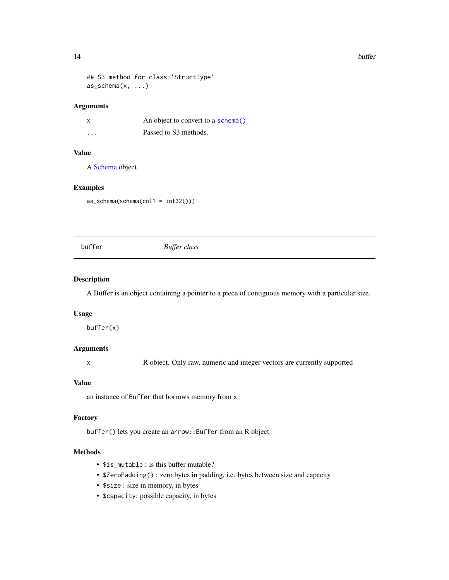#### <span id="page-13-0"></span>14 buffer

```
## S3 method for class 'StructType'
as\_schema(x, \ldots)
```
#### Arguments

| X        | An object to convert to a schema() |
|----------|------------------------------------|
| $\cdots$ | Passed to S3 methods.              |

# Value

A [Schema](#page-78-1) object.

#### Examples

as\_schema(schema(col1 = int32()))

buffer *Buffer class*

#### Description

A Buffer is an object containing a pointer to a piece of contiguous memory with a particular size.

# Usage

buffer(x)

# Arguments

x R object. Only raw, numeric and integer vectors are currently supported

# Value

an instance of Buffer that borrows memory from x

#### Factory

buffer() lets you create an arrow::Buffer from an R object

# Methods

- \$is\_mutable : is this buffer mutable?
- \$ZeroPadding() : zero bytes in padding, i.e. bytes between size and capacity
- \$size : size in memory, in bytes
- \$capacity: possible capacity, in bytes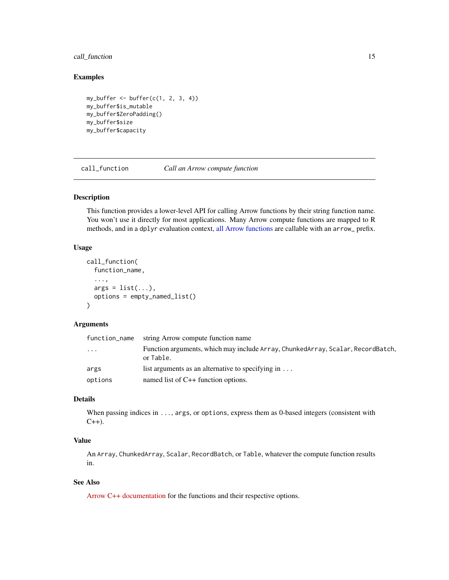# <span id="page-14-0"></span>call\_function 15

# Examples

```
my_buffer <- buffer(c(1, 2, 3, 4))
my_buffer$is_mutable
my_buffer$ZeroPadding()
my_buffer$size
my_buffer$capacity
```
call\_function *Call an Arrow compute function*

# Description

This function provides a lower-level API for calling Arrow functions by their string function name. You won't use it directly for most applications. Many Arrow compute functions are mapped to R methods, and in a dplyr evaluation context, [all Arrow functions](#page-46-1) are callable with an arrow\_ prefix.

#### Usage

```
call_function(
  function_name,
  ...,
  args = list(...),options = empty_named_list()
\lambda
```
#### Arguments

| function_name | string Arrow compute function name                                                           |
|---------------|----------------------------------------------------------------------------------------------|
| $\cdots$      | Function arguments, which may include Array, ChunkedArray, Scalar, RecordBatch,<br>or Table. |
| args          | list arguments as an alternative to specifying in $\dots$                                    |
| options       | named list of $C++$ function options.                                                        |

# Details

When passing indices in ..., args, or options, express them as 0-based integers (consistent with  $C_{++}$ ).

# Value

An Array, ChunkedArray, Scalar, RecordBatch, or Table, whatever the compute function results in.

# See Also

[Arrow C++ documentation](https://arrow.apache.org/docs/cpp/compute.html) for the functions and their respective options.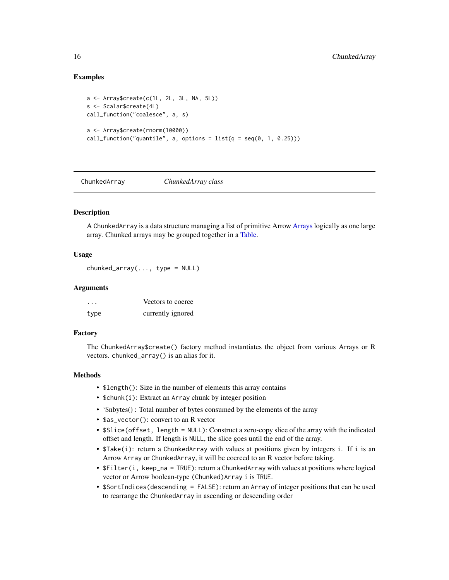# Examples

```
a <- Array$create(c(1L, 2L, 3L, NA, 5L))
s <- Scalar$create(4L)
call_function("coalesce", a, s)
a <- Array$create(rnorm(10000))
call_function("quantile", a, options = list(q = seq(0, 1, 0.25)))
```
<span id="page-15-2"></span>ChunkedArray *ChunkedArray class*

# <span id="page-15-1"></span>**Description**

A ChunkedArray is a data structure managing a list of primitive Arrow [Arrays](#page-3-1) logically as one large array. Chunked arrays may be grouped together in a [Table.](#page-79-2)

# Usage

chunked\_array(..., type = NULL)

#### **Arguments**

| $\cdots$ | Vectors to coerce |
|----------|-------------------|
| type     | currently ignored |

#### Factory

The ChunkedArray\$create() factory method instantiates the object from various Arrays or R vectors. chunked\_array() is an alias for it.

# Methods

- \$length(): Size in the number of elements this array contains
- \$chunk(i): Extract an Array chunk by integer position
- '\$nbytes() : Total number of bytes consumed by the elements of the array
- \$as\_vector(): convert to an R vector
- \$Slice(offset, length = NULL): Construct a zero-copy slice of the array with the indicated offset and length. If length is NULL, the slice goes until the end of the array.
- \$Take(i): return a ChunkedArray with values at positions given by integers i. If i is an Arrow Array or ChunkedArray, it will be coerced to an R vector before taking.
- \$Filter(i, keep\_na = TRUE): return a ChunkedArray with values at positions where logical vector or Arrow boolean-type (Chunked)Array i is TRUE.
- \$SortIndices(descending = FALSE): return an Array of integer positions that can be used to rearrange the ChunkedArray in ascending or descending order

<span id="page-15-0"></span>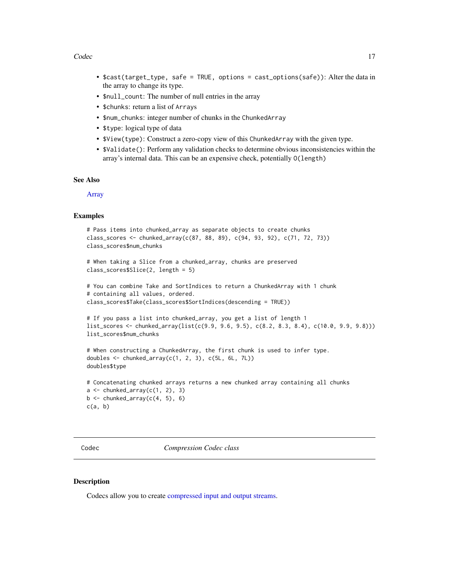#### <span id="page-16-0"></span>Codec 17

- \$cast(target\_type, safe = TRUE, options = cast\_options(safe)): Alter the data in the array to change its type.
- \$null\_count: The number of null entries in the array
- \$chunks: return a list of Arrays
- \$num\_chunks: integer number of chunks in the ChunkedArray
- \$type: logical type of data
- \$View(type): Construct a zero-copy view of this ChunkedArray with the given type.
- \$Validate(): Perform any validation checks to determine obvious inconsistencies within the array's internal data. This can be an expensive check, potentially O(length)

### See Also

[Array](#page-3-1)

#### Examples

```
# Pass items into chunked_array as separate objects to create chunks
class_scores <- chunked_array(c(87, 88, 89), c(94, 93, 92), c(71, 72, 73))
class_scores$num_chunks
```

```
# When taking a Slice from a chunked_array, chunks are preserved
class_scores$Slice(2, length = 5)
```

```
# You can combine Take and SortIndices to return a ChunkedArray with 1 chunk
# containing all values, ordered.
class_scores$Take(class_scores$SortIndices(descending = TRUE))
```

```
# If you pass a list into chunked_array, you get a list of length 1
list_scores <- chunked_array(list(c(9.9, 9.6, 9.5), c(8.2, 8.3, 8.4), c(10.0, 9.9, 9.8)))
list_scores$num_chunks
```

```
# When constructing a ChunkedArray, the first chunk is used to infer type.
doubles \leq chunked_array(c(1, 2, 3), c(5L, 6L, 7L))
doubles$type
```

```
# Concatenating chunked arrays returns a new chunked array containing all chunks
a \leftarrow chunked_array(c(1, 2), 3)
b \leftarrow chunked_array(c(4, 5), 6)
c(a, b)
```
Codec *Compression Codec class*

#### **Description**

Codecs allow you to create [compressed input and output streams.](#page-18-1)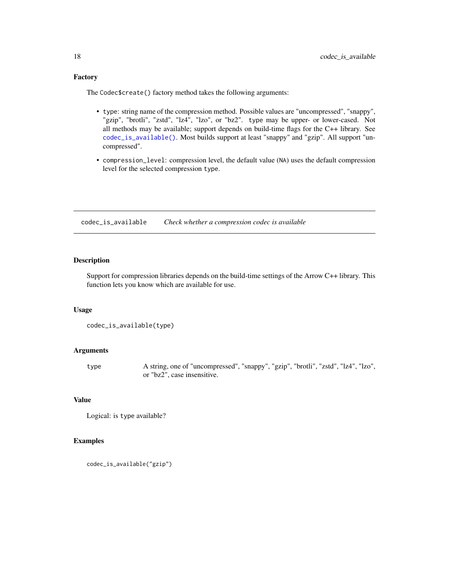# <span id="page-17-0"></span>Factory

The Codec\$create() factory method takes the following arguments:

- type: string name of the compression method. Possible values are "uncompressed", "snappy", "gzip", "brotli", "zstd", "lz4", "lzo", or "bz2". type may be upper- or lower-cased. Not all methods may be available; support depends on build-time flags for the C++ library. See [codec\\_is\\_available\(\)](#page-17-1). Most builds support at least "snappy" and "gzip". All support "uncompressed".
- compression\_level: compression level, the default value (NA) uses the default compression level for the selected compression type.

<span id="page-17-1"></span>codec\_is\_available *Check whether a compression codec is available*

# Description

Support for compression libraries depends on the build-time settings of the Arrow C++ library. This function lets you know which are available for use.

# Usage

```
codec_is_available(type)
```
#### Arguments

type A string, one of "uncompressed", "snappy", "gzip", "brotli", "zstd", "lz4", "lzo", or "bz2", case insensitive.

#### Value

```
Logical: is type available?
```
#### Examples

```
codec_is_available("gzip")
```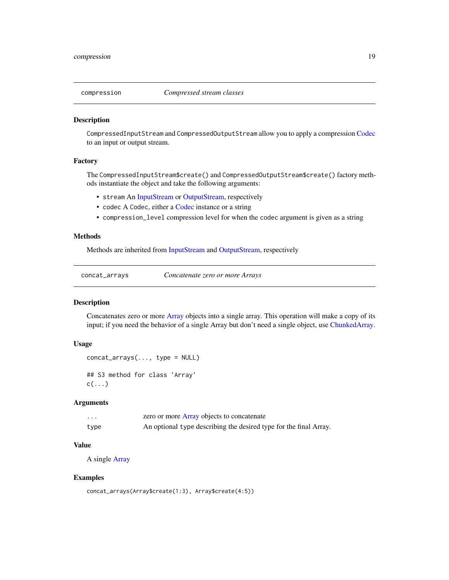<span id="page-18-1"></span><span id="page-18-0"></span>

CompressedInputStream and CompressedOutputStream allow you to apply a compression [Codec](#page-16-1) to an input or output stream.

# Factory

The CompressedInputStream\$create() and CompressedOutputStream\$create() factory methods instantiate the object and take the following arguments:

- stream An [InputStream](#page-43-1) or [OutputStream,](#page-57-1) respectively
- codec A Codec, either a [Codec](#page-16-1) instance or a string
- compression\_level compression level for when the codec argument is given as a string

# Methods

Methods are inherited from [InputStream](#page-43-1) and [OutputStream,](#page-57-1) respectively

concat\_arrays *Concatenate zero or more Arrays*

# Description

Concatenates zero or more [Array](#page-3-1) objects into a single array. This operation will make a copy of its input; if you need the behavior of a single Array but don't need a single object, use [ChunkedArray.](#page-15-2)

#### Usage

```
concat_arrays(..., type = NULL)
## S3 method for class 'Array'
c(\ldots)
```
# Arguments

| .    | zero or more Array objects to concatenate                         |
|------|-------------------------------------------------------------------|
| type | An optional type describing the desired type for the final Array. |

#### Value

A single [Array](#page-3-1)

#### Examples

```
concat_arrays(Array$create(1:3), Array$create(4:5))
```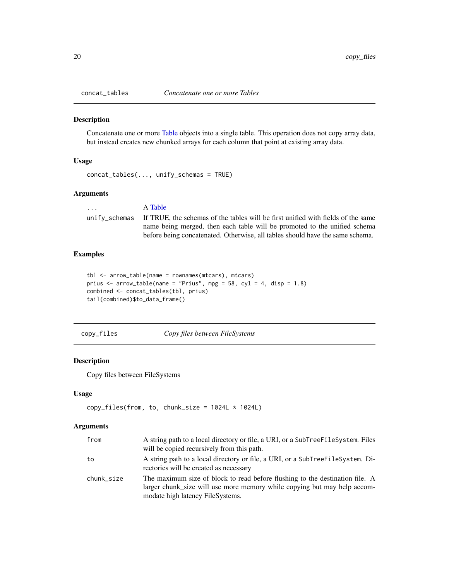<span id="page-19-0"></span>

Concatenate one or more [Table](#page-79-2) objects into a single table. This operation does not copy array data, but instead creates new chunked arrays for each column that point at existing array data.

# Usage

```
concat_tables(..., unify_schemas = TRUE)
```
# Arguments

... A [Table](#page-79-2) unify\_schemas If TRUE, the schemas of the tables will be first unified with fields of the same name being merged, then each table will be promoted to the unified schema before being concatenated. Otherwise, all tables should have the same schema.

# Examples

```
tbl <- arrow_table(name = rownames(mtcars), mtcars)
prius \le arrow_table(name = "Prius", mpg = 58, cyl = 4, disp = 1.8)
combined <- concat_tables(tbl, prius)
tail(combined)$to_data_frame()
```
copy\_files *Copy files between FileSystems*

#### Description

Copy files between FileSystems

#### Usage

```
copy_{files}(from, to, chunk_size = 1024L * 1024L)
```
#### **Arguments**

| from       | A string path to a local directory or file, a URI, or a SubTreeFileSystem. Files<br>will be copied recursively from this path.                                                               |
|------------|----------------------------------------------------------------------------------------------------------------------------------------------------------------------------------------------|
| to         | A string path to a local directory or file, a URI, or a SubTreeFileSystem. Di-<br>rectories will be created as necessary                                                                     |
| chunk_size | The maximum size of block to read before flushing to the destination file. A<br>larger chunk size will use more memory while copying but may help accom-<br>modate high latency FileSystems. |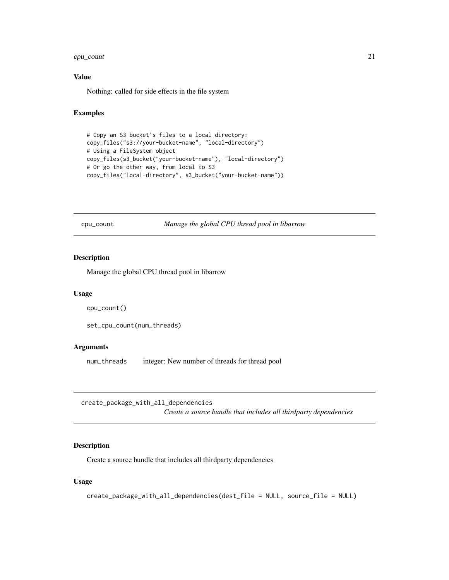# <span id="page-20-0"></span>cpu\_count 21

# Value

Nothing: called for side effects in the file system

# Examples

```
# Copy an S3 bucket's files to a local directory:
copy_files("s3://your-bucket-name", "local-directory")
# Using a FileSystem object
copy_files(s3_bucket("your-bucket-name"), "local-directory")
# Or go the other way, from local to S3
copy_files("local-directory", s3_bucket("your-bucket-name"))
```
cpu\_count *Manage the global CPU thread pool in libarrow*

# Description

Manage the global CPU thread pool in libarrow

#### Usage

```
cpu_count()
```
set\_cpu\_count(num\_threads)

# Arguments

num\_threads integer: New number of threads for thread pool

create\_package\_with\_all\_dependencies

*Create a source bundle that includes all thirdparty dependencies*

# Description

Create a source bundle that includes all thirdparty dependencies

#### Usage

```
create_package_with_all_dependencies(dest_file = NULL, source_file = NULL)
```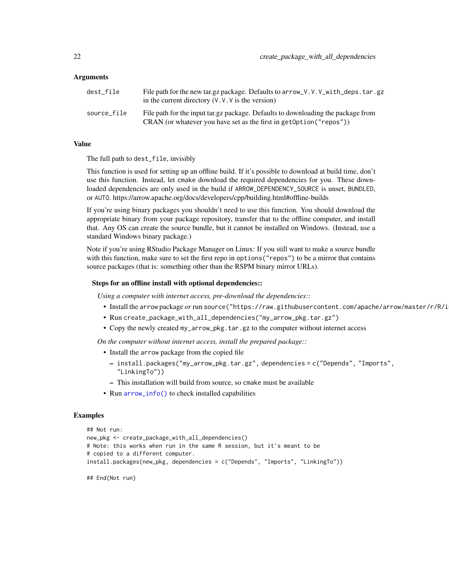#### Arguments

| dest file   | File path for the new tar.gz package. Defaults to arrow V.V.V with deps.tar.gz<br>in the current directory $(V, V, V)$ is the version)                 |
|-------------|--------------------------------------------------------------------------------------------------------------------------------------------------------|
| source file | File path for the input tar.gz package. Defaults to downloading the package from<br>CRAN (or whatever you have set as the first in get0ption("repos")) |

# Value

The full path to dest\_file, invisibly

This function is used for setting up an offline build. If it's possible to download at build time, don't use this function. Instead, let cmake download the required dependencies for you. These downloaded dependencies are only used in the build if ARROW\_DEPENDENCY\_SOURCE is unset, BUNDLED, or AUTO. https://arrow.apache.org/docs/developers/cpp/building.html#offline-builds

If you're using binary packages you shouldn't need to use this function. You should download the appropriate binary from your package repository, transfer that to the offline computer, and install that. Any OS can create the source bundle, but it cannot be installed on Windows. (Instead, use a standard Windows binary package.)

Note if you're using RStudio Package Manager on Linux: If you still want to make a source bundle with this function, make sure to set the first repo in options ("repos") to be a mirror that contains source packages (that is: something other than the RSPM binary mirror URLs).

#### Steps for an offline install with optional dependencies::

*Using a computer with internet access, pre-download the dependencies::*

- Install the arrow package *or* run source("https://raw.githubusercontent.com/apache/arrow/master/r/R/i
- Run create\_package\_with\_all\_dependencies("my\_arrow\_pkg.tar.gz")
- Copy the newly created my\_arrow\_pkg.tar.gz to the computer without internet access

*On the computer without internet access, install the prepared package::*

- Install the arrow package from the copied file
	- install.packages("my\_arrow\_pkg.tar.gz", dependencies = c("Depends", "Imports", "LinkingTo"))
	- This installation will build from source, so cmake must be available
- Run [arrow\\_info\(\)](#page-7-1) to check installed capabilities

#### Examples

```
## Not run:
new_pkg <- create_package_with_all_dependencies()
# Note: this works when run in the same R session, but it's meant to be
# copied to a different computer.
install.packages(new_pkg, dependencies = c("Depends", "Imports", "LinkingTo"))
```
## End(Not run)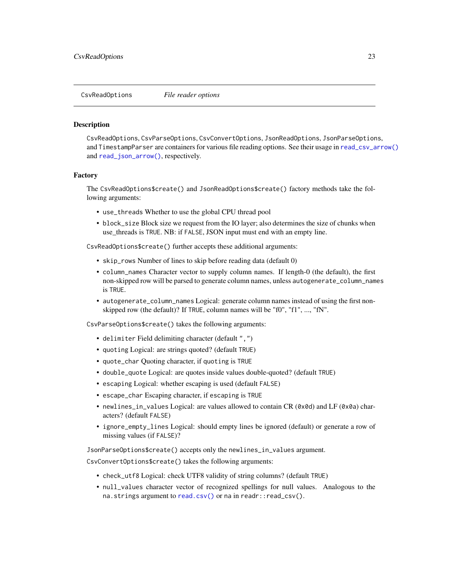<span id="page-22-2"></span><span id="page-22-0"></span>CsvReadOptions *File reader options*

#### <span id="page-22-1"></span>Description

CsvReadOptions, CsvParseOptions, CsvConvertOptions, JsonReadOptions, JsonParseOptions, and TimestampParser are containers for various file reading options. See their usage in [read\\_csv\\_arrow\(\)](#page-62-1) and [read\\_json\\_arrow\(\)](#page-67-1), respectively.

#### Factory

The CsvReadOptions\$create() and JsonReadOptions\$create() factory methods take the following arguments:

- use\_threads Whether to use the global CPU thread pool
- block\_size Block size we request from the IO layer; also determines the size of chunks when use\_threads is TRUE. NB: if FALSE, JSON input must end with an empty line.

CsvReadOptions\$create() further accepts these additional arguments:

- skip\_rows Number of lines to skip before reading data (default 0)
- column\_names Character vector to supply column names. If length-0 (the default), the first non-skipped row will be parsed to generate column names, unless autogenerate\_column\_names is TRUE.
- autogenerate\_column\_names Logical: generate column names instead of using the first nonskipped row (the default)? If TRUE, column names will be "f0", "f1", ..., "fN".

CsvParseOptions\$create() takes the following arguments:

- delimiter Field delimiting character (default ",")
- quoting Logical: are strings quoted? (default TRUE)
- quote\_char Quoting character, if quoting is TRUE
- double\_quote Logical: are quotes inside values double-quoted? (default TRUE)
- escaping Logical: whether escaping is used (default FALSE)
- escape\_char Escaping character, if escaping is TRUE
- newlines\_in\_values Logical: are values allowed to contain CR (0x0d) and LF (0x0a) characters? (default FALSE)
- ignore\_empty\_lines Logical: should empty lines be ignored (default) or generate a row of missing values (if FALSE)?

JsonParseOptions\$create() accepts only the newlines\_in\_values argument.

CsvConvertOptions\$create() takes the following arguments:

- check\_utf8 Logical: check UTF8 validity of string columns? (default TRUE)
- null\_values character vector of recognized spellings for null values. Analogous to the na.strings argument to [read.csv\(\)](#page-0-0) or na in readr::read\_csv().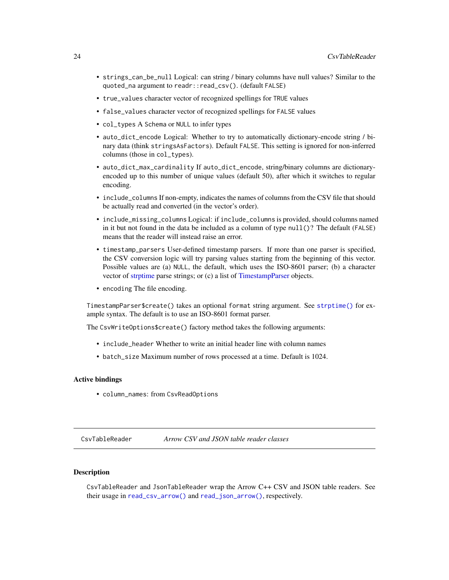- <span id="page-23-0"></span>• strings\_can\_be\_null Logical: can string / binary columns have null values? Similar to the quoted\_na argument to readr::read\_csv(). (default FALSE)
- true\_values character vector of recognized spellings for TRUE values
- false\_values character vector of recognized spellings for FALSE values
- col\_types A Schema or NULL to infer types
- auto\_dict\_encode Logical: Whether to try to automatically dictionary-encode string / binary data (think stringsAsFactors). Default FALSE. This setting is ignored for non-inferred columns (those in col\_types).
- auto\_dict\_max\_cardinality If auto\_dict\_encode, string/binary columns are dictionaryencoded up to this number of unique values (default 50), after which it switches to regular encoding.
- include\_columns If non-empty, indicates the names of columns from the CSV file that should be actually read and converted (in the vector's order).
- include\_missing\_columns Logical: if include\_columns is provided, should columns named in it but not found in the data be included as a column of type  $null()$ ? The default (FALSE) means that the reader will instead raise an error.
- timestamp\_parsers User-defined timestamp parsers. If more than one parser is specified, the CSV conversion logic will try parsing values starting from the beginning of this vector. Possible values are (a) NULL, the default, which uses the ISO-8601 parser; (b) a character vector of [strptime](#page-0-0) parse strings; or (c) a list of [TimestampParser](#page-22-1) objects.
- encoding The file encoding.

TimestampParser\$create() takes an optional format string argument. See [strptime\(\)](#page-0-0) for example syntax. The default is to use an ISO-8601 format parser.

The CsvWriteOptions\$create() factory method takes the following arguments:

- include\_header Whether to write an initial header line with column names
- batch\_size Maximum number of rows processed at a time. Default is 1024.

### Active bindings

• column\_names: from CsvReadOptions

CsvTableReader *Arrow CSV and JSON table reader classes*

# **Description**

CsvTableReader and JsonTableReader wrap the Arrow C++ CSV and JSON table readers. See their usage in [read\\_csv\\_arrow\(\)](#page-62-1) and [read\\_json\\_arrow\(\)](#page-67-1), respectively.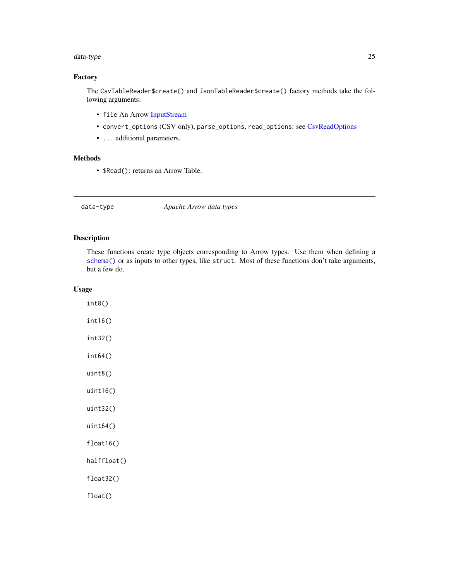#### <span id="page-24-0"></span>data-type 25

# Factory

The CsvTableReader\$create() and JsonTableReader\$create() factory methods take the following arguments:

- file An Arrow [InputStream](#page-43-1)
- convert\_options (CSV only), parse\_options, read\_options: see [CsvReadOptions](#page-22-2)
- ... additional parameters.

# Methods

• \$Read(): returns an Arrow Table.

<span id="page-24-1"></span>data-type *Apache Arrow data types*

# <span id="page-24-2"></span>Description

These functions create type objects corresponding to Arrow types. Use them when defining a [schema\(\)](#page-78-2) or as inputs to other types, like struct. Most of these functions don't take arguments, but a few do.

### Usage

int8() int16() int32() int64() uint8() uint16() uint32() uint64() float16() halffloat() float32() float()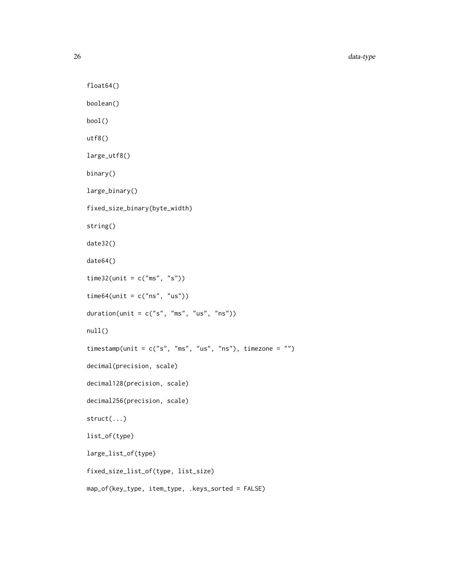```
float64()
boolean()
bool()
utf8()
large_utf8()
binary()
large_binary()
fixed_size_binary(byte_width)
string()
date32()
date64()
time32(unit = c("ms", "s"))
time64(unit = c("ns", "us"))
duration(unit = c("s", "ms", "us", "ns"))null()
timestamp(unit = c("s", "ms", "us", "ns"), timezone = "")decimal(precision, scale)
decimal128(precision, scale)
decimal256(precision, scale)
struct(...)
list_of(type)
large_list_of(type)
fixed_size_list_of(type, list_size)
map_of(key_type, item_type, .keys_sorted = FALSE)
```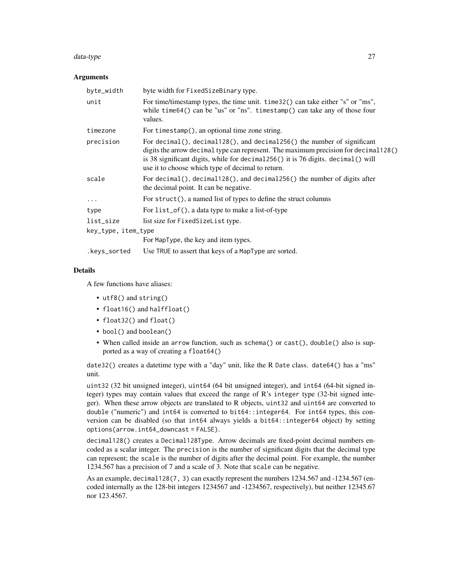#### data-type 27

#### Arguments

| byte_width          | byte width for FixedSizeBinary type.                                                                                                                                                                                                                                                                                |  |
|---------------------|---------------------------------------------------------------------------------------------------------------------------------------------------------------------------------------------------------------------------------------------------------------------------------------------------------------------|--|
| unit                | For time/timestamp types, the time unit. time 32() can take either "s" or "ms",<br>while time $64()$ can be "us" or "ns". timestamp() can take any of those four<br>values.                                                                                                                                         |  |
| timezone            | For timestamp(), an optional time zone string.                                                                                                                                                                                                                                                                      |  |
| precision           | For decimal(), decimal $128()$ , and decimal $256()$ the number of significant<br>digits the arrow decimal type can represent. The maximum precision for decimal 128()<br>is 38 significant digits, while for decimal $256()$ it is 76 digits. decimal () will<br>use it to choose which type of decimal to return. |  |
| scale               | For decimal $($ ), decimal $128()$ , and decimal $256()$ the number of digits after<br>the decimal point. It can be negative.                                                                                                                                                                                       |  |
| $\cdots$            | For struct(), a named list of types to define the struct columns                                                                                                                                                                                                                                                    |  |
| type                | For list_of(), a data type to make a list-of-type                                                                                                                                                                                                                                                                   |  |
| list_size           | list size for FixedSizeList type.                                                                                                                                                                                                                                                                                   |  |
| key_type, item_type |                                                                                                                                                                                                                                                                                                                     |  |
|                     | For MapType, the key and item types.                                                                                                                                                                                                                                                                                |  |
| .keys_sorted        | Use TRUE to assert that keys of a MapType are sorted.                                                                                                                                                                                                                                                               |  |

# Details

A few functions have aliases:

- utf8() and string()
- float16() and halffloat()
- float32() and float()
- bool() and boolean()
- When called inside an arrow function, such as schema() or cast(), double() also is supported as a way of creating a float64()

date32() creates a datetime type with a "day" unit, like the R Date class. date64() has a "ms" unit.

uint32 (32 bit unsigned integer), uint64 (64 bit unsigned integer), and int64 (64-bit signed integer) types may contain values that exceed the range of R's integer type (32-bit signed integer). When these arrow objects are translated to R objects, uint32 and uint64 are converted to double ("numeric") and int64 is converted to bit64::integer64. For int64 types, this conversion can be disabled (so that int64 always yields a bit64::integer64 object) by setting options(arrow.int64\_downcast = FALSE).

decimal128() creates a Decimal128Type. Arrow decimals are fixed-point decimal numbers encoded as a scalar integer. The precision is the number of significant digits that the decimal type can represent; the scale is the number of digits after the decimal point. For example, the number 1234.567 has a precision of 7 and a scale of 3. Note that scale can be negative.

As an example, decimal128(7, 3) can exactly represent the numbers 1234.567 and -1234.567 (encoded internally as the 128-bit integers 1234567 and -1234567, respectively), but neither 12345.67 nor 123.4567.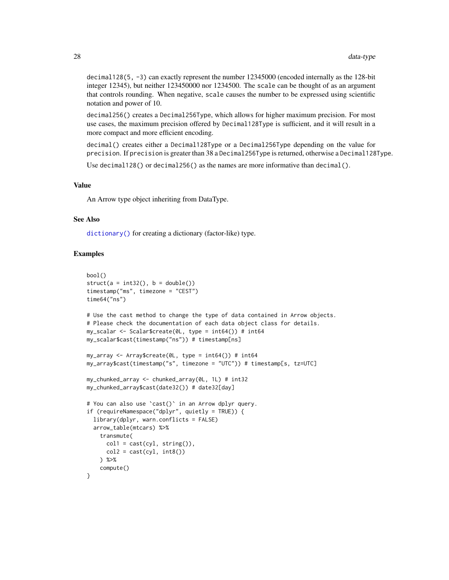decimal128(5, -3) can exactly represent the number 12345000 (encoded internally as the 128-bit integer 12345), but neither 123450000 nor 1234500. The scale can be thought of as an argument that controls rounding. When negative, scale causes the number to be expressed using scientific notation and power of 10.

decimal256() creates a Decimal256Type, which allows for higher maximum precision. For most use cases, the maximum precision offered by Decimal128Type is sufficient, and it will result in a more compact and more efficient encoding.

decimal() creates either a Decimal128Type or a Decimal256Type depending on the value for precision. If precision is greater than 38 a Decimal256Type is returned, otherwise a Decimal128Type.

Use decimal128() or decimal256() as the names are more informative than decimal().

#### Value

An Arrow type object inheriting from DataType.

#### See Also

[dictionary\(\)](#page-31-1) for creating a dictionary (factor-like) type.

# Examples

```
bool()
struct(a = int32(), b = double())timestamp("ms", timezone = "CEST")
time64("ns")
# Use the cast method to change the type of data contained in Arrow objects.
# Please check the documentation of each data object class for details.
my_scalar <- Scalar$create(0L, type = int64()) # int64
my_scalar$cast(timestamp("ns")) # timestamp[ns]
my_array \leftarrow Array\create(0L, type = int64()) # int64
my_array$cast(timestamp("s", timezone = "UTC")) # timestamp[s, tz=UTC]
my_chunked_array <- chunked_array(0L, 1L) # int32
my_chunked_array$cast(date32()) # date32[day]
# You can also use `cast()` in an Arrow dplyr query.
if (requireNamespace("dplyr", quietly = TRUE)) {
  library(dplyr, warn.conflicts = FALSE)
  arrow_table(mtcars) %>%
    transmute(
      coll = cast(cyl, string()),
      col2 = cast(cyl, int8())) %>%
    compute()
}
```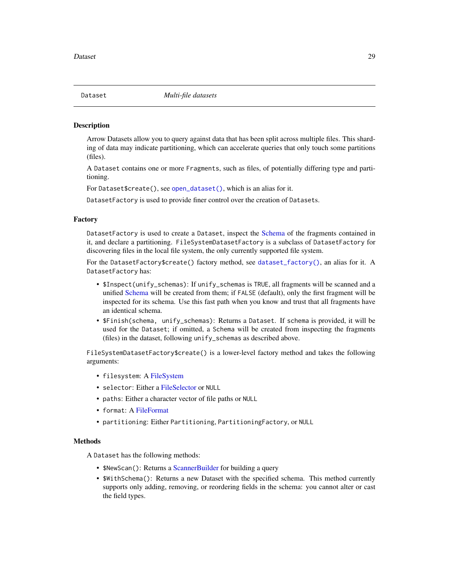<span id="page-28-2"></span><span id="page-28-1"></span><span id="page-28-0"></span>

Arrow Datasets allow you to query against data that has been split across multiple files. This sharding of data may indicate partitioning, which can accelerate queries that only touch some partitions (files).

A Dataset contains one or more Fragments, such as files, of potentially differing type and partitioning.

For Dataset\$create(), see [open\\_dataset\(\)](#page-54-1), which is an alias for it.

DatasetFactory is used to provide finer control over the creation of Datasets.

#### Factory

DatasetFactory is used to create a Dataset, inspect the [Schema](#page-78-1) of the fragments contained in it, and declare a partitioning. FileSystemDatasetFactory is a subclass of DatasetFactory for discovering files in the local file system, the only currently supported file system.

For the DatasetFactory\$create() factory method, see [dataset\\_factory\(\)](#page-29-1), an alias for it. A DatasetFactory has:

- \$Inspect(unify\_schemas): If unify\_schemas is TRUE, all fragments will be scanned and a unified [Schema](#page-78-1) will be created from them; if FALSE (default), only the first fragment will be inspected for its schema. Use this fast path when you know and trust that all fragments have an identical schema.
- \$Finish(schema, unify\_schemas): Returns a Dataset. If schema is provided, it will be used for the Dataset; if omitted, a Schema will be created from inspecting the fragments (files) in the dataset, following unify\_schemas as described above.

FileSystemDatasetFactory\$create() is a lower-level factory method and takes the following arguments:

- filesystem: A [FileSystem](#page-37-1)
- selector: Either a [FileSelector](#page-36-1) or NULL
- paths: Either a character vector of file paths or NULL
- format: A [FileFormat](#page-34-1)
- partitioning: Either Partitioning, PartitioningFactory, or NULL

#### **Methods**

A Dataset has the following methods:

- \$NewScan(): Returns a [ScannerBuilder](#page-77-1) for building a query
- \$WithSchema(): Returns a new Dataset with the specified schema. This method currently supports only adding, removing, or reordering fields in the schema: you cannot alter or cast the field types.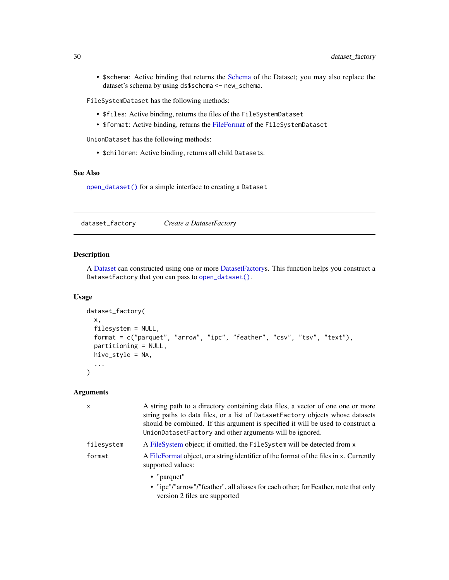• \$schema: Active binding that returns the [Schema](#page-78-1) of the Dataset; you may also replace the dataset's schema by using ds\$schema <- new\_schema.

FileSystemDataset has the following methods:

- \$files: Active binding, returns the files of the FileSystemDataset
- \$format: Active binding, returns the [FileFormat](#page-34-1) of the FileSystemDataset

UnionDataset has the following methods:

• \$children: Active binding, returns all child Datasets.

# See Also

[open\\_dataset\(\)](#page-54-1) for a simple interface to creating a Dataset

<span id="page-29-1"></span>dataset\_factory *Create a DatasetFactory*

# Description

A [Dataset](#page-28-1) can constructed using one or more [DatasetFactorys](#page-28-2). This function helps you construct a DatasetFactory that you can pass to [open\\_dataset\(\)](#page-54-1).

#### Usage

```
dataset_factory(
  x,
 filesystem = NULL,
  format = c("parquet", "arrow", "ipc", "feather", "csv", "tsv", "text"),
 partitioning = NULL,
 hive_style = NA,
  ...
)
```
#### Arguments

| $\mathsf{x}$ | A string path to a directory containing data files, a vector of one one or more<br>string paths to data files, or a list of DatasetFactory objects whose datasets<br>should be combined. If this argument is specified it will be used to construct a<br>UnionDatasetFactory and other arguments will be ignored. |  |
|--------------|-------------------------------------------------------------------------------------------------------------------------------------------------------------------------------------------------------------------------------------------------------------------------------------------------------------------|--|
| filesystem   | A FileSystem object; if omitted, the FileSystem will be detected from x                                                                                                                                                                                                                                           |  |
| format       | A FileFormat object, or a string identifier of the format of the files in x. Currently<br>supported values:                                                                                                                                                                                                       |  |
|              | • "parquet"<br>• "ipc"/"arrow"/"feather", all aliases for each other; for Feather, note that only<br>version 2 files are supported                                                                                                                                                                                |  |

<span id="page-29-0"></span>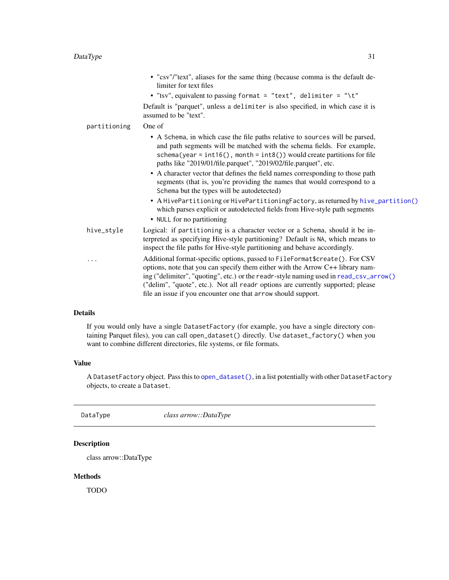<span id="page-30-0"></span>

|              | • "csv"/"text", aliases for the same thing (because comma is the default de-<br>limiter for text files                                                                                                                                                                                                                                                                                                                                                                                                                |
|--------------|-----------------------------------------------------------------------------------------------------------------------------------------------------------------------------------------------------------------------------------------------------------------------------------------------------------------------------------------------------------------------------------------------------------------------------------------------------------------------------------------------------------------------|
|              | • "tsv", equivalent to passing format = "text", delimiter = "\t"                                                                                                                                                                                                                                                                                                                                                                                                                                                      |
|              | Default is "parquet", unless a delimiter is also specified, in which case it is<br>assumed to be "text".                                                                                                                                                                                                                                                                                                                                                                                                              |
| partitioning | One of                                                                                                                                                                                                                                                                                                                                                                                                                                                                                                                |
|              | • A Schema, in which case the file paths relative to sources will be parsed,<br>and path segments will be matched with the schema fields. For example,<br>schema(year = $int16()$ , month = $int8()$ ) would create partitions for file<br>paths like "2019/01/file.parquet", "2019/02/file.parquet", etc.<br>• A character vector that defines the field names corresponding to those path<br>segments (that is, you're providing the names that would correspond to a<br>Schema but the types will be autodetected) |
|              | • A HivePartitioning or HivePartitioningFactory, as returned by hive_partition()<br>which parses explicit or autodetected fields from Hive-style path segments<br>• NULL for no partitioning                                                                                                                                                                                                                                                                                                                          |
| hive_style   | Logical: if partitioning is a character vector or a Schema, should it be in-<br>terpreted as specifying Hive-style partitioning? Default is NA, which means to<br>inspect the file paths for Hive-style partitioning and behave accordingly.                                                                                                                                                                                                                                                                          |
|              | Additional format-specific options, passed to FileFormat\$create(). For CSV<br>options, note that you can specify them either with the Arrow C++ library nam-<br>ing ("delimiter", "quoting", etc.) or the readr-style naming used in read_csv_arrow()<br>("delim", "quote", etc.). Not all readr options are currently supported; please<br>file an issue if you encounter one that arrow should support.                                                                                                            |

# Details

If you would only have a single DatasetFactory (for example, you have a single directory containing Parquet files), you can call open\_dataset() directly. Use dataset\_factory() when you want to combine different directories, file systems, or file formats.

# Value

A DatasetFactory object. Pass this to [open\\_dataset\(\)](#page-54-1), in a list potentially with other DatasetFactory objects, to create a Dataset.

<span id="page-30-1"></span>DataType *class arrow::DataType*

# Description

class arrow::DataType

# Methods

TODO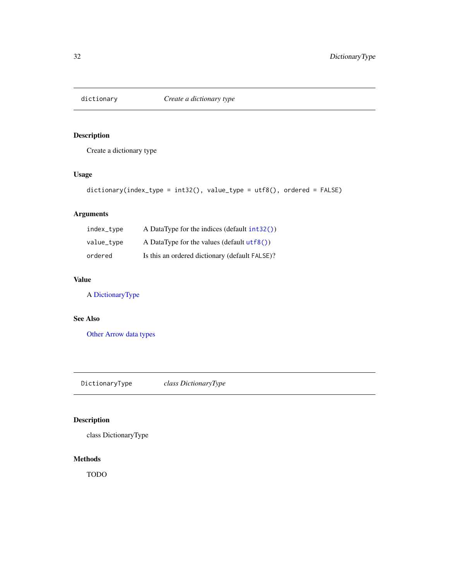<span id="page-31-1"></span><span id="page-31-0"></span>

Create a dictionary type

# Usage

```
dictionary(index_type = int32(), value_type = utf8(), ordered = FALSE)
```
# Arguments

| index_type | A DataType for the indices (default int32())   |
|------------|------------------------------------------------|
| value_type | A DataType for the values (default $utf8()$ )  |
| ordered    | Is this an ordered dictionary (default FALSE)? |

# Value

A [DictionaryType](#page-31-2)

# See Also

[Other Arrow data types](#page-24-1)

<span id="page-31-2"></span>DictionaryType *class DictionaryType*

# Description

class DictionaryType

# Methods

TODO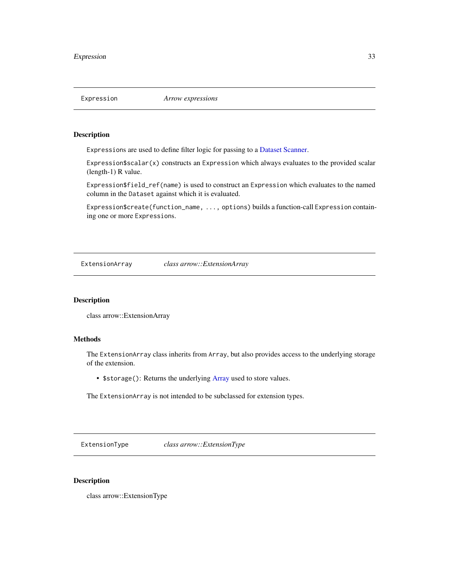<span id="page-32-0"></span>

Expressions are used to define filter logic for passing to a [Dataset](#page-28-1) [Scanner.](#page-77-2)

Expression\$scalar(x) constructs an Expression which always evaluates to the provided scalar (length-1) R value.

Expression\$field\_ref(name) is used to construct an Expression which evaluates to the named column in the Dataset against which it is evaluated.

Expression\$create(function\_name, ..., options) builds a function-call Expression containing one or more Expressions.

<span id="page-32-1"></span>ExtensionArray *class arrow::ExtensionArray*

# Description

class arrow::ExtensionArray

# Methods

The ExtensionArray class inherits from Array, but also provides access to the underlying storage of the extension.

• \$storage(): Returns the underlying [Array](#page-3-1) used to store values.

The ExtensionArray is not intended to be subclassed for extension types.

<span id="page-32-2"></span>ExtensionType *class arrow::ExtensionType*

#### Description

class arrow::ExtensionType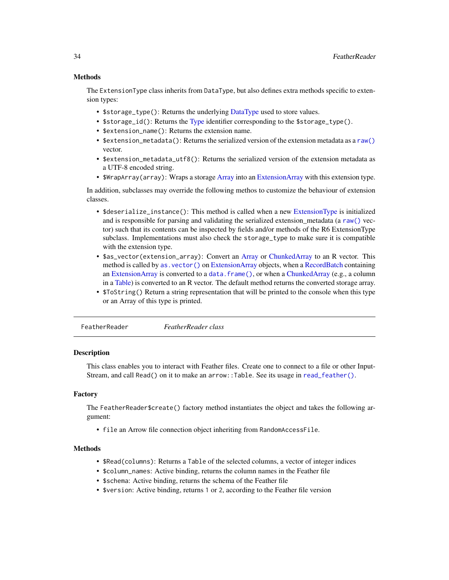## <span id="page-33-0"></span>Methods

The ExtensionType class inherits from DataType, but also defines extra methods specific to extension types:

- \$storage\_type(): Returns the underlying [DataType](#page-30-1) used to store values.
- \$storage\_id(): Returns the [Type](#page-0-0) identifier corresponding to the \$storage\_type().
- \$extension\_name(): Returns the extension name.
- \$extension\_metadata(): Returns the serialized version of the extension metadata as a [raw\(\)](#page-0-0) vector.
- \$extension\_metadata\_utf8(): Returns the serialized version of the extension metadata as a UTF-8 encoded string.
- \$WrapArray(array): Wraps a storage [Array](#page-3-1) into an [ExtensionArray](#page-32-1) with this extension type.

In addition, subclasses may override the following methos to customize the behaviour of extension classes.

- \$deserialize\_instance(): This method is called when a new [ExtensionType](#page-32-2) is initialized and is responsible for parsing and validating the serialized extension metadata (a [raw\(\)](#page-0-0) vector) such that its contents can be inspected by fields and/or methods of the R6 ExtensionType subclass. Implementations must also check the storage\_type to make sure it is compatible with the extension type.
- \$as\_vector(extension\_array): Convert an [Array](#page-3-1) or [ChunkedArray](#page-15-2) to an R vector. This method is called by as. vector() on [ExtensionArray](#page-32-1) objects, when a [RecordBatch](#page-70-2) containing an [ExtensionArray](#page-32-1) is converted to a data. frame(), or when a [ChunkedArray](#page-15-2) (e.g., a column in a [Table\)](#page-79-2) is converted to an R vector. The default method returns the converted storage array.
- \$ToString() Return a string representation that will be printed to the console when this type or an Array of this type is printed.

FeatherReader *FeatherReader class*

# Description

This class enables you to interact with Feather files. Create one to connect to a file or other Input-Stream, and call Read() on it to make an arrow::Table. See its usage in [read\\_feather\(\)](#page-66-1).

# Factory

The FeatherReader\$create() factory method instantiates the object and takes the following argument:

• file an Arrow file connection object inheriting from RandomAccessFile.

#### Methods

- \$Read(columns): Returns a Table of the selected columns, a vector of integer indices
- \$column\_names: Active binding, returns the column names in the Feather file
- \$schema: Active binding, returns the schema of the Feather file
- \$version: Active binding, returns 1 or 2, according to the Feather file version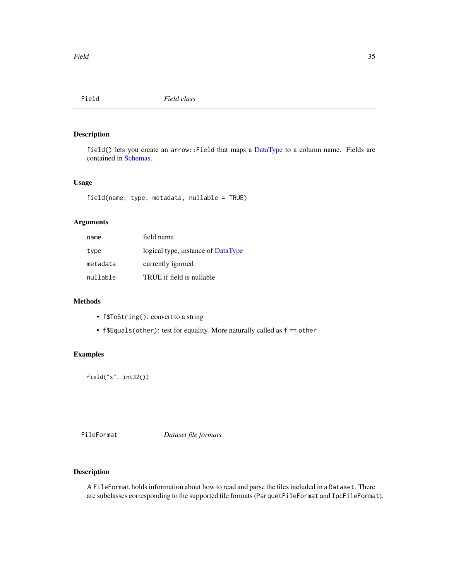<span id="page-34-0"></span>

field() lets you create an arrow:: Field that maps a [DataType](#page-24-1) to a column name. Fields are contained in [Schemas.](#page-78-1)

# Usage

field(name, type, metadata, nullable = TRUE)

# Arguments

| name     | field name                         |
|----------|------------------------------------|
| type     | logical type, instance of DataType |
| metadata | currently ignored                  |
| nullable | TRUE if field is nullable          |

#### Methods

- f\$ToString(): convert to a string
- f\$Equals(other): test for equality. More naturally called as f == other

# Examples

field("x", int32())

<span id="page-34-1"></span>FileFormat *Dataset file formats*

# Description

A FileFormat holds information about how to read and parse the files included in a Dataset. There are subclasses corresponding to the supported file formats (ParquetFileFormat and IpcFileFormat).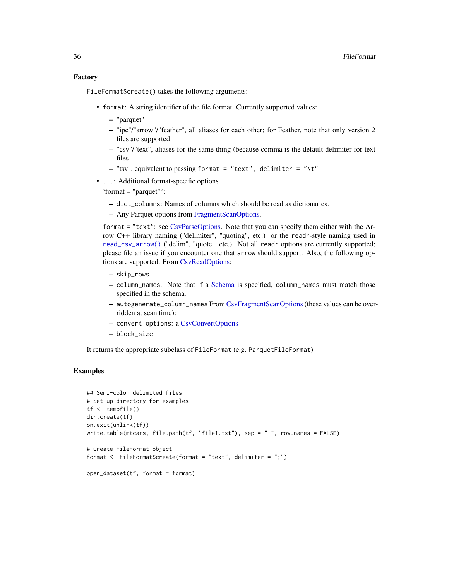FileFormat\$create() takes the following arguments:

- format: A string identifier of the file format. Currently supported values:
	- "parquet"
	- "ipc"/"arrow"/"feather", all aliases for each other; for Feather, note that only version 2 files are supported
	- "csv"/"text", aliases for the same thing (because comma is the default delimiter for text files
	- $-$  "tsv", equivalent to passing format = "text", delimiter = "\t"
- ...: Additional format-specific options

'format = "parquet"":

- dict\_columns: Names of columns which should be read as dictionaries.
- Any Parquet options from [FragmentScanOptions.](#page-41-2)

format = "text": see [CsvParseOptions.](#page-22-1) Note that you can specify them either with the Arrow C++ library naming ("delimiter", "quoting", etc.) or the readr-style naming used in [read\\_csv\\_arrow\(\)](#page-62-1) ("delim", "quote", etc.). Not all readr options are currently supported; please file an issue if you encounter one that arrow should support. Also, the following options are supported. From [CsvReadOptions:](#page-22-2)

- skip\_rows
- column\_names. Note that if a [Schema](#page-78-1) is specified, column\_names must match those specified in the schema.
- autogenerate\_column\_names From [CsvFragmentScanOptions](#page-41-3)(these values can be overridden at scan time):
- convert\_options: a [CsvConvertOptions](#page-22-1)
- block\_size

It returns the appropriate subclass of FileFormat (e.g. ParquetFileFormat)

# Examples

```
## Semi-colon delimited files
# Set up directory for examples
tf <- tempfile()
dir.create(tf)
on.exit(unlink(tf))
write.table(mtcars, file.path(tf, "file1.txt"), sep = ";", row.names = FALSE)
# Create FileFormat object
format <- FileFormat$create(format = "text", delimiter = ";")
```

```
open_dataset(tf, format = format)
```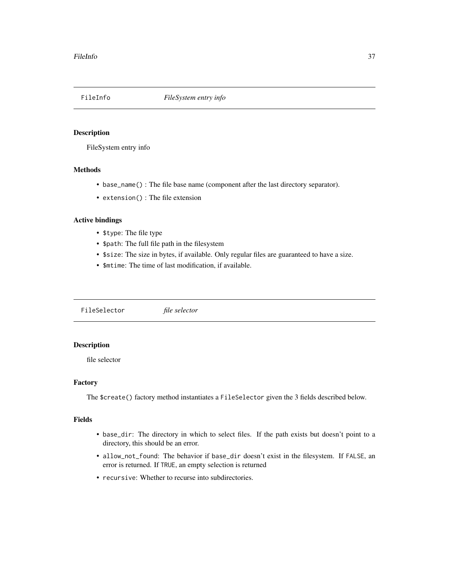<span id="page-36-1"></span>

FileSystem entry info

## Methods

- base\_name() : The file base name (component after the last directory separator).
- extension() : The file extension

#### Active bindings

- \$type: The file type
- \$path: The full file path in the filesystem
- \$size: The size in bytes, if available. Only regular files are guaranteed to have a size.
- \$mtime: The time of last modification, if available.

<span id="page-36-0"></span>FileSelector *file selector*

# Description

file selector

## Factory

The \$create() factory method instantiates a FileSelector given the 3 fields described below.

#### Fields

- base\_dir: The directory in which to select files. If the path exists but doesn't point to a directory, this should be an error.
- allow\_not\_found: The behavior if base\_dir doesn't exist in the filesystem. If FALSE, an error is returned. If TRUE, an empty selection is returned
- recursive: Whether to recurse into subdirectories.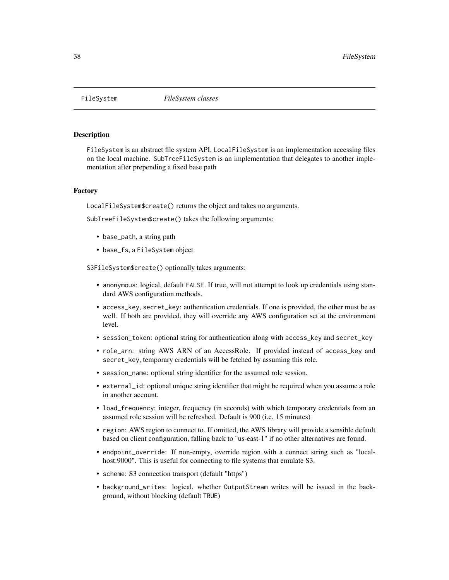<span id="page-37-0"></span>

FileSystem is an abstract file system API, LocalFileSystem is an implementation accessing files on the local machine. SubTreeFileSystem is an implementation that delegates to another implementation after prepending a fixed base path

#### Factory

LocalFileSystem\$create() returns the object and takes no arguments.

SubTreeFileSystem\$create() takes the following arguments:

- base\_path, a string path
- base\_fs, a FileSystem object

S3FileSystem\$create() optionally takes arguments:

- anonymous: logical, default FALSE. If true, will not attempt to look up credentials using standard AWS configuration methods.
- access\_key, secret\_key: authentication credentials. If one is provided, the other must be as well. If both are provided, they will override any AWS configuration set at the environment level.
- session\_token: optional string for authentication along with access\_key and secret\_key
- role\_arn: string AWS ARN of an AccessRole. If provided instead of access\_key and secret\_key, temporary credentials will be fetched by assuming this role.
- session\_name: optional string identifier for the assumed role session.
- external\_id: optional unique string identifier that might be required when you assume a role in another account.
- load\_frequency: integer, frequency (in seconds) with which temporary credentials from an assumed role session will be refreshed. Default is 900 (i.e. 15 minutes)
- region: AWS region to connect to. If omitted, the AWS library will provide a sensible default based on client configuration, falling back to "us-east-1" if no other alternatives are found.
- endpoint\_override: If non-empty, override region with a connect string such as "localhost:9000". This is useful for connecting to file systems that emulate S3.
- scheme: S3 connection transport (default "https")
- background\_writes: logical, whether OutputStream writes will be issued in the background, without blocking (default TRUE)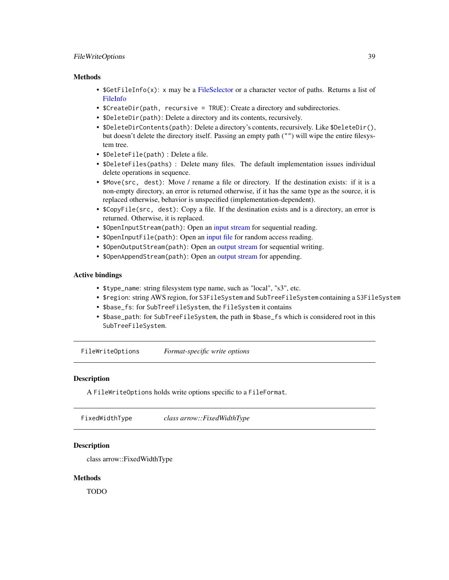## FileWriteOptions 39

#### **Methods**

- \$GetFileInfo(x): x may be a [FileSelector](#page-36-0) or a character vector of paths. Returns a list of [FileInfo](#page-36-1)
- \$CreateDir(path, recursive = TRUE): Create a directory and subdirectories.
- \$DeleteDir(path): Delete a directory and its contents, recursively.
- \$DeleteDirContents(path): Delete a directory's contents, recursively. Like \$DeleteDir(), but doesn't delete the directory itself. Passing an empty path ("") will wipe the entire filesystem tree.
- \$DeleteFile(path) : Delete a file.
- \$DeleteFiles(paths) : Delete many files. The default implementation issues individual delete operations in sequence.
- \$Move(src, dest): Move / rename a file or directory. If the destination exists: if it is a non-empty directory, an error is returned otherwise, if it has the same type as the source, it is replaced otherwise, behavior is unspecified (implementation-dependent).
- \$CopyFile(src, dest): Copy a file. If the destination exists and is a directory, an error is returned. Otherwise, it is replaced.
- \$0penInputStream(path): Open an [input stream](#page-43-0) for sequential reading.
- \$0penInputFile(path): Open an [input file](#page-43-1) for random access reading.
- \$OpenOutputStream(path): Open an [output stream](#page-57-0) for sequential writing.
- \$OpenAppendStream(path): Open an [output stream](#page-57-0) for appending.

### Active bindings

- \$type\_name: string filesystem type name, such as "local", "s3", etc.
- \$region: string AWS region, for S3FileSystem and SubTreeFileSystem containing a S3FileSystem
- \$base\_fs: for SubTreeFileSystem, the FileSystem it contains
- \$base\_path: for SubTreeFileSystem, the path in \$base\_fs which is considered root in this SubTreeFileSystem.

FileWriteOptions *Format-specific write options*

#### **Description**

A FileWriteOptions holds write options specific to a FileFormat.

FixedWidthType *class arrow::FixedWidthType*

## **Description**

class arrow::FixedWidthType

#### Methods

TODO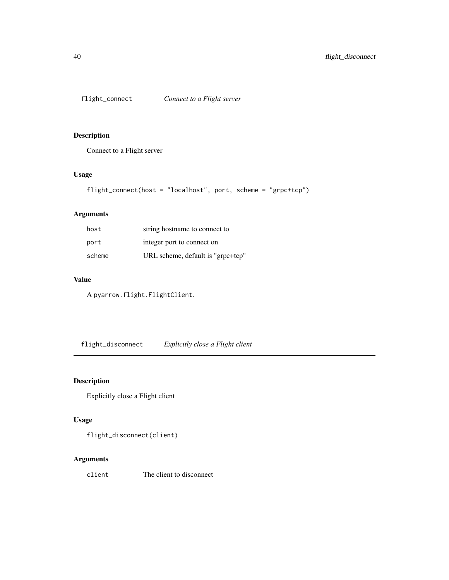<span id="page-39-0"></span>

Connect to a Flight server

## Usage

```
flight_connect(host = "localhost", port, scheme = "grpc+tcp")
```
# Arguments

| host   | string hostname to connect to     |  |
|--------|-----------------------------------|--|
| port   | integer port to connect on        |  |
| scheme | URL scheme, default is "grpc+tcp" |  |

# Value

A pyarrow.flight.FlightClient.

flight\_disconnect *Explicitly close a Flight client*

## Description

Explicitly close a Flight client

## Usage

flight\_disconnect(client)

# Arguments

client The client to disconnect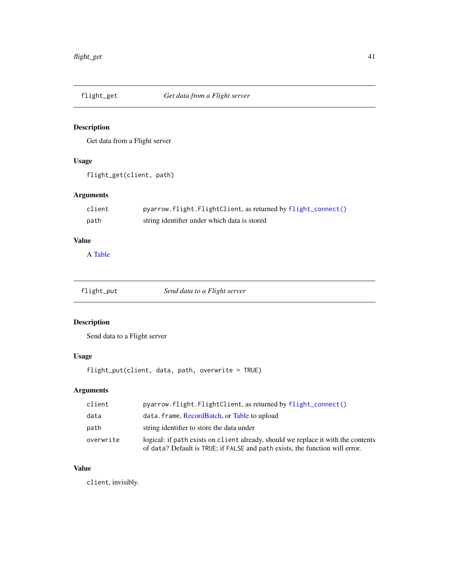Get data from a Flight server

# Usage

flight\_get(client, path)

# Arguments

| client | pyarrow.flight.FlightClient, as returned by flight_connect() |
|--------|--------------------------------------------------------------|
| path   | string identifier under which data is stored                 |

# Value

A [Table](#page-79-0)

| Send data to a Flight server<br>flight_put |  |
|--------------------------------------------|--|
|--------------------------------------------|--|

# Description

Send data to a Flight server

## Usage

flight\_put(client, data, path, overwrite = TRUE)

# Arguments

| client    | $p\gamma$ pyarrow.flight.FlightClient, as returned by flight_connect()                                                                                            |  |
|-----------|-------------------------------------------------------------------------------------------------------------------------------------------------------------------|--|
| data      | data. frame, RecordBatch, or Table to upload                                                                                                                      |  |
| path      | string identifier to store the data under                                                                                                                         |  |
| overwrite | logical: if path exists on client already, should we replace it with the contents<br>of data? Default is TRUE; if FALSE and path exists, the function will error. |  |

# Value

client, invisibly.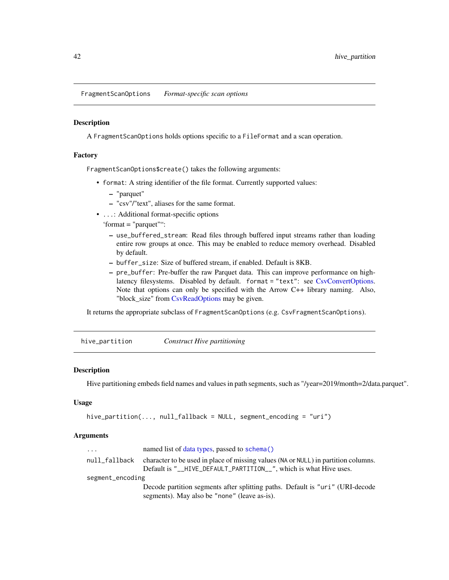FragmentScanOptions *Format-specific scan options*

#### **Description**

A FragmentScanOptions holds options specific to a FileFormat and a scan operation.

#### Factory

FragmentScanOptions\$create() takes the following arguments:

- format: A string identifier of the file format. Currently supported values:
	- "parquet"
	- "csv"/"text", aliases for the same format.
- ...: Additional format-specific options
	- 'format = "parquet"":
		- use\_buffered\_stream: Read files through buffered input streams rather than loading entire row groups at once. This may be enabled to reduce memory overhead. Disabled by default.
		- buffer\_size: Size of buffered stream, if enabled. Default is 8KB.
		- pre\_buffer: Pre-buffer the raw Parquet data. This can improve performance on highlatency filesystems. Disabled by default. format = "text": see [CsvConvertOptions.](#page-22-0) Note that options can only be specified with the Arrow C++ library naming. Also, "block\_size" from [CsvReadOptions](#page-22-1) may be given.

It returns the appropriate subclass of FragmentScanOptions (e.g. CsvFragmentScanOptions).

<span id="page-41-0"></span>hive\_partition *Construct Hive partitioning*

## **Description**

Hive partitioning embeds field names and values in path segments, such as "/year=2019/month=2/data.parquet".

## Usage

```
hive_partition(..., null_fallback = NULL, segment_encoding = "uri")
```

| $\cdots$         | named list of data types, passed to schema()                                                                                                          |  |
|------------------|-------------------------------------------------------------------------------------------------------------------------------------------------------|--|
| null_fallback    | character to be used in place of missing values (NA or NULL) in partition columns.<br>Default is "_HIVE_DEFAULT_PARTITION_", which is what Hive uses. |  |
| segment_encoding |                                                                                                                                                       |  |
|                  | Decode partition segments after splitting paths. Default is "uri" (URI-decode                                                                         |  |
|                  | segments). May also be "none" (leave as-is).                                                                                                          |  |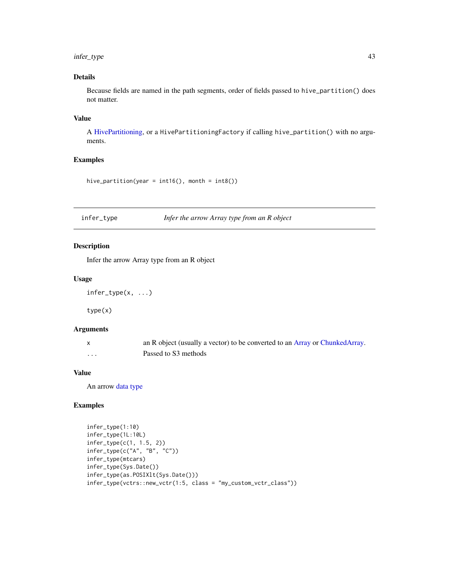## infer\_type 43

## Details

Because fields are named in the path segments, order of fields passed to hive\_partition() does not matter.

## Value

A [HivePartitioning,](#page-61-0) or a HivePartitioningFactory if calling hive\_partition() with no arguments.

## Examples

```
hive_partition(year = int16(), month = int8())
```
infer\_type *Infer the arrow Array type from an R object*

# Description

Infer the arrow Array type from an R object

## Usage

infer\_type(x, ...)

type(x)

### Arguments

|   | an R object (usually a vector) to be converted to an Array or ChunkedArray. |
|---|-----------------------------------------------------------------------------|
| . | Passed to S3 methods                                                        |

#### Value

An arrow [data type](#page-24-0)

## Examples

```
infer_type(1:10)
infer_type(1L:10L)
infer_type(c(1, 1.5, 2))
infer_type(c("A", "B", "C"))
infer_type(mtcars)
infer_type(Sys.Date())
infer_type(as.POSIXlt(Sys.Date()))
infer_type(vctrs::new_vctr(1:5, class = "my_custom_vctr_class"))
```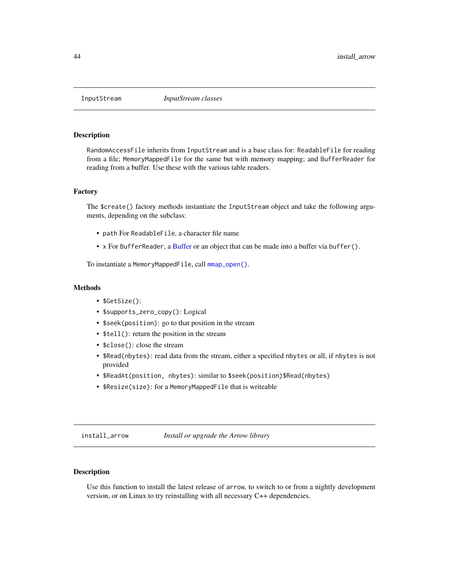<span id="page-43-1"></span><span id="page-43-0"></span>

RandomAccessFile inherits from InputStream and is a base class for: ReadableFile for reading from a file; MemoryMappedFile for the same but with memory mapping; and BufferReader for reading from a buffer. Use these with the various table readers.

### Factory

The \$create() factory methods instantiate the InputStream object and take the following arguments, depending on the subclass:

- path For ReadableFile, a character file name
- x For BufferReader, a [Buffer](#page-13-0) or an object that can be made into a buffer via buffer().

To instantiate a MemoryMappedFile, call [mmap\\_open\(\)](#page-50-0).

#### Methods

- \$GetSize():
- \$supports\_zero\_copy(): Logical
- \$seek(position): go to that position in the stream
- \$tell(): return the position in the stream
- \$close(): close the stream
- \$Read(nbytes): read data from the stream, either a specified nbytes or all, if nbytes is not provided
- \$ReadAt(position, nbytes): similar to \$seek(position)\$Read(nbytes)
- \$Resize(size): for a MemoryMappedFile that is writeable

install\_arrow *Install or upgrade the Arrow library*

## Description

Use this function to install the latest release of arrow, to switch to or from a nightly development version, or on Linux to try reinstalling with all necessary C++ dependencies.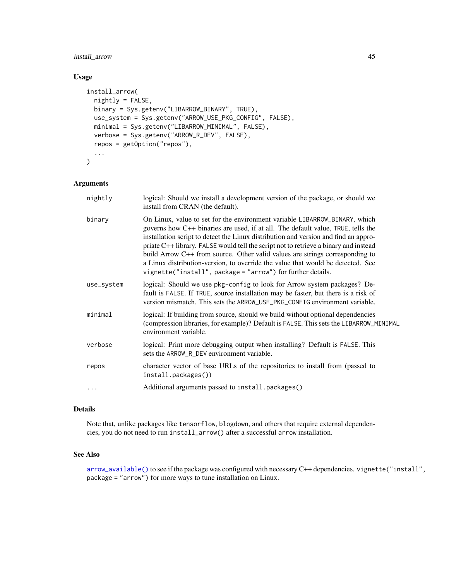## install\_arrow 45

## Usage

```
install_arrow(
 nightly = FALSE,
 binary = Sys.getenv("LIBARROW_BINARY", TRUE),
 use_system = Sys.getenv("ARROW_USE_PKG_CONFIG", FALSE),
 minimal = Sys.getenv("LIBARROW_MINIMAL", FALSE),
 verbose = Sys.getenv("ARROW_R_DEV", FALSE),
  repos = getOption("repos"),
  ...
\mathcal{L}
```
## Arguments

| nightly    | logical: Should we install a development version of the package, or should we<br>install from CRAN (the default).                                                                                                                                                                                                                                                                                                                                                                                                                                                               |  |
|------------|---------------------------------------------------------------------------------------------------------------------------------------------------------------------------------------------------------------------------------------------------------------------------------------------------------------------------------------------------------------------------------------------------------------------------------------------------------------------------------------------------------------------------------------------------------------------------------|--|
| binary     | On Linux, value to set for the environment variable LIBARROW_BINARY, which<br>governs how C++ binaries are used, if at all. The default value, TRUE, tells the<br>installation script to detect the Linux distribution and version and find an appro-<br>priate C++ library. FALSE would tell the script not to retrieve a binary and instead<br>build Arrow C++ from source. Other valid values are strings corresponding to<br>a Linux distribution-version, to override the value that would be detected. See<br>vignette("install", package = "arrow") for further details. |  |
| use_system | logical: Should we use pkg-config to look for Arrow system packages? De-<br>fault is FALSE. If TRUE, source installation may be faster, but there is a risk of<br>version mismatch. This sets the ARROW_USE_PKG_CONFIG environment variable.                                                                                                                                                                                                                                                                                                                                    |  |
| minimal    | logical: If building from source, should we build without optional dependencies<br>(compression libraries, for example)? Default is FALSE. This sets the LIBARROW_MINIMAL<br>environment variable.                                                                                                                                                                                                                                                                                                                                                                              |  |
| verbose    | logical: Print more debugging output when installing? Default is FALSE. This<br>sets the ARROW_R_DEV environment variable.                                                                                                                                                                                                                                                                                                                                                                                                                                                      |  |
| repos      | character vector of base URLs of the repositories to install from (passed to<br>install.packages())                                                                                                                                                                                                                                                                                                                                                                                                                                                                             |  |
|            | Additional arguments passed to install.packages()                                                                                                                                                                                                                                                                                                                                                                                                                                                                                                                               |  |
|            |                                                                                                                                                                                                                                                                                                                                                                                                                                                                                                                                                                                 |  |

# Details

Note that, unlike packages like tensorflow, blogdown, and others that require external dependencies, you do not need to run install\_arrow() after a successful arrow installation.

# See Also

[arrow\\_available\(\)](#page-6-0) to see if the package was configured with necessary C++ dependencies. vignette("install", package = "arrow") for more ways to tune installation on Linux.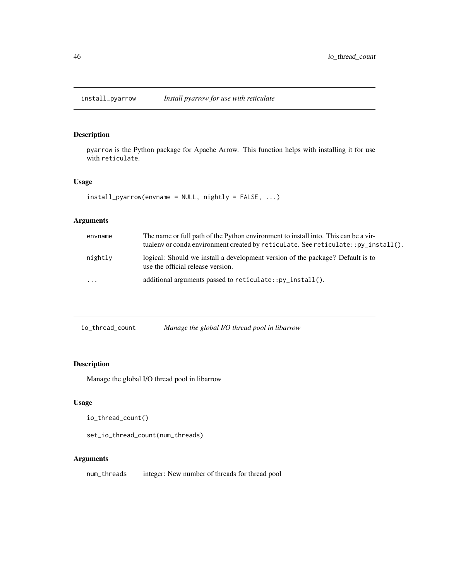pyarrow is the Python package for Apache Arrow. This function helps with installing it for use with reticulate.

## Usage

```
install_pyarrow(envname = NULL, nightly = FALSE, ...)
```
## Arguments

| envname  | The name or full path of the Python environment to install into. This can be a vir-<br>tualenv or conda environment created by reticulate. See reticulate:: py_install(). |
|----------|---------------------------------------------------------------------------------------------------------------------------------------------------------------------------|
| nightly  | logical: Should we install a development version of the package? Default is to<br>use the official release version.                                                       |
| $\cdots$ | additional arguments passed to $reticulate::pv_install()$ .                                                                                                               |

| io_thread_count | Manage the global I/O thread pool in libarrow |
|-----------------|-----------------------------------------------|
|-----------------|-----------------------------------------------|

# Description

Manage the global I/O thread pool in libarrow

## Usage

io\_thread\_count()

set\_io\_thread\_count(num\_threads)

## Arguments

num\_threads integer: New number of threads for thread pool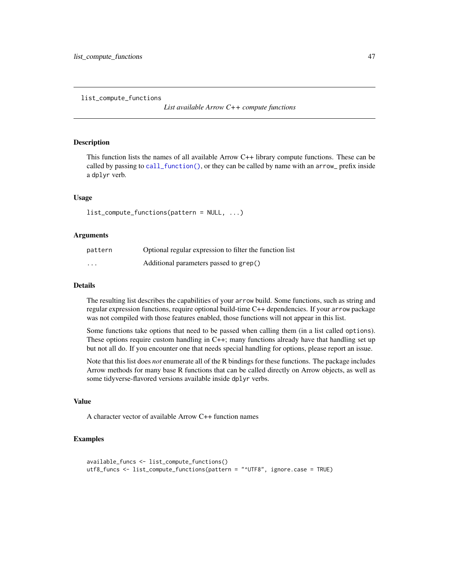list\_compute\_functions

*List available Arrow C++ compute functions*

#### Description

This function lists the names of all available Arrow C++ library compute functions. These can be called by passing to [call\\_function\(\)](#page-14-0), or they can be called by name with an arrow\_ prefix inside a dplyr verb.

### Usage

list\_compute\_functions(pattern = NULL, ...)

#### Arguments

| pattern  | Optional regular expression to filter the function list |
|----------|---------------------------------------------------------|
| $\cdots$ | Additional parameters passed to grep()                  |

### Details

The resulting list describes the capabilities of your arrow build. Some functions, such as string and regular expression functions, require optional build-time C++ dependencies. If your arrow package was not compiled with those features enabled, those functions will not appear in this list.

Some functions take options that need to be passed when calling them (in a list called options). These options require custom handling in C++; many functions already have that handling set up but not all do. If you encounter one that needs special handling for options, please report an issue.

Note that this list does *not* enumerate all of the R bindings for these functions. The package includes Arrow methods for many base R functions that can be called directly on Arrow objects, as well as some tidyverse-flavored versions available inside dplyr verbs.

#### Value

A character vector of available Arrow C++ function names

# Examples

```
available_funcs <- list_compute_functions()
utf8_funcs <- list_compute_functions(pattern = "^UTF8", ignore.case = TRUE)
```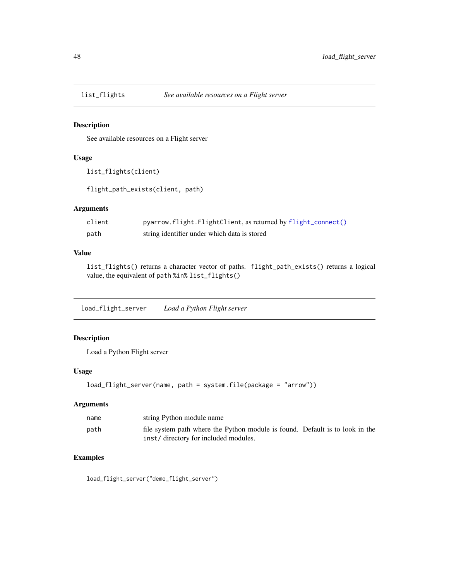See available resources on a Flight server

#### Usage

```
list_flights(client)
```
flight\_path\_exists(client, path)

## Arguments

| client | pyarrow.flight.FlightClient, as returned by flight_connect() |
|--------|--------------------------------------------------------------|
| path   | string identifier under which data is stored                 |

### Value

list\_flights() returns a character vector of paths. flight\_path\_exists() returns a logical value, the equivalent of path %in% list\_flights()

load\_flight\_server *Load a Python Flight server*

# Description

Load a Python Flight server

## Usage

```
load_flight_server(name, path = system.file(package = "arrow"))
```
## Arguments

| name | string Python module name                                                    |  |
|------|------------------------------------------------------------------------------|--|
| path | file system path where the Python module is found. Default is to look in the |  |
|      | inst/directory for included modules.                                         |  |

# Examples

load\_flight\_server("demo\_flight\_server")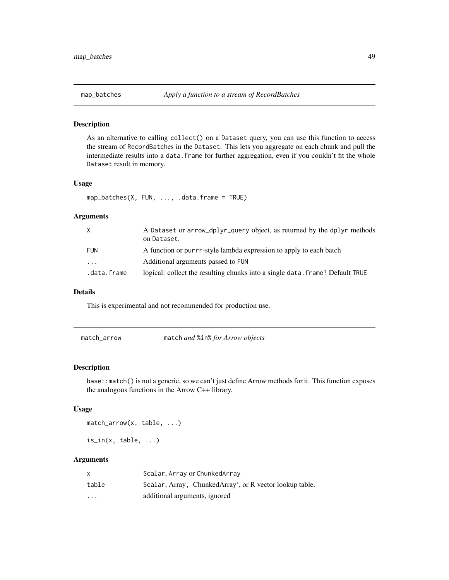As an alternative to calling collect() on a Dataset query, you can use this function to access the stream of RecordBatches in the Dataset. This lets you aggregate on each chunk and pull the intermediate results into a data.frame for further aggregation, even if you couldn't fit the whole Dataset result in memory.

#### Usage

```
map_batches(X, FUN, ..., .data.frame = TRUE)
```
#### Arguments

| X           | A Dataset or arrow_dplyr_query object, as returned by the dplyr methods<br>on Dataset. |
|-------------|----------------------------------------------------------------------------------------|
| FUN         | A function or purrr-style lambda expression to apply to each batch                     |
| .           | Additional arguments passed to FUN                                                     |
| .data.frame | logical: collect the resulting chunks into a single data. frame? Default TRUE          |

#### Details

This is experimental and not recommended for production use.

| match_arrow |  |  |
|-------------|--|--|
|-------------|--|--|

match\_arrow match *and* %in% *for Arrow objects*

### Description

base::match() is not a generic, so we can't just define Arrow methods for it. This function exposes the analogous functions in the Arrow C++ library.

#### Usage

match\_arrow(x, table, ...)

 $is_in(x, table, ...)$ 

|          | Scalar, Array or ChunkedArray                           |
|----------|---------------------------------------------------------|
| table    | Scalar, Array, ChunkedArray', or R vector lookup table. |
| $\cdots$ | additional arguments, ignored                           |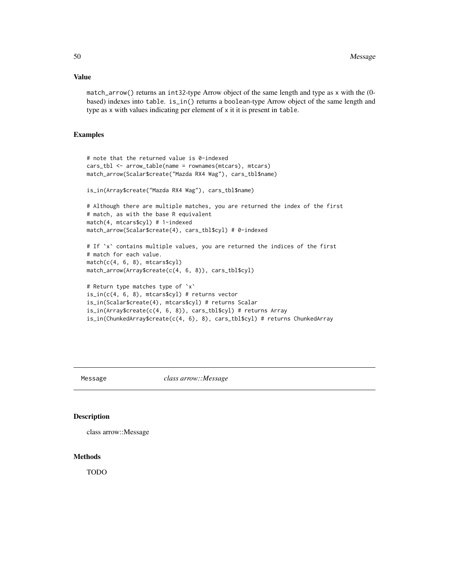## Value

match\_arrow() returns an int32-type Arrow object of the same length and type as x with the (0 based) indexes into table. is\_in() returns a boolean-type Arrow object of the same length and type as x with values indicating per element of x it it is present in table.

### Examples

```
# note that the returned value is 0-indexed
cars_tbl <- arrow_table(name = rownames(mtcars), mtcars)
match_arrow(Scalar$create("Mazda RX4 Wag"), cars_tbl$name)
is_in(Array$create("Mazda RX4 Wag"), cars_tbl$name)
# Although there are multiple matches, you are returned the index of the first
# match, as with the base R equivalent
match(4, mtcars$cyl) # 1-indexed
match_arrow(Scalar$create(4), cars_tbl$cyl) # 0-indexed
# If `x` contains multiple values, you are returned the indices of the first
# match for each value.
match(c(4, 6, 8), mtcars$cyl)
match_arrow(Array$create(c(4, 6, 8)), cars_tbl$cyl)
# Return type matches type of `x`
is_in(c(4, 6, 8), metcarss(cyl) # returns vector
is_in(Scalar$create(4), mtcars$cyl) # returns Scalar
is_in(Array$create(c(4, 6, 8)), cars_tbl$cyl) # returns Array
```
is\_in(ChunkedArray\$create(c(4, 6), 8), cars\_tbl\$cyl) # returns ChunkedArray

Message *class arrow::Message*

#### Description

```
class arrow::Message
```
## **Methods**

TODO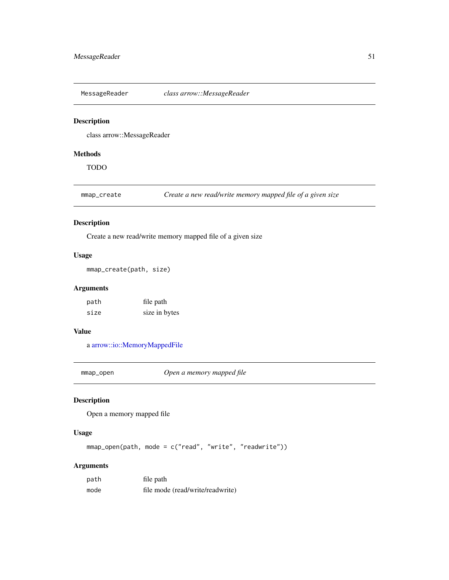MessageReader *class arrow::MessageReader*

# Description

class arrow::MessageReader

# Methods

TODO

mmap\_create *Create a new read/write memory mapped file of a given size*

## Description

Create a new read/write memory mapped file of a given size

## Usage

```
mmap_create(path, size)
```
## Arguments

path file path size size in bytes

# Value

a [arrow::io::MemoryMappedFile](#page-43-1)

<span id="page-50-0"></span>mmap\_open *Open a memory mapped file*

## Description

Open a memory mapped file

### Usage

mmap\_open(path, mode = c("read", "write", "readwrite"))

| path | file path                        |
|------|----------------------------------|
| mode | file mode (read/write/readwrite) |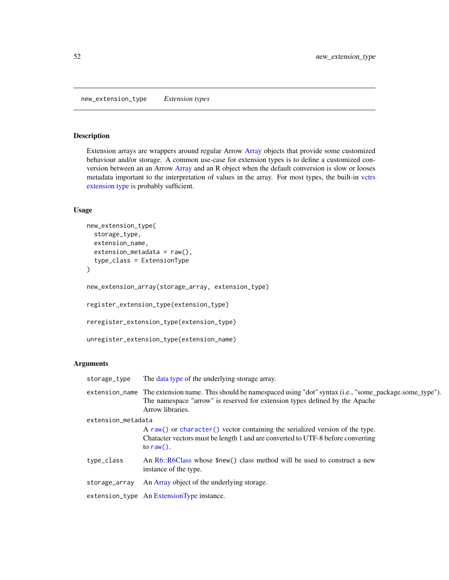<span id="page-51-1"></span><span id="page-51-0"></span>Extension arrays are wrappers around regular Arrow [Array](#page-3-0) objects that provide some customized behaviour and/or storage. A common use-case for extension types is to define a customized conversion between an an Arrow [Array](#page-3-0) and an R object when the default conversion is slow or looses metadata important to the interpretation of values in the array. For most types, the built-in [vctrs](#page-84-0) [extension type](#page-84-0) is probably sufficient.

# Usage

```
new_extension_type(
 storage_type,
 extension_name,
 extension_metadata = raw(),
  type_class = ExtensionType
)
new_extension_array(storage_array, extension_type)
register_extension_type(extension_type)
reregister_extension_type(extension_type)
unregister_extension_type(extension_name)
```

| storage_type       | The data type of the underlying storage array.                                                                                                                                                                       |
|--------------------|----------------------------------------------------------------------------------------------------------------------------------------------------------------------------------------------------------------------|
|                    | extension_name The extension name. This should be namespaced using "dot" syntax (i.e., "some_package.some_type").<br>The namespace "arrow" is reserved for extension types defined by the Apache<br>Arrow libraries. |
| extension_metadata |                                                                                                                                                                                                                      |
|                    | A raw() or character() vector containing the serialized version of the type.                                                                                                                                         |
|                    | Character vectors must be length 1 and are converted to UTF-8 before converting                                                                                                                                      |
|                    | to raw().                                                                                                                                                                                                            |
| type_class         | An R6::R6Class whose \$new() class method will be used to construct a new                                                                                                                                            |
|                    | instance of the type.                                                                                                                                                                                                |
| storage_array      | An Array object of the underlying storage.                                                                                                                                                                           |
|                    | extension_type An ExtensionType instance.                                                                                                                                                                            |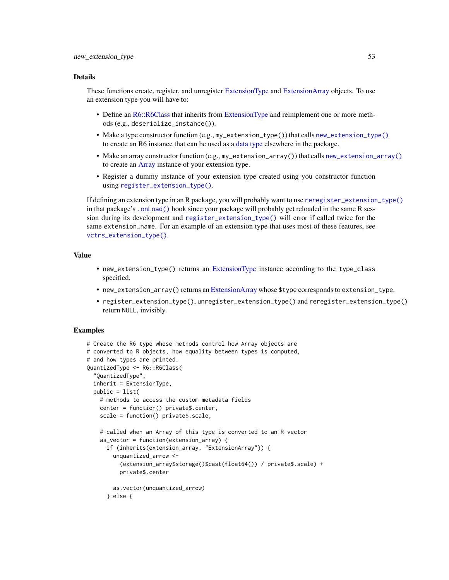#### Details

These functions create, register, and unregister [ExtensionType](#page-32-0) and [ExtensionArray](#page-32-1) objects. To use an extension type you will have to:

- Define an [R6::R6Class](#page-0-0) that inherits from [ExtensionType](#page-32-0) and reimplement one or more methods (e.g., deserialize\_instance()).
- Make a type constructor function (e.g.,  $my$  extension \_type()) that calls new \_extension \_type() to create an R6 instance that can be used as a [data type](#page-24-0) elsewhere in the package.
- Make an array constructor function (e.g., my\_extension\_array()) that calls [new\\_extension\\_array\(\)](#page-51-1) to create an [Array](#page-3-0) instance of your extension type.
- Register a dummy instance of your extension type created using you constructor function using [register\\_extension\\_type\(\)](#page-51-1).

If defining an extension type in an R package, you will probably want to use [reregister\\_extension\\_type\(\)](#page-51-1) in that package's [.onLoad\(\)](#page-0-0) hook since your package will probably get reloaded in the same R session during its development and [register\\_extension\\_type\(\)](#page-51-1) will error if called twice for the same extension\_name. For an example of an extension type that uses most of these features, see [vctrs\\_extension\\_type\(\)](#page-84-0).

## Value

- new\_extension\_type() returns an [ExtensionType](#page-32-0) instance according to the type\_class specified.
- new\_extension\_array() returns an [ExtensionArray](#page-32-1) whose \$type corresponds to extension\_type.
- register\_extension\_type(), unregister\_extension\_type() and reregister\_extension\_type() return NULL, invisibly.

## Examples

```
# Create the R6 type whose methods control how Array objects are
# converted to R objects, how equality between types is computed,
# and how types are printed.
QuantizedType <- R6::R6Class(
  "QuantizedType",
 inherit = ExtensionType,
 public = list(
   # methods to access the custom metadata fields
   center = function() private$.center,
   scale = function() private$.scale,
    # called when an Array of this type is converted to an R vector
   as_vector = function(extension_array) {
     if (inherits(extension_array, "ExtensionArray")) {
       unquantized_arrow <-
          (extension_array$storage()$cast(float64()) / private$.scale) +
          private$.center
       as.vector(unquantized_arrow)
      } else {
```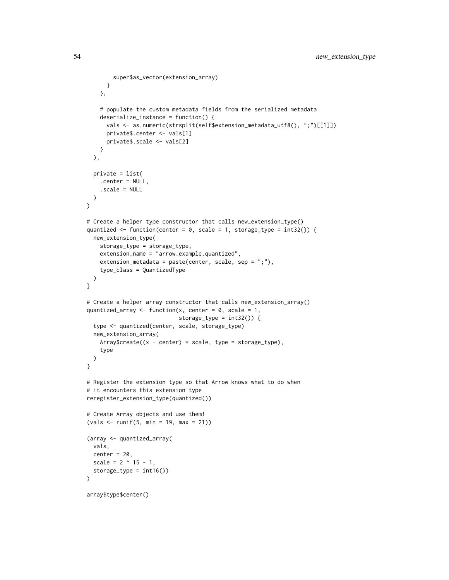```
super$as_vector(extension_array)
      }
   },
    # populate the custom metadata fields from the serialized metadata
    deserialize_instance = function() {
      vals <- as.numeric(strsplit(self$extension_metadata_utf8(), ";")[[1]])
      private$.center <- vals[1]
      private$.scale <- vals[2]
   }
  ),
  private = list(
    .center = NULL,
    .scale = NULL
  )
\mathcal{L}# Create a helper type constructor that calls new_extension_type()
quantized \leq function(center = 0, scale = 1, storage_type = int32()) {
 new_extension_type(
    storage_type = storage_type,
    extension_name = "arrow.example.quantized",
    extension_metadata = paste(center, scale, sep = ";"),
    type_class = QuantizedType
  )
}
# Create a helper array constructor that calls new_extension_array()
quantized_array <- function(x, center = 0, scale = 1,
                            storage_type = int32()) {
  type <- quantized(center, scale, storage_type)
  new_extension_array(
   Array\create((x - center) * scale, type = storage_type),
    type
  )
}
# Register the extension type so that Arrow knows what to do when
# it encounters this extension type
reregister_extension_type(quantized())
# Create Array objects and use them!
(vals <- runif(5, min = 19, max = 21))
(array <- quantized_array(
  vals,
  center = 20,
  scale = 2 \land 15 - 1,
  storage_type = int16())
\mathcal{L}array$type$center()
```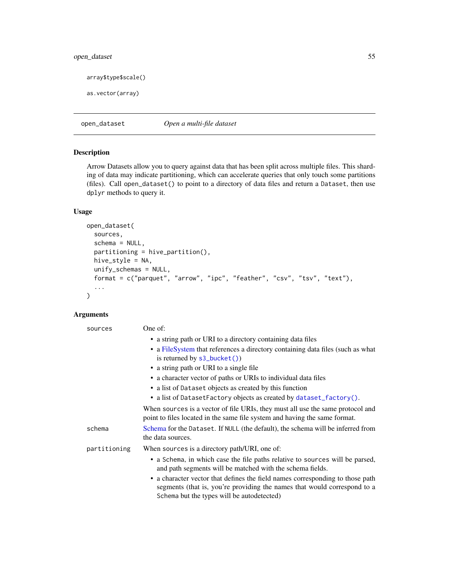# open\_dataset 55

```
array$type$scale()
```

```
as.vector(array)
```
open\_dataset *Open a multi-file dataset*

## Description

Arrow Datasets allow you to query against data that has been split across multiple files. This sharding of data may indicate partitioning, which can accelerate queries that only touch some partitions (files). Call open\_dataset() to point to a directory of data files and return a Dataset, then use dplyr methods to query it.

### Usage

```
open_dataset(
  sources,
  schema = NULL,
 partitioning = hive_partition(),
 hive_style = NA,
  unify_schemas = NULL,
  format = c("parquet", "arrow", "ipc", "feather", "csv", "tsv", "text"),
  ...
\mathcal{L}
```

| sources      | One of:                                                                                                                                                      |
|--------------|--------------------------------------------------------------------------------------------------------------------------------------------------------------|
|              | • a string path or URI to a directory containing data files                                                                                                  |
|              | • a FileSystem that references a directory containing data files (such as what<br>is returned by $s3_bucket()$                                               |
|              | • a string path or URI to a single file                                                                                                                      |
|              | • a character vector of paths or URIs to individual data files                                                                                               |
|              | • a list of Dataset objects as created by this function                                                                                                      |
|              | • a list of DatasetFactory objects as created by dataset_factory().                                                                                          |
|              | When sources is a vector of file URIs, they must all use the same protocol and<br>point to files located in the same file system and having the same format. |
| schema       | Schema for the Dataset. If NULL (the default), the schema will be inferred from<br>the data sources.                                                         |
| partitioning | When sources is a directory path/URI, one of:                                                                                                                |
|              | • a Schema, in which case the file paths relative to sources will be parsed,<br>and path segments will be matched with the schema fields.                    |
|              | • a character vector that defines the field names corresponding to those path<br>segments (that is, you're providing the names that would correspond to a    |
|              | Schema but the types will be autodetected)                                                                                                                   |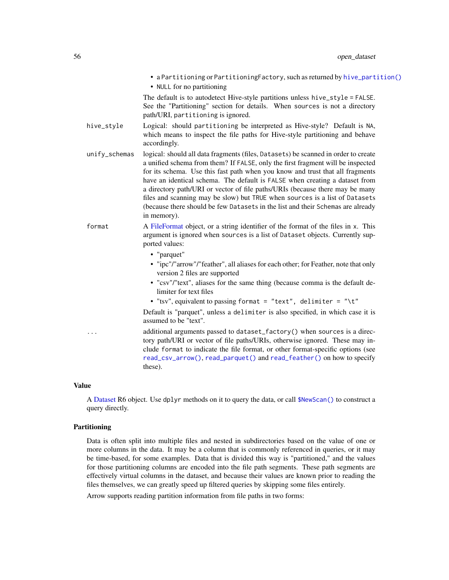|               | • a Partitioning or Partitioning Factory, such as returned by hive_partition()<br>• NULL for no partitioning                                                                                                                                                                                                                                                                                                                                                                                                                                                                                                         |
|---------------|----------------------------------------------------------------------------------------------------------------------------------------------------------------------------------------------------------------------------------------------------------------------------------------------------------------------------------------------------------------------------------------------------------------------------------------------------------------------------------------------------------------------------------------------------------------------------------------------------------------------|
|               | The default is to autodetect Hive-style partitions unless hive_style = FALSE.<br>See the "Partitioning" section for details. When sources is not a directory<br>path/URI, partitioning is ignored.                                                                                                                                                                                                                                                                                                                                                                                                                   |
| hive_style    | Logical: should partitioning be interpreted as Hive-style? Default is NA,<br>which means to inspect the file paths for Hive-style partitioning and behave<br>accordingly.                                                                                                                                                                                                                                                                                                                                                                                                                                            |
| unify_schemas | logical: should all data fragments (files, Datasets) be scanned in order to create<br>a unified schema from them? If FALSE, only the first fragment will be inspected<br>for its schema. Use this fast path when you know and trust that all fragments<br>have an identical schema. The default is FALSE when creating a dataset from<br>a directory path/URI or vector of file paths/URIs (because there may be many<br>files and scanning may be slow) but TRUE when sources is a list of Datasets<br>(because there should be few Datasets in the list and their Schemas are already<br>in memory).               |
| format        | A FileFormat object, or a string identifier of the format of the files in x. This<br>argument is ignored when sources is a list of Dataset objects. Currently sup-<br>ported values:<br>• "parquet"<br>• "ipc"/"arrow"/"feather", all aliases for each other; for Feather, note that only<br>version 2 files are supported<br>• "csv"/"text", aliases for the same thing (because comma is the default de-<br>limiter for text files<br>• "tsv", equivalent to passing format = "text", delimiter = "\t"<br>Default is "parquet", unless a delimiter is also specified, in which case it is<br>assumed to be "text". |
| .             | additional arguments passed to dataset_factory() when sources is a direc-<br>tory path/URI or vector of file paths/URIs, otherwise ignored. These may in-<br>clude format to indicate the file format, or other format-specific options (see<br>read_csv_arrow(), read_parquet() and read_feather() on how to specify<br>these).                                                                                                                                                                                                                                                                                     |
|               |                                                                                                                                                                                                                                                                                                                                                                                                                                                                                                                                                                                                                      |

## Value

A [Dataset](#page-28-0) R6 object. Use dplyr methods on it to query the data, or call [\\$NewScan\(\)](#page-77-0) to construct a query directly.

# Partitioning

Data is often split into multiple files and nested in subdirectories based on the value of one or more columns in the data. It may be a column that is commonly referenced in queries, or it may be time-based, for some examples. Data that is divided this way is "partitioned," and the values for those partitioning columns are encoded into the file path segments. These path segments are effectively virtual columns in the dataset, and because their values are known prior to reading the files themselves, we can greatly speed up filtered queries by skipping some files entirely.

Arrow supports reading partition information from file paths in two forms: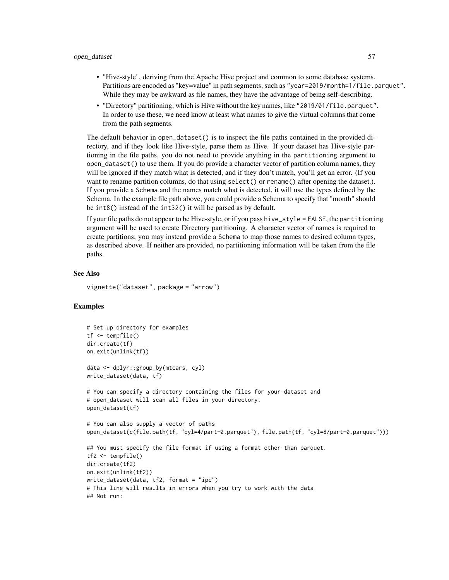- "Hive-style", deriving from the Apache Hive project and common to some database systems. Partitions are encoded as "key=value" in path segments, such as "year=2019/month=1/file.parquet". While they may be awkward as file names, they have the advantage of being self-describing.
- "Directory" partitioning, which is Hive without the key names, like "2019/01/file.parquet". In order to use these, we need know at least what names to give the virtual columns that come from the path segments.

The default behavior in open\_dataset() is to inspect the file paths contained in the provided directory, and if they look like Hive-style, parse them as Hive. If your dataset has Hive-style partioning in the file paths, you do not need to provide anything in the partitioning argument to open\_dataset() to use them. If you do provide a character vector of partition column names, they will be ignored if they match what is detected, and if they don't match, you'll get an error. (If you want to rename partition columns, do that using select() or rename() after opening the dataset.). If you provide a Schema and the names match what is detected, it will use the types defined by the Schema. In the example file path above, you could provide a Schema to specify that "month" should be int8() instead of the int32() it will be parsed as by default.

If your file paths do not appear to be Hive-style, or if you pass hive\_style = FALSE, the partitioning argument will be used to create Directory partitioning. A character vector of names is required to create partitions; you may instead provide a Schema to map those names to desired column types, as described above. If neither are provided, no partitioning information will be taken from the file paths.

## See Also

vignette("dataset", package = "arrow")

## Examples

```
# Set up directory for examples
tf <- tempfile()
dir.create(tf)
on.exit(unlink(tf))
data <- dplyr::group_by(mtcars, cyl)
write_dataset(data, tf)
# You can specify a directory containing the files for your dataset and
# open_dataset will scan all files in your directory.
open_dataset(tf)
# You can also supply a vector of paths
open_dataset(c(file.path(tf, "cyl=4/part-0.parquet"), file.path(tf, "cyl=8/part-0.parquet")))
## You must specify the file format if using a format other than parquet.
tf2 <- tempfile()
dir.create(tf2)
on.exit(unlink(tf2))
write_dataset(data, tf2, format = "ipc")
# This line will results in errors when you try to work with the data
## Not run:
```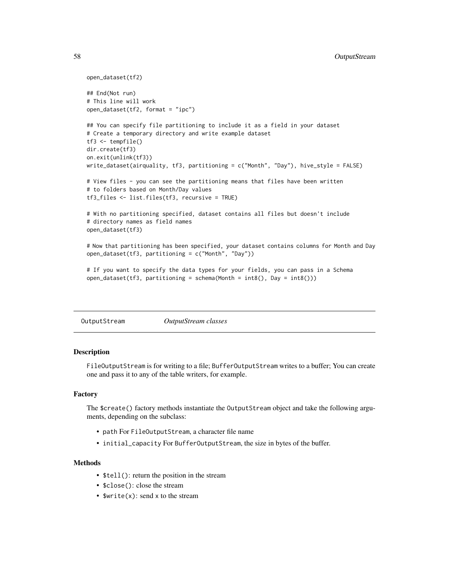```
open_dataset(tf2)
## End(Not run)
# This line will work
open_dataset(tf2, format = "ipc")
## You can specify file partitioning to include it as a field in your dataset
# Create a temporary directory and write example dataset
tf3 <- tempfile()
dir.create(tf3)
on.exit(unlink(tf3))
write_dataset(airquality, tf3, partitioning = c("Month", "Day"), hive_style = FALSE)
# View files - you can see the partitioning means that files have been written
# to folders based on Month/Day values
tf3_files <- list.files(tf3, recursive = TRUE)
# With no partitioning specified, dataset contains all files but doesn't include
# directory names as field names
open_dataset(tf3)
# Now that partitioning has been specified, your dataset contains columns for Month and Day
open_dataset(tf3, partitioning = c("Month", "Day"))
# If you want to specify the data types for your fields, you can pass in a Schema
open_dataset(tf3, partitioning = schema(Month = int8(), Day = int8()))
```
<span id="page-57-0"></span>

| OutputStream | <i>OutputStream classes</i> |
|--------------|-----------------------------|
|--------------|-----------------------------|

FileOutputStream is for writing to a file; BufferOutputStream writes to a buffer; You can create one and pass it to any of the table writers, for example.

### Factory

The \$create() factory methods instantiate the OutputStream object and take the following arguments, depending on the subclass:

- path For FileOutputStream, a character file name
- initial\_capacity For BufferOutputStream, the size in bytes of the buffer.

## **Methods**

- \$tell(): return the position in the stream
- \$close(): close the stream
- \$write(x): send x to the stream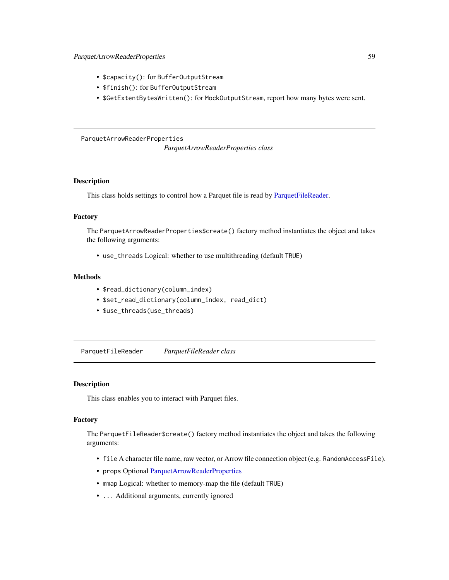- \$capacity(): for BufferOutputStream
- \$finish(): for BufferOutputStream
- \$GetExtentBytesWritten(): for MockOutputStream, report how many bytes were sent.

## <span id="page-58-1"></span>ParquetArrowReaderProperties

*ParquetArrowReaderProperties class*

# **Description**

This class holds settings to control how a Parquet file is read by [ParquetFileReader.](#page-58-0)

## Factory

The ParquetArrowReaderProperties\$create() factory method instantiates the object and takes the following arguments:

• use\_threads Logical: whether to use multithreading (default TRUE)

## Methods

- \$read\_dictionary(column\_index)
- \$set\_read\_dictionary(column\_index, read\_dict)
- \$use\_threads(use\_threads)

<span id="page-58-0"></span>ParquetFileReader *ParquetFileReader class*

#### Description

This class enables you to interact with Parquet files.

### Factory

The ParquetFileReader\$create() factory method instantiates the object and takes the following arguments:

- file A character file name, raw vector, or Arrow file connection object (e.g. RandomAccessFile).
- props Optional [ParquetArrowReaderProperties](#page-58-1)
- mmap Logical: whether to memory-map the file (default TRUE)
- ... Additional arguments, currently ignored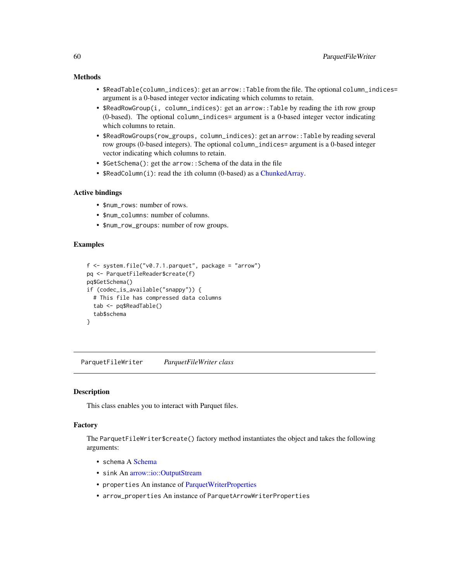## Methods

- \$ReadTable(column\_indices): get an arrow::Table from the file. The optional column\_indices= argument is a 0-based integer vector indicating which columns to retain.
- \$ReadRowGroup(i, column\_indices): get an arrow::Table by reading the ith row group (0-based). The optional column\_indices= argument is a 0-based integer vector indicating which columns to retain.
- \$ReadRowGroups(row\_groups, column\_indices): get an arrow::Table by reading several row groups (0-based integers). The optional column\_indices= argument is a 0-based integer vector indicating which columns to retain.
- \$GetSchema(): get the arrow::Schema of the data in the file
- \$ReadColumn(i): read the ith column (0-based) as a [ChunkedArray.](#page-15-0)

## Active bindings

- \$num\_rows: number of rows.
- \$num\_columns: number of columns.
- \$num\_row\_groups: number of row groups.

## Examples

```
f <- system.file("v0.7.1.parquet", package = "arrow")
pq <- ParquetFileReader$create(f)
pq$GetSchema()
if (codec_is_available("snappy")) {
 # This file has compressed data columns
 tab <- pq$ReadTable()
 tab$schema
}
```
<span id="page-59-0"></span>ParquetFileWriter *ParquetFileWriter class*

#### **Description**

This class enables you to interact with Parquet files.

#### Factory

The ParquetFileWriter\$create() factory method instantiates the object and takes the following arguments:

- schema A [Schema](#page-78-1)
- sink An [arrow::io::OutputStream](#page-57-0)
- properties An instance of [ParquetWriterProperties](#page-60-0)
- arrow\_properties An instance of ParquetArrowWriterProperties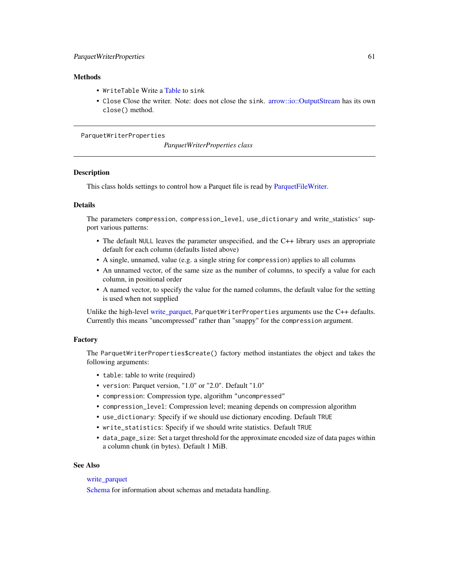## **Methods**

- WriteTable Write a [Table](#page-79-0) to sink
- Close Close the writer. Note: does not close the sink. [arrow::io::OutputStream](#page-57-0) has its own close() method.

#### <span id="page-60-0"></span>ParquetWriterProperties

*ParquetWriterProperties class*

## **Description**

This class holds settings to control how a Parquet file is read by [ParquetFileWriter.](#page-59-0)

## Details

The parameters compression, compression\_level, use\_dictionary and write\_statistics' support various patterns:

- The default NULL leaves the parameter unspecified, and the C++ library uses an appropriate default for each column (defaults listed above)
- A single, unnamed, value (e.g. a single string for compression) applies to all columns
- An unnamed vector, of the same size as the number of columns, to specify a value for each column, in positional order
- A named vector, to specify the value for the named columns, the default value for the setting is used when not supplied

Unlike the high-level [write\\_parquet,](#page-91-0) ParquetWriterProperties arguments use the C++ defaults. Currently this means "uncompressed" rather than "snappy" for the compression argument.

#### Factory

The ParquetWriterProperties\$create() factory method instantiates the object and takes the following arguments:

- table: table to write (required)
- version: Parquet version, "1.0" or "2.0". Default "1.0"
- compression: Compression type, algorithm "uncompressed"
- compression\_level: Compression level; meaning depends on compression algorithm
- use\_dictionary: Specify if we should use dictionary encoding. Default TRUE
- write\_statistics: Specify if we should write statistics. Default TRUE
- data\_page\_size: Set a target threshold for the approximate encoded size of data pages within a column chunk (in bytes). Default 1 MiB.

#### See Also

## [write\\_parquet](#page-91-0)

[Schema](#page-78-1) for information about schemas and metadata handling.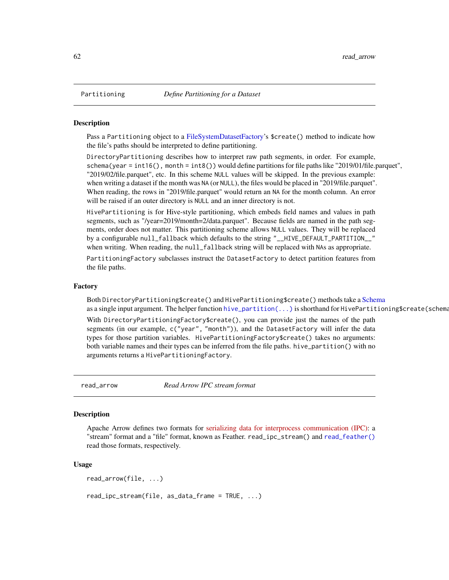<span id="page-61-0"></span>

Pass a Partitioning object to a [FileSystemDatasetFactory'](#page-28-1)s \$create() method to indicate how the file's paths should be interpreted to define partitioning.

DirectoryPartitioning describes how to interpret raw path segments, in order. For example, schema(year = int16(), month = int8()) would define partitions for file paths like "2019/01/file.parquet", "2019/02/file.parquet", etc. In this scheme NULL values will be skipped. In the previous example: when writing a dataset if the month was NA (or NULL), the files would be placed in "2019/file.parquet". When reading, the rows in "2019/file.parquet" would return an NA for the month column. An error will be raised if an outer directory is NULL and an inner directory is not.

HivePartitioning is for Hive-style partitioning, which embeds field names and values in path segments, such as "/year=2019/month=2/data.parquet". Because fields are named in the path segments, order does not matter. This partitioning scheme allows NULL values. They will be replaced by a configurable null\_fallback which defaults to the string "\_\_HIVE\_DEFAULT\_PARTITION\_\_" when writing. When reading, the null\_fallback string will be replaced with NAs as appropriate.

PartitioningFactory subclasses instruct the DatasetFactory to detect partition features from the file paths.

### Factory

Both DirectoryPartitioning\$create() and HivePartitioning\$create() methods take a [Schema](#page-78-1) as a single input argument. The helper function [hive\\_partition\(...\)](#page-41-0) is shorthand for HivePartitioning\$create(schema

With DirectoryPartitioningFactory\$create(), you can provide just the names of the path segments (in our example, c("year", "month")), and the DatasetFactory will infer the data types for those partition variables. HivePartitioningFactory\$create() takes no arguments: both variable names and their types can be inferred from the file paths. hive\_partition() with no arguments returns a HivePartitioningFactory.

read\_arrow *Read Arrow IPC stream format*

#### Description

Apache Arrow defines two formats for [serializing data for interprocess communication \(IPC\):](https://arrow.apache.org/docs/format/Columnar.html#serialization-and-interprocess-communication-ipc) a "stream" format and a "file" format, known as Feather. read\_ipc\_stream() and [read\\_feather\(\)](#page-66-0) read those formats, respectively.

#### Usage

read\_arrow(file, ...) read\_ipc\_stream(file, as\_data\_frame = TRUE, ...)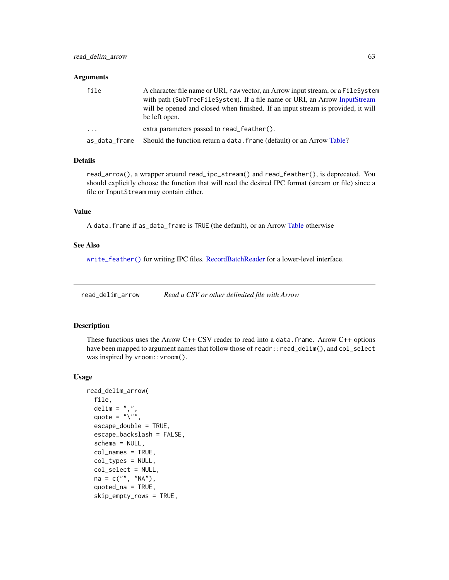#### Arguments

| file          | A character file name or URI, raw vector, an Arrow input stream, or a FileSystem<br>with path (SubTreeFileSystem). If a file name or URI, an Arrow InputStream<br>will be opened and closed when finished. If an input stream is provided, it will<br>be left open. |
|---------------|---------------------------------------------------------------------------------------------------------------------------------------------------------------------------------------------------------------------------------------------------------------------|
| $\cdots$      | extra parameters passed to read feather().                                                                                                                                                                                                                          |
| as_data_frame | Should the function return a data. frame (default) or an Arrow Table?                                                                                                                                                                                               |

### Details

read\_arrow(), a wrapper around read\_ipc\_stream() and read\_feather(), is deprecated. You should explicitly choose the function that will read the desired IPC format (stream or file) since a file or InputStream may contain either.

#### Value

A data.frame if as\_data\_frame is TRUE (the default), or an Arrow [Table](#page-79-0) otherwise

## See Also

[write\\_feather\(\)](#page-89-0) for writing IPC files. [RecordBatchReader](#page-72-0) for a lower-level interface.

read\_delim\_arrow *Read a CSV or other delimited file with Arrow*

# <span id="page-62-0"></span>Description

These functions uses the Arrow  $C++$  CSV reader to read into a data. frame. Arrow  $C++$  options have been mapped to argument names that follow those of readr::read\_delim(), and col\_select was inspired by vroom::vroom().

#### Usage

```
read_delim_arrow(
  file,
  delim = ",",quote = "\rangle",
  escape_double = TRUE,
  escape_backslash = FALSE,
  schema = NULL,
  col_names = TRUE,
  col_types = NULL,
  col_select = NULL,
  na = c("", "NA"),
  quoted_na = TRUE,
  skip_empty_rows = TRUE,
```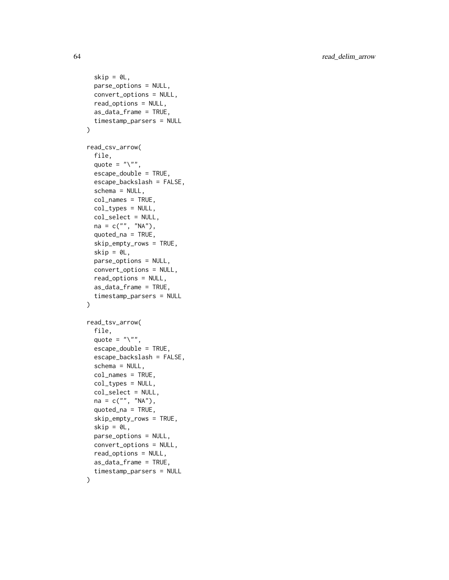```
skip = 0L,
 parse_options = NULL,
 convert_options = NULL,
  read_options = NULL,
  as_data_frame = TRUE,
  timestamp_parsers = NULL
\mathcal{L}read_csv_arrow(
  file,
  quote = "\}'.
  escape_double = TRUE,
  escape_backslash = FALSE,
  schema = NULL,
  col_names = TRUE,
  col_types = NULL,
  col_select = NULL,
  na = c("", "NA"),
  quoted_na = TRUE,
  skip_empty_rows = TRUE,
  skip = 0.1parse_options = NULL,
  convert_options = NULL,
  read_options = NULL,
  as_data_frame = TRUE,
  timestamp_parsers = NULL
\mathcal{L}read_tsv_arrow(
  file,
  quote = "\rangle",
  escape_double = TRUE,
  escape_backslash = FALSE,
  schema = NULL,
  col_names = TRUE,
  col_types = NULL,
  col_select = NULL,
 na = c("", "NA"),
  quoted_na = TRUE,
  skip_empty_rows = TRUE,
  skip = 0.1parse_options = NULL,
  convert_options = NULL,
  read_options = NULL,
  as_data_frame = TRUE,
  timestamp_parsers = NULL
)
```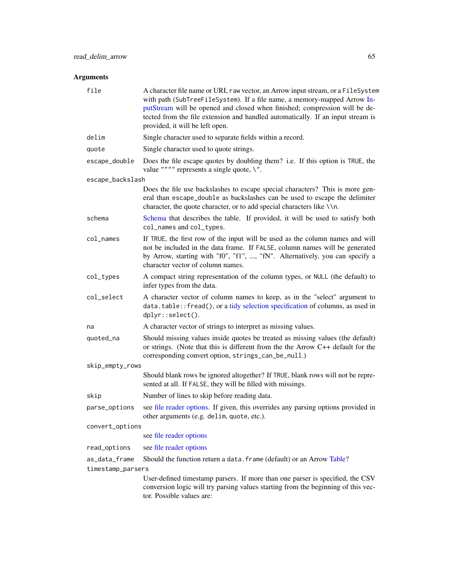| file                   | A character file name or URI, raw vector, an Arrow input stream, or a FileSystem<br>with path (SubTreeFileSystem). If a file name, a memory-mapped Arrow In-<br>putStream will be opened and closed when finished; compression will be de-<br>tected from the file extension and handled automatically. If an input stream is<br>provided, it will be left open. |
|------------------------|------------------------------------------------------------------------------------------------------------------------------------------------------------------------------------------------------------------------------------------------------------------------------------------------------------------------------------------------------------------|
| delim                  | Single character used to separate fields within a record.                                                                                                                                                                                                                                                                                                        |
| quote                  | Single character used to quote strings.                                                                                                                                                                                                                                                                                                                          |
| escape_double          | Does the file escape quotes by doubling them? i.e. If this option is TRUE, the<br>value """" represents a single quote, $\Upsilon$ ".                                                                                                                                                                                                                            |
| escape_backslash       |                                                                                                                                                                                                                                                                                                                                                                  |
|                        | Does the file use backslashes to escape special characters? This is more gen-<br>eral than escape_double as backslashes can be used to escape the delimiter<br>character, the quote character, or to add special characters like \\n.                                                                                                                            |
| schema                 | Schema that describes the table. If provided, it will be used to satisfy both<br>col_names and col_types.                                                                                                                                                                                                                                                        |
| $col$ <sub>mames</sub> | If TRUE, the first row of the input will be used as the column names and will<br>not be included in the data frame. If FALSE, column names will be generated<br>by Arrow, starting with "f0", "f1", , "fN". Alternatively, you can specify a<br>character vector of column names.                                                                                |
| col_types              | A compact string representation of the column types, or NULL (the default) to<br>infer types from the data.                                                                                                                                                                                                                                                      |
| col_select             | A character vector of column names to keep, as in the "select" argument to<br>data.table::fread(), or a tidy selection specification of columns, as used in<br>dplyr::select().                                                                                                                                                                                  |
| na                     | A character vector of strings to interpret as missing values.                                                                                                                                                                                                                                                                                                    |
| quoted_na              | Should missing values inside quotes be treated as missing values (the default)<br>or strings. (Note that this is different from the the Arrow C++ default for the<br>corresponding convert option, strings_can_be_null.)                                                                                                                                         |
| skip_empty_rows        |                                                                                                                                                                                                                                                                                                                                                                  |
|                        | Should blank rows be ignored altogether? If TRUE, blank rows will not be repre-<br>sented at all. If FALSE, they will be filled with missings.                                                                                                                                                                                                                   |
| skip                   | Number of lines to skip before reading data.                                                                                                                                                                                                                                                                                                                     |
| parse_options          | see file reader options. If given, this overrides any parsing options provided in<br>other arguments (e.g. delim, quote, etc.).                                                                                                                                                                                                                                  |
| convert_options        |                                                                                                                                                                                                                                                                                                                                                                  |
|                        | see file reader options                                                                                                                                                                                                                                                                                                                                          |
| read_options           | see file reader options                                                                                                                                                                                                                                                                                                                                          |
| as data frame          | Should the function return a data. frame (default) or an Arrow Table?                                                                                                                                                                                                                                                                                            |
| timestamp_parsers      |                                                                                                                                                                                                                                                                                                                                                                  |
|                        | User-defined timestamp parsers. If more than one parser is specified, the CSV<br>conversion logic will try parsing values starting from the beginning of this vec-<br>tor. Possible values are:                                                                                                                                                                  |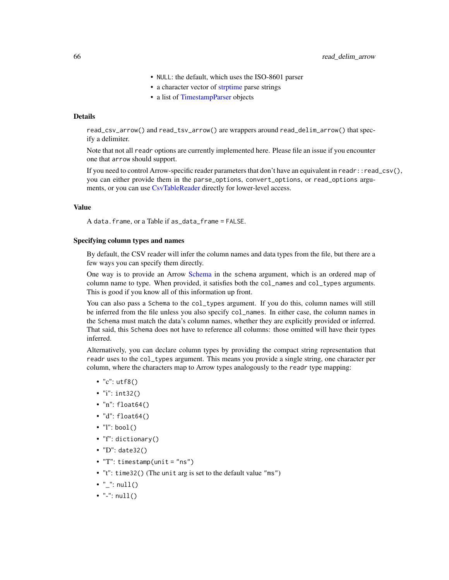- NULL: the default, which uses the ISO-8601 parser
- a character vector of [strptime](#page-0-0) parse strings
- a list of [TimestampParser](#page-22-0) objects

## Details

read\_csv\_arrow() and read\_tsv\_arrow() are wrappers around read\_delim\_arrow() that specify a delimiter.

Note that not all readr options are currently implemented here. Please file an issue if you encounter one that arrow should support.

If you need to control Arrow-specific reader parameters that don't have an equivalent in readr::read\_csv(), you can either provide them in the parse\_options, convert\_options, or read\_options arguments, or you can use [CsvTableReader](#page-23-0) directly for lower-level access.

## Value

A data.frame, or a Table if as\_data\_frame = FALSE.

#### Specifying column types and names

By default, the CSV reader will infer the column names and data types from the file, but there are a few ways you can specify them directly.

One way is to provide an Arrow [Schema](#page-78-1) in the schema argument, which is an ordered map of column name to type. When provided, it satisfies both the col\_names and col\_types arguments. This is good if you know all of this information up front.

You can also pass a Schema to the col\_types argument. If you do this, column names will still be inferred from the file unless you also specify col\_names. In either case, the column names in the Schema must match the data's column names, whether they are explicitly provided or inferred. That said, this Schema does not have to reference all columns: those omitted will have their types inferred.

Alternatively, you can declare column types by providing the compact string representation that readr uses to the col\_types argument. This means you provide a single string, one character per column, where the characters map to Arrow types analogously to the readr type mapping:

- "c": utf8()
- "i": int32()
- $\text{"n": } \text{float64()}$
- "d": float64()
- $\bullet$  "l": bool()
- "f": dictionary()
- "D": date32()
- "T": timestamp(unit = "ns")
- "t": time32() (The unit arg is set to the default value "ms")
- $" ": null()$
- $"='': null()$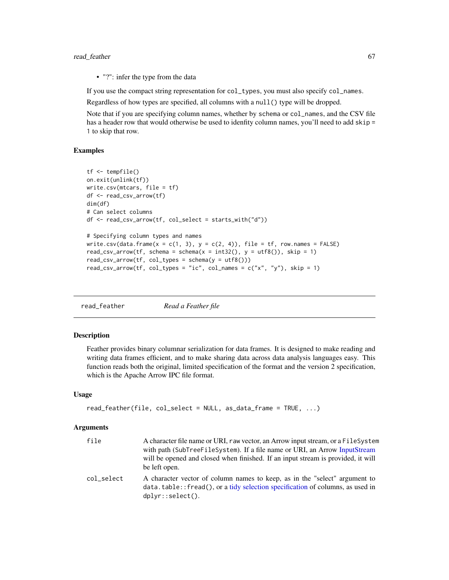## read\_feather 67 and 50 and 67 and 67 and 67 and 67 and 67 and 67 and 67 and 67 and 67 and 67 and 67 and 67 and 67 and 67 and 67 and 67 and 67 and 67 and 67 and 67 and 67 and 67 and 67 and 67 and 67 and 67 and 67 and 67 and

• "?": infer the type from the data

If you use the compact string representation for col\_types, you must also specify col\_names.

Regardless of how types are specified, all columns with a null() type will be dropped.

Note that if you are specifying column names, whether by schema or col\_names, and the CSV file has a header row that would otherwise be used to idenfity column names, you'll need to add skip = 1 to skip that row.

### Examples

```
tf <- tempfile()
on.exit(unlink(tf))
write.csv(mtcars, file = tf)
df <- read_csv_arrow(tf)
dim(df)
# Can select columns
df <- read_csv_arrow(tf, col_select = starts_with("d"))
# Specifying column types and names
write.csv(data.frame(x = c(1, 3), y = c(2, 4)), file = tf, row.names = FALSE)
read_csv_arrow(tf, schema = schema(x = int32(), y = utf8()), skip = 1)
read_csv_arrow(tf, col_types = schema(y = utf8())read_csv_arrow(tf, col_types = "ic", col_names = c("x", "y"), skip = 1)
```
<span id="page-66-0"></span>read\_feather *Read a Feather file*

## **Description**

Feather provides binary columnar serialization for data frames. It is designed to make reading and writing data frames efficient, and to make sharing data across data analysis languages easy. This function reads both the original, limited specification of the format and the version 2 specification, which is the Apache Arrow IPC file format.

## Usage

```
read_feather(file, col_select = NULL, as_data_frame = TRUE, ...)
```

| file       | A character file name or URI, raw vector, an Arrow input stream, or a FileSystem<br>with path (SubTreeFileSystem). If a file name or URI, an Arrow InputStream<br>will be opened and closed when finished. If an input stream is provided, it will<br>be left open. |
|------------|---------------------------------------------------------------------------------------------------------------------------------------------------------------------------------------------------------------------------------------------------------------------|
| col_select | A character vector of column names to keep, as in the "select" argument to<br>data.table::fread(), or a tidy selection specification of columns, as used in<br>$dplyr::select()$ .                                                                                  |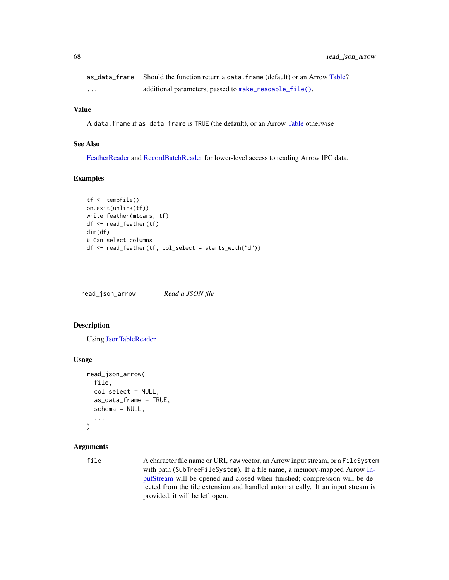|         | as_data_frame Should the function return a data. frame (default) or an Arrow Table? |
|---------|-------------------------------------------------------------------------------------|
| $\cdot$ | additional parameters, passed to make_readable_file().                              |

#### Value

A data.frame if as\_data\_frame is TRUE (the default), or an Arrow [Table](#page-79-0) otherwise

## See Also

[FeatherReader](#page-33-0) and [RecordBatchReader](#page-72-0) for lower-level access to reading Arrow IPC data.

## Examples

```
tf <- tempfile()
on.exit(unlink(tf))
write_feather(mtcars, tf)
df <- read_feather(tf)
dim(df)
# Can select columns
df <- read_feather(tf, col_select = starts_with("d"))
```
read\_json\_arrow *Read a JSON file*

# Description

Using [JsonTableReader](#page-23-1)

#### Usage

```
read_json_arrow(
  file,
  col_select = NULL,
  as_data_frame = TRUE,
  schema = NULL,
  ...
)
```
# Arguments

file A character file name or URI, raw vector, an Arrow input stream, or a FileSystem with path (SubTreeFileSystem). If a file name, a memory-mapped Arrow [In](#page-43-0)[putStream](#page-43-0) will be opened and closed when finished; compression will be detected from the file extension and handled automatically. If an input stream is provided, it will be left open.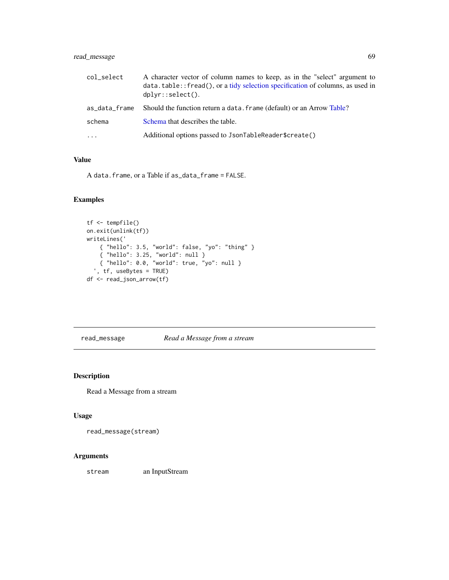# read\_message 69

| col_select          | A character vector of column names to keep, as in the "select" argument to<br>$data.table::fread()$ , or a tidy selection specification of columns, as used in<br>$dplyr::select()$ . |
|---------------------|---------------------------------------------------------------------------------------------------------------------------------------------------------------------------------------|
| as_data_frame       | Should the function return a data. frame (default) or an Arrow Table?                                                                                                                 |
| schema              | Schema that describes the table.                                                                                                                                                      |
| $\cdot \cdot \cdot$ | Additional options passed to JsonTableReader\$create()                                                                                                                                |

# Value

A data.frame, or a Table if as\_data\_frame = FALSE.

## Examples

```
tf <- tempfile()
on.exit(unlink(tf))
writeLines('
   { "hello": 3.5, "world": false, "yo": "thing" }
    { "hello": 3.25, "world": null }
    { "hello": 0.0, "world": true, "yo": null }
  ', tf, useBytes = TRUE)
df <- read_json_arrow(tf)
```
read\_message *Read a Message from a stream*

# Description

Read a Message from a stream

## Usage

read\_message(stream)

## Arguments

stream an InputStream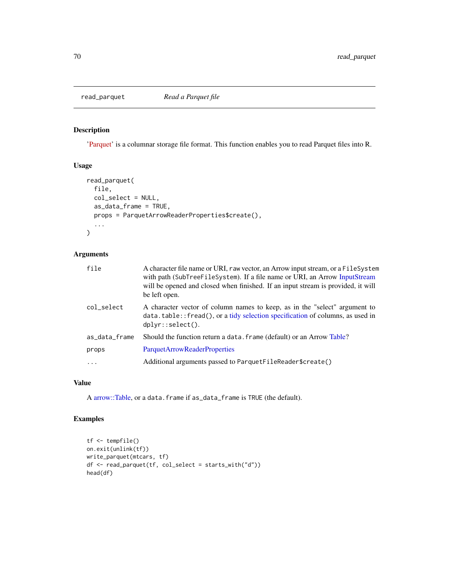<span id="page-69-0"></span>

['Parquet'](https://parquet.apache.org/) is a columnar storage file format. This function enables you to read Parquet files into R.

### Usage

```
read_parquet(
  file,
 col_select = NULL,
 as_data_frame = TRUE,
 props = ParquetArrowReaderProperties$create(),
  ...
)
```
# Arguments

| file          | A character file name or URI, raw vector, an Arrow input stream, or a FileSystem<br>with path (SubTreeFileSystem). If a file name or URI, an Arrow InputStream<br>will be opened and closed when finished. If an input stream is provided, it will<br>be left open. |
|---------------|---------------------------------------------------------------------------------------------------------------------------------------------------------------------------------------------------------------------------------------------------------------------|
| col_select    | A character vector of column names to keep, as in the "select" argument to<br>$data.table::fred(),$ or a tidy selection specification of columns, as used in<br>$dplyr::select()$ .                                                                                 |
| as_data_frame | Should the function return a data. frame (default) or an Arrow Table?                                                                                                                                                                                               |
| props         | ParquetArrowReaderProperties                                                                                                                                                                                                                                        |
| $\ddots$      | Additional arguments passed to ParquetFileReader\$create()                                                                                                                                                                                                          |

## Value

A [arrow::Table,](#page-79-0) or a data.frame if as\_data\_frame is TRUE (the default).

# Examples

```
tf <- tempfile()
on.exit(unlink(tf))
write_parquet(mtcars, tf)
df <- read_parquet(tf, col_select = starts_with("d"))
head(df)
```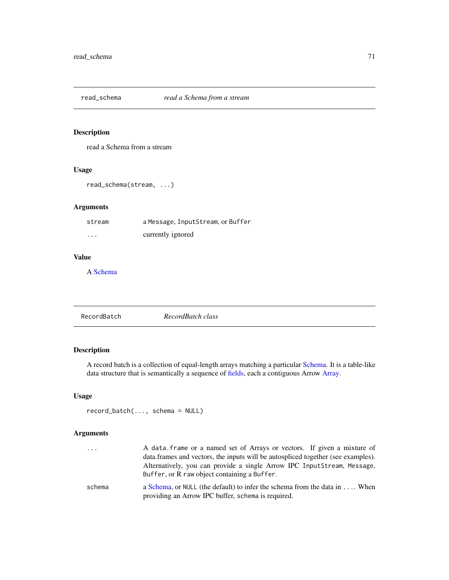read a Schema from a stream

# Usage

read\_schema(stream, ...)

## Arguments

| stream   | a Message, InputStream, or Buffer |
|----------|-----------------------------------|
| $\cdots$ | currently ignored                 |

## Value

A [Schema](#page-78-1)

<span id="page-70-0"></span>

| RecordBatch | RecordBatch class |  |  |
|-------------|-------------------|--|--|
|-------------|-------------------|--|--|

## Description

A record batch is a collection of equal-length arrays matching a particular [Schema.](#page-78-1) It is a table-like data structure that is semantically a sequence of [fields,](#page-34-1) each a contiguous Arrow [Array.](#page-3-0)

## Usage

record\_batch(..., schema = NULL)

| .      | A data frame or a named set of Arrays or vectors. If given a mixture of<br>data frames and vectors, the inputs will be autospliced together (see examples).<br>Alternatively, you can provide a single Arrow IPC InputStream, Message, |
|--------|----------------------------------------------------------------------------------------------------------------------------------------------------------------------------------------------------------------------------------------|
|        | Buffer, or R raw object containing a Buffer.                                                                                                                                                                                           |
| schema | a Schema, or NULL (the default) to infer the schema from the data in $\dots$ . When<br>providing an Arrow IPC buffer, schema is required.                                                                                              |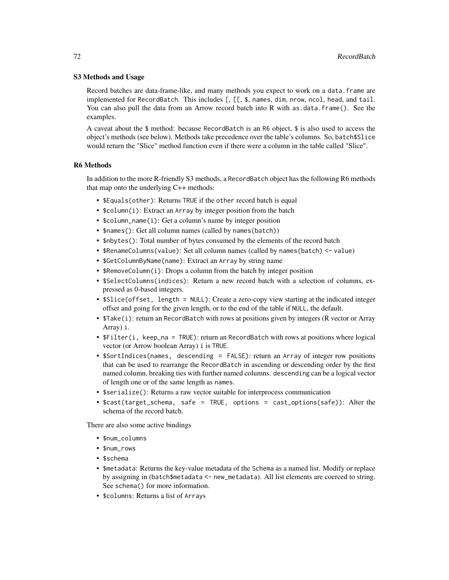## S3 Methods and Usage

Record batches are data-frame-like, and many methods you expect to work on a data.frame are implemented for RecordBatch. This includes [, [[, \$, names, dim, nrow, ncol, head, and tail. You can also pull the data from an Arrow record batch into R with as data.frame(). See the examples.

A caveat about the \$ method: because RecordBatch is an R6 object, \$ is also used to access the object's methods (see below). Methods take precedence over the table's columns. So, batch\$Slice would return the "Slice" method function even if there were a column in the table called "Slice".

## R6 Methods

In addition to the more R-friendly S3 methods, a RecordBatch object has the following R6 methods that map onto the underlying C++ methods:

- \$Equals(other): Returns TRUE if the other record batch is equal
- \$column(i): Extract an Array by integer position from the batch
- \$column\_name(i): Get a column's name by integer position
- \$names(): Get all column names (called by names(batch))
- \$nbytes(): Total number of bytes consumed by the elements of the record batch
- \$RenameColumns(value): Set all column names (called by names(batch) <- value)
- \$GetColumnByName(name): Extract an Array by string name
- \$RemoveColumn(i): Drops a column from the batch by integer position
- \$SelectColumns(indices): Return a new record batch with a selection of columns, expressed as 0-based integers.
- \$Slice(offset, length = NULL): Create a zero-copy view starting at the indicated integer offset and going for the given length, or to the end of the table if NULL, the default.
- \$Take(i): return an RecordBatch with rows at positions given by integers (R vector or Array Array) i.
- \$Filter(i, keep\_na = TRUE): return an RecordBatch with rows at positions where logical vector (or Arrow boolean Array) i is TRUE.
- \$SortIndices(names, descending = FALSE): return an Array of integer row positions that can be used to rearrange the RecordBatch in ascending or descending order by the first named column, breaking ties with further named columns. descending can be a logical vector of length one or of the same length as names.
- \$serialize(): Returns a raw vector suitable for interprocess communication
- \$cast(target\_schema, safe = TRUE, options = cast\_options(safe)): Alter the schema of the record batch.

There are also some active bindings

- \$num\_columns
- \$num\_rows
- \$schema
- \$metadata: Returns the key-value metadata of the Schema as a named list. Modify or replace by assigning in (batch\$metadata <- new\_metadata). All list elements are coerced to string. See schema() for more information.
- \$columns: Returns a list of Arrays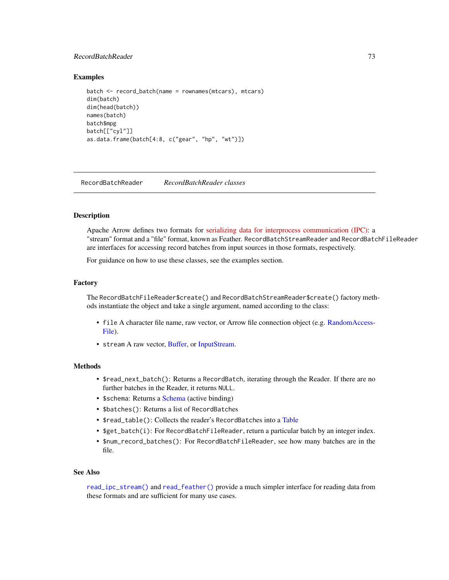# <span id="page-72-0"></span>RecordBatchReader 73

#### Examples

```
batch <- record_batch(name = rownames(mtcars), mtcars)
dim(batch)
dim(head(batch))
names(batch)
batch$mpg
batch[["cyl"]]
as.data.frame(batch[4:8, c("gear", "hp", "wt")])
```
RecordBatchReader *RecordBatchReader classes*

#### Description

Apache Arrow defines two formats for [serializing data for interprocess communication \(IPC\):](https://arrow.apache.org/docs/format/Columnar.html#serialization-and-interprocess-communication-ipc) a "stream" format and a "file" format, known as Feather. RecordBatchStreamReader and RecordBatchFileReader are interfaces for accessing record batches from input sources in those formats, respectively.

For guidance on how to use these classes, see the examples section.

#### Factory

The RecordBatchFileReader\$create() and RecordBatchStreamReader\$create() factory methods instantiate the object and take a single argument, named according to the class:

- file A character file name, raw vector, or Arrow file connection object (e.g. [RandomAccess-](#page-43-0)[File\)](#page-43-0).
- stream A raw vector, [Buffer,](#page-13-0) or [InputStream.](#page-43-1)

# Methods

- \$read\_next\_batch(): Returns a RecordBatch, iterating through the Reader. If there are no further batches in the Reader, it returns NULL.
- \$schema: Returns a [Schema](#page-78-0) (active binding)
- \$batches(): Returns a list of RecordBatches
- \$read\_table(): Collects the reader's RecordBatches into a [Table](#page-79-0)
- \$get\_batch(i): For RecordBatchFileReader, return a particular batch by an integer index.
- \$num\_record\_batches(): For RecordBatchFileReader, see how many batches are in the file.

#### See Also

[read\\_ipc\\_stream\(\)](#page-61-0) and [read\\_feather\(\)](#page-66-0) provide a much simpler interface for reading data from these formats and are sufficient for many use cases.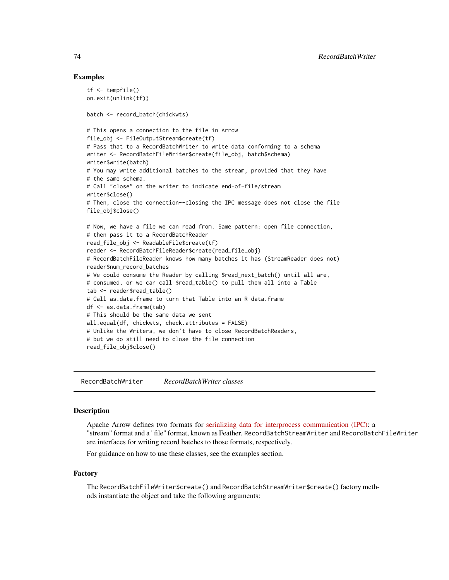# Examples

```
tf <- tempfile()
on.exit(unlink(tf))
batch <- record_batch(chickwts)
# This opens a connection to the file in Arrow
file_obj <- FileOutputStream$create(tf)
# Pass that to a RecordBatchWriter to write data conforming to a schema
writer <- RecordBatchFileWriter$create(file_obj, batch$schema)
writer$write(batch)
# You may write additional batches to the stream, provided that they have
# the same schema.
# Call "close" on the writer to indicate end-of-file/stream
writer$close()
# Then, close the connection--closing the IPC message does not close the file
file_obj$close()
# Now, we have a file we can read from. Same pattern: open file connection,
# then pass it to a RecordBatchReader
read_file_obj <- ReadableFile$create(tf)
reader <- RecordBatchFileReader$create(read_file_obj)
# RecordBatchFileReader knows how many batches it has (StreamReader does not)
reader$num_record_batches
# We could consume the Reader by calling $read_next_batch() until all are,
# consumed, or we can call $read_table() to pull them all into a Table
tab <- reader$read_table()
# Call as.data.frame to turn that Table into an R data.frame
df <- as.data.frame(tab)
# This should be the same data we sent
all.equal(df, chickwts, check.attributes = FALSE)
# Unlike the Writers, we don't have to close RecordBatchReaders,
# but we do still need to close the file connection
read_file_obj$close()
```
<span id="page-73-0"></span>RecordBatchWriter *RecordBatchWriter classes*

#### Description

Apache Arrow defines two formats for [serializing data for interprocess communication \(IPC\):](https://arrow.apache.org/docs/format/Columnar.html#serialization-and-interprocess-communication-ipc) a "stream" format and a "file" format, known as Feather. RecordBatchStreamWriter and RecordBatchFileWriter are interfaces for writing record batches to those formats, respectively.

For guidance on how to use these classes, see the examples section.

#### Factory

The RecordBatchFileWriter\$create() and RecordBatchStreamWriter\$create() factory methods instantiate the object and take the following arguments:

<span id="page-73-1"></span>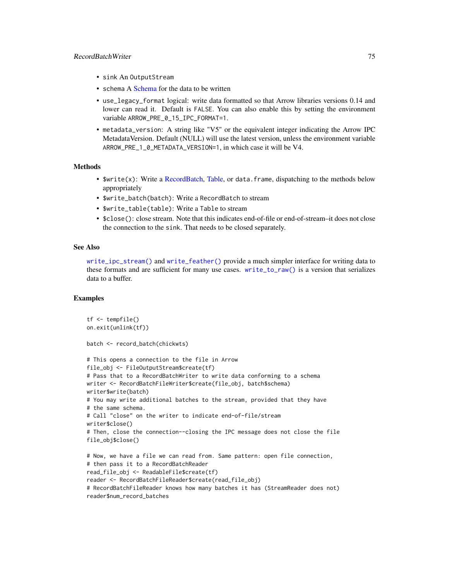#### <span id="page-74-0"></span>RecordBatchWriter 75

- sink An OutputStream
- schema A [Schema](#page-78-0) for the data to be written
- use\_legacy\_format logical: write data formatted so that Arrow libraries versions 0.14 and lower can read it. Default is FALSE. You can also enable this by setting the environment variable ARROW\_PRE\_0\_15\_IPC\_FORMAT=1.
- metadata\_version: A string like "V5" or the equivalent integer indicating the Arrow IPC MetadataVersion. Default (NULL) will use the latest version, unless the environment variable ARROW\_PRE\_1\_0\_METADATA\_VERSION=1, in which case it will be V4.

#### **Methods**

- $\frac{1}{2}$  Swrite(x): Write a [RecordBatch,](#page-70-0) [Table,](#page-79-0) or data. frame, dispatching to the methods below appropriately
- \$write\_batch(batch): Write a RecordBatch to stream
- \$write\_table(table): Write a Table to stream
- \$close(): close stream. Note that this indicates end-of-file or end-of-stream–it does not close the connection to the sink. That needs to be closed separately.

#### See Also

[write\\_ipc\\_stream\(\)](#page-85-0) and [write\\_feather\(\)](#page-89-0) provide a much simpler interface for writing data to these formats and are sufficient for many use cases. [write\\_to\\_raw\(\)](#page-93-0) is a version that serializes data to a buffer.

#### Examples

```
tf <- tempfile()
on.exit(unlink(tf))
batch <- record_batch(chickwts)
# This opens a connection to the file in Arrow
file_obj <- FileOutputStream$create(tf)
# Pass that to a RecordBatchWriter to write data conforming to a schema
writer <- RecordBatchFileWriter$create(file_obj, batch$schema)
writer$write(batch)
# You may write additional batches to the stream, provided that they have
# the same schema.
# Call "close" on the writer to indicate end-of-file/stream
writer$close()
# Then, close the connection--closing the IPC message does not close the file
file_obj$close()
# Now, we have a file we can read from. Same pattern: open file connection,
# then pass it to a RecordBatchReader
read_file_obj <- ReadableFile$create(tf)
reader <- RecordBatchFileReader$create(read_file_obj)
# RecordBatchFileReader knows how many batches it has (StreamReader does not)
reader$num_record_batches
```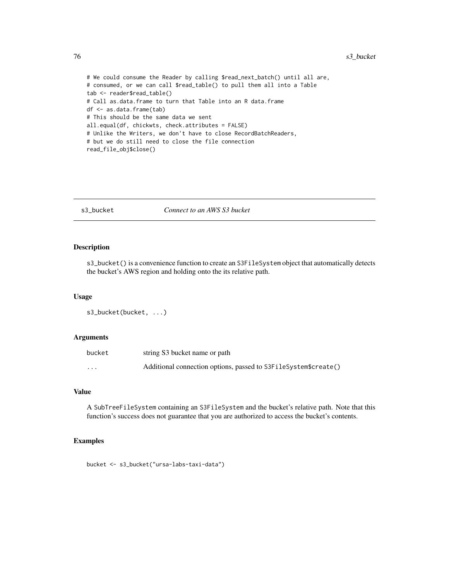```
# We could consume the Reader by calling $read_next_batch() until all are,
# consumed, or we can call $read_table() to pull them all into a Table
tab <- reader$read_table()
# Call as.data.frame to turn that Table into an R data.frame
df <- as.data.frame(tab)
# This should be the same data we sent
all.equal(df, chickwts, check.attributes = FALSE)
# Unlike the Writers, we don't have to close RecordBatchReaders,
# but we do still need to close the file connection
read_file_obj$close()
```
#### s3\_bucket *Connect to an AWS S3 bucket*

#### Description

s3\_bucket() is a convenience function to create an S3FileSystem object that automatically detects the bucket's AWS region and holding onto the its relative path.

#### Usage

```
s3_bucket(bucket, ...)
```
# Arguments

| bucket   | string S3 bucket name or path                                   |
|----------|-----------------------------------------------------------------|
| $\cdots$ | Additional connection options, passed to S3FileSystem\$create() |

# Value

A SubTreeFileSystem containing an S3FileSystem and the bucket's relative path. Note that this function's success does not guarantee that you are authorized to access the bucket's contents.

#### Examples

bucket <- s3\_bucket("ursa-labs-taxi-data")

<span id="page-75-0"></span>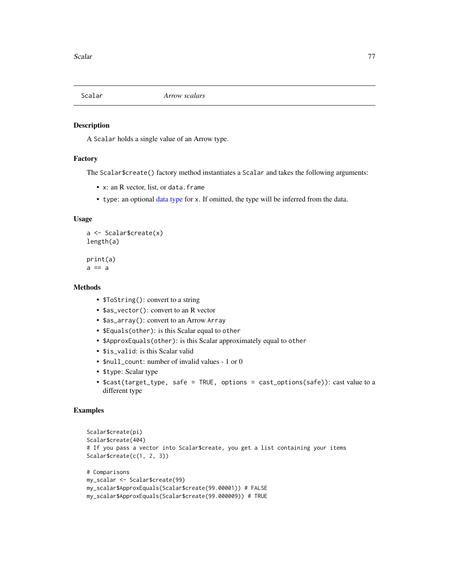<span id="page-76-0"></span>

#### Description

A Scalar holds a single value of an Arrow type.

# Factory

The Scalar\$create() factory method instantiates a Scalar and takes the following arguments:

- x: an R vector, list, or data.frame
- type: an optional [data type](#page-24-0) for x. If omitted, the type will be inferred from the data.

#### Usage

```
a <- Scalar$create(x)
length(a)
```
print(a)  $a == a$ 

#### Methods

- \$ToString(): convert to a string
- \$as\_vector(): convert to an R vector
- \$as\_array(): convert to an Arrow Array
- \$Equals(other): is this Scalar equal to other
- \$ApproxEquals(other): is this Scalar approximately equal to other
- \$is\_valid: is this Scalar valid
- \$null\_count: number of invalid values 1 or 0
- \$type: Scalar type
- \$cast(target\_type, safe = TRUE, options = cast\_options(safe)): cast value to a different type

# Examples

```
Scalar$create(pi)
Scalar$create(404)
# If you pass a vector into Scalar$create, you get a list containing your items
Scalar$create(c(1, 2, 3))
# Comparisons
my_scalar <- Scalar$create(99)
my_scalar$ApproxEquals(Scalar$create(99.00001)) # FALSE
my_scalar$ApproxEquals(Scalar$create(99.000009)) # TRUE
```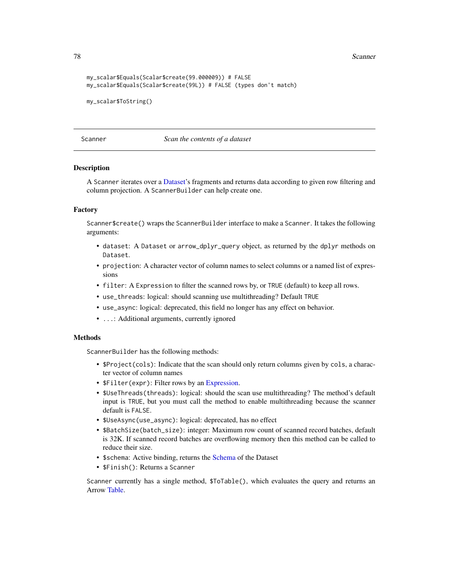<span id="page-77-0"></span>**78** Scanner School Scanner School Scanner Scanner Scanner Scanner Scanner Scanner Scanner

```
my_scalar$Equals(Scalar$create(99.000009)) # FALSE
my_scalar$Equals(Scalar$create(99L)) # FALSE (types don't match)
my_scalar$ToString()
```
Scanner *Scan the contents of a dataset*

#### **Description**

A Scanner iterates over a [Dataset'](#page-28-0)s fragments and returns data according to given row filtering and column projection. A ScannerBuilder can help create one.

# Factory

Scanner\$create() wraps the ScannerBuilder interface to make a Scanner. It takes the following arguments:

- dataset: A Dataset or arrow\_dplyr\_query object, as returned by the dplyr methods on Dataset.
- projection: A character vector of column names to select columns or a named list of expressions
- filter: A Expression to filter the scanned rows by, or TRUE (default) to keep all rows.
- use\_threads: logical: should scanning use multithreading? Default TRUE
- use\_async: logical: deprecated, this field no longer has any effect on behavior.
- ...: Additional arguments, currently ignored

#### Methods

ScannerBuilder has the following methods:

- \$Project(cols): Indicate that the scan should only return columns given by cols, a character vector of column names
- \$Filter(expr): Filter rows by an [Expression.](#page-32-0)
- \$UseThreads(threads): logical: should the scan use multithreading? The method's default input is TRUE, but you must call the method to enable multithreading because the scanner default is FALSE.
- \$UseAsync(use\_async): logical: deprecated, has no effect
- \$BatchSize(batch\_size): integer: Maximum row count of scanned record batches, default is 32K. If scanned record batches are overflowing memory then this method can be called to reduce their size.
- \$schema: Active binding, returns the [Schema](#page-78-0) of the Dataset
- \$Finish(): Returns a Scanner

Scanner currently has a single method, \$ToTable(), which evaluates the query and returns an Arrow [Table.](#page-79-0)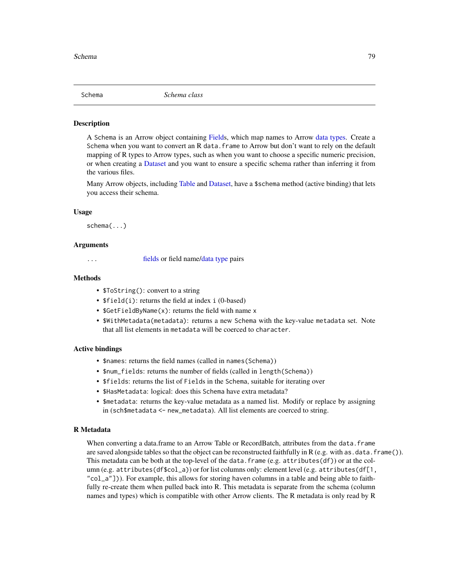<span id="page-78-1"></span><span id="page-78-0"></span>

#### **Description**

A Schema is an Arrow object containing [Fields](#page-34-0), which map names to Arrow [data types.](#page-24-0) Create a Schema when you want to convert an R data. frame to Arrow but don't want to rely on the default mapping of R types to Arrow types, such as when you want to choose a specific numeric precision, or when creating a [Dataset](#page-28-0) and you want to ensure a specific schema rather than inferring it from the various files.

Many Arrow objects, including [Table](#page-79-0) and [Dataset,](#page-28-0) have a \$schema method (active binding) that lets you access their schema.

#### Usage

schema(...)

### Arguments

... [fields](#page-34-1) or field name[/data type](#page-24-0) pairs

#### Methods

- \$ToString(): convert to a string
- \$field(i): returns the field at index i (0-based)
- \$GetFieldByName(x): returns the field with name x
- \$WithMetadata(metadata): returns a new Schema with the key-value metadata set. Note that all list elements in metadata will be coerced to character.

#### Active bindings

- \$names: returns the field names (called in names(Schema))
- \$num\_fields: returns the number of fields (called in length(Schema))
- \$fields: returns the list of Fields in the Schema, suitable for iterating over
- \$HasMetadata: logical: does this Schema have extra metadata?
- \$metadata: returns the key-value metadata as a named list. Modify or replace by assigning in (sch\$metadata <- new\_metadata). All list elements are coerced to string.

#### R Metadata

When converting a data.frame to an Arrow Table or RecordBatch, attributes from the data.frame are saved alongside tables so that the object can be reconstructed faithfully in R (e.g. with as  $data.f$ rame()). This metadata can be both at the top-level of the data. frame (e.g.  $attribute(gf)$ ) or at the column (e.g. attributes(df\$col\_a)) or for list columns only: element level (e.g. attributes(df[1, "col\_a"])). For example, this allows for storing haven columns in a table and being able to faithfully re-create them when pulled back into R. This metadata is separate from the schema (column names and types) which is compatible with other Arrow clients. The R metadata is only read by R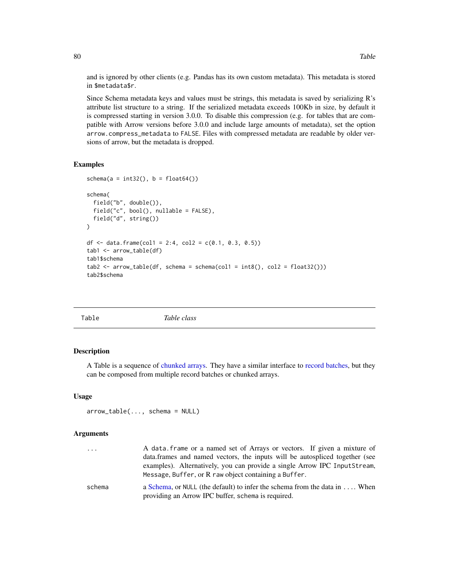and is ignored by other clients (e.g. Pandas has its own custom metadata). This metadata is stored in \$metadata\$r.

Since Schema metadata keys and values must be strings, this metadata is saved by serializing R's attribute list structure to a string. If the serialized metadata exceeds 100Kb in size, by default it is compressed starting in version 3.0.0. To disable this compression (e.g. for tables that are compatible with Arrow versions before 3.0.0 and include large amounts of metadata), set the option arrow.compress\_metadata to FALSE. Files with compressed metadata are readable by older versions of arrow, but the metadata is dropped.

#### Examples

```
schema(a = int32(), b = float64())schema(
 field("b", double()),
 field("c", bool(), nullable = FALSE),
 field("d", string())
\mathcal{L}df <- data.frame(col1 = 2:4, col2 = c(0.1, 0.3, 0.5))
tab1 <- arrow_table(df)
tab1$schema
tab2 <- arrow_table(df, schema = schema(col1 = int8(), col2 = float32()))
tab2$schema
```
<span id="page-79-0"></span>

| Table | Table class |
|-------|-------------|
|       |             |

#### Description

A Table is a sequence of [chunked arrays.](#page-15-0) They have a similar interface to [record batches,](#page-70-0) but they can be composed from multiple record batches or chunked arrays.

#### Usage

arrow\_table(..., schema = NULL)

#### Arguments

| $\cdots$ | A data frame or a named set of Arrays or vectors. If given a mixture of                                                                                   |
|----------|-----------------------------------------------------------------------------------------------------------------------------------------------------------|
|          | data. frames and named vectors, the inputs will be autospliced together (see<br>examples). Alternatively, you can provide a single Arrow IPC InputStream, |
|          | Message, Buffer, or R raw object containing a Buffer.                                                                                                     |
| schema   | a Schema, or NULL (the default) to infer the schema from the data in $\dots$ . When<br>providing an Arrow IPC buffer, schema is required.                 |

<span id="page-79-1"></span>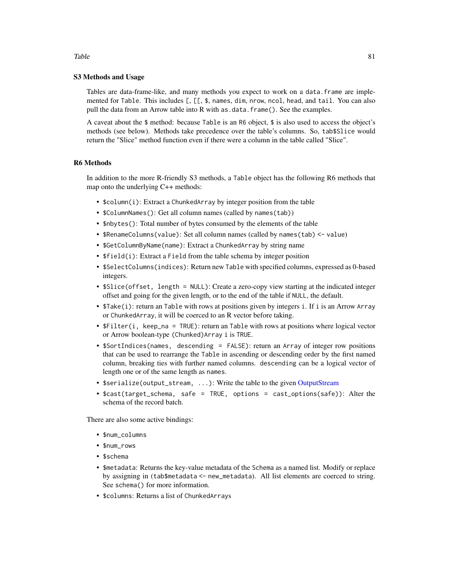#### S3 Methods and Usage

Tables are data-frame-like, and many methods you expect to work on a data.frame are implemented for Table. This includes [, [[, \$, names, dim, nrow, ncol, head, and tail. You can also pull the data from an Arrow table into R with as .data.frame(). See the examples.

A caveat about the  $\frac{1}{2}$  method: because Table is an R6 object,  $\frac{1}{2}$  is also used to access the object's methods (see below). Methods take precedence over the table's columns. So, tab\$Slice would return the "Slice" method function even if there were a column in the table called "Slice".

#### R6 Methods

In addition to the more R-friendly S3 methods, a Table object has the following R6 methods that map onto the underlying C++ methods:

- \$column(i): Extract a ChunkedArray by integer position from the table
- \$ColumnNames(): Get all column names (called by names(tab))
- \$nbytes(): Total number of bytes consumed by the elements of the table
- \$RenameColumns(value): Set all column names (called by names(tab) <- value)
- \$GetColumnByName(name): Extract a ChunkedArray by string name
- \$field(i): Extract a Field from the table schema by integer position
- \$SelectColumns(indices): Return new Table with specified columns, expressed as 0-based integers.
- \$Slice(offset, length = NULL): Create a zero-copy view starting at the indicated integer offset and going for the given length, or to the end of the table if NULL, the default.
- \$Take(i): return an Table with rows at positions given by integers i. If i is an Arrow Array or ChunkedArray, it will be coerced to an R vector before taking.
- \$Filter(i, keep\_na = TRUE): return an Table with rows at positions where logical vector or Arrow boolean-type (Chunked)Array i is TRUE.
- \$SortIndices(names, descending = FALSE): return an Array of integer row positions that can be used to rearrange the Table in ascending or descending order by the first named column, breaking ties with further named columns. descending can be a logical vector of length one or of the same length as names.
- \$serialize(output\_stream, ...): Write the table to the given [OutputStream](#page-57-0)
- \$cast(target\_schema, safe = TRUE, options = cast\_options(safe)): Alter the schema of the record batch.

There are also some active bindings:

- \$num\_columns
- \$num\_rows
- \$schema
- \$metadata: Returns the key-value metadata of the Schema as a named list. Modify or replace by assigning in (tab\$metadata <- new\_metadata). All list elements are coerced to string. See schema() for more information.
- \$columns: Returns a list of ChunkedArrays

#### <span id="page-80-0"></span>Table 81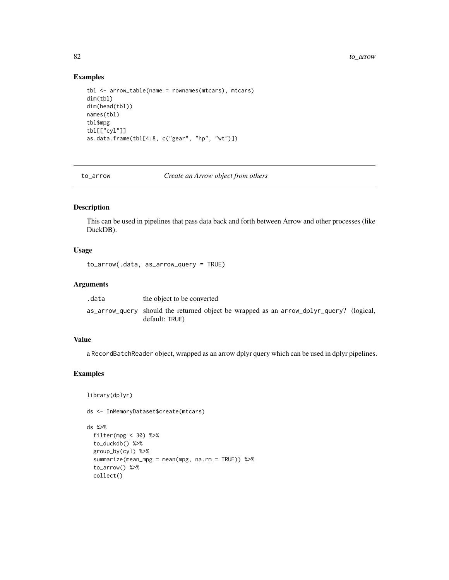<span id="page-81-0"></span>82 to\_arrow to the control of the control of the control of the control of the control of the control of the control of the control of the control of the control of the control of the control of the control of the control

#### Examples

```
tbl <- arrow_table(name = rownames(mtcars), mtcars)
dim(tbl)
dim(head(tbl))
names(tbl)
tbl$mpg
tbl[["cyl"]]
as.data.frame(tbl[4:8, c("gear", "hp", "wt")])
```
to\_arrow *Create an Arrow object from others*

# Description

This can be used in pipelines that pass data back and forth between Arrow and other processes (like DuckDB).

# Usage

to\_arrow(.data, as\_arrow\_query = TRUE)

#### Arguments

| .data | the object to be converted                                                                                |  |
|-------|-----------------------------------------------------------------------------------------------------------|--|
|       | as_arrow_query should the returned object be wrapped as an arrow_dplyr_query? (logical,<br>default: TRUE) |  |

# Value

a RecordBatchReader object, wrapped as an arrow dplyr query which can be used in dplyr pipelines.

# Examples

```
library(dplyr)
```
collect()

ds <- InMemoryDataset\$create(mtcars)

```
ds %>%
  filter(mpg < 30) %>%
  to_duckdb() %>%
  group_by(cyl) %>%
  summarize(mean_mpg = mean(mpg, na.rm = TRUE)) %>%
  to_arrow() %>%
```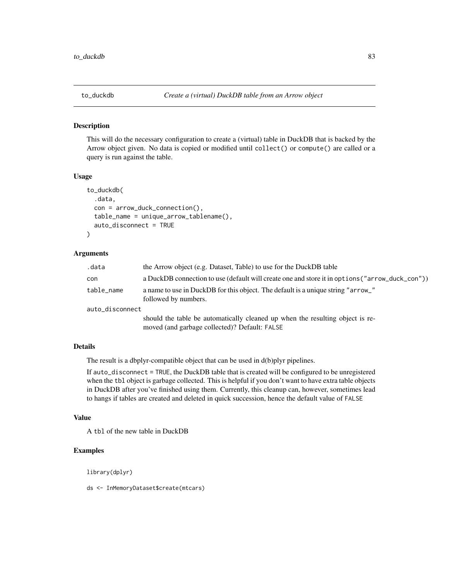<span id="page-82-0"></span>

#### Description

This will do the necessary configuration to create a (virtual) table in DuckDB that is backed by the Arrow object given. No data is copied or modified until collect() or compute() are called or a query is run against the table.

# Usage

```
to_duckdb(
  .data,
  con = arrow_duck_connection(),
  table_name = unique_arrow_tablename(),
  auto_disconnect = TRUE
)
```
#### Arguments

| .data           | the Arrow object (e.g. Dataset, Table) to use for the DuckDB table                                                             |  |
|-----------------|--------------------------------------------------------------------------------------------------------------------------------|--|
| con             | a DuckDB connection to use (default will create one and store it in options ("arrow_duck_con"))                                |  |
| table_name      | a name to use in DuckDB for this object. The default is a unique string "arrow_"<br>followed by numbers.                       |  |
| auto_disconnect |                                                                                                                                |  |
|                 | should the table be automatically cleaned up when the resulting object is re-<br>moved (and garbage collected)? Default: FALSE |  |

# Details

The result is a dbplyr-compatible object that can be used in d(b)plyr pipelines.

If auto\_disconnect = TRUE, the DuckDB table that is created will be configured to be unregistered when the tbl object is garbage collected. This is helpful if you don't want to have extra table objects in DuckDB after you've finished using them. Currently, this cleanup can, however, sometimes lead to hangs if tables are created and deleted in quick succession, hence the default value of FALSE

#### Value

A tbl of the new table in DuckDB

# Examples

library(dplyr)

ds <- InMemoryDataset\$create(mtcars)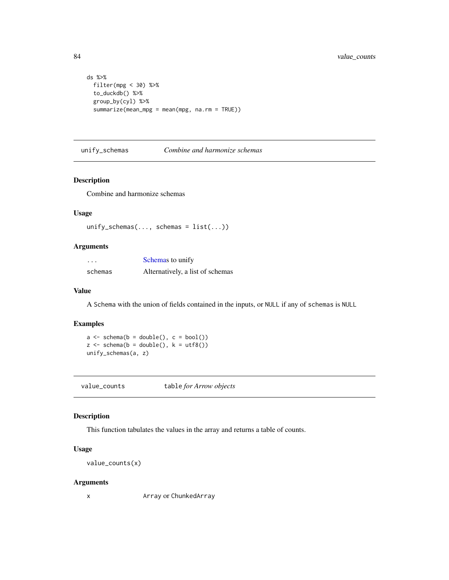```
ds %>%
  filter(mpg < 30) %>%
  to_duckdb() %>%
  group_by(cyl) %>%
  summarize(mean_mpg = mean(mpg, na.rm = TRUE))
```
unify\_schemas *Combine and harmonize schemas*

#### Description

Combine and harmonize schemas

# Usage

```
unify_schemas(..., schemas = list(...))
```
# Arguments

| $\cdots$ | Schemas to unify                 |
|----------|----------------------------------|
| schemas  | Alternatively, a list of schemas |

# Value

A Schema with the union of fields contained in the inputs, or NULL if any of schemas is NULL

#### Examples

 $a \leftarrow \text{ schema}(b = \text{double}(), c = \text{bool}())$  $z \le$  schema(b = double(),  $k = utf8()$ unify\_schemas(a, z)

value\_counts table *for Arrow objects*

# Description

This function tabulates the values in the array and returns a table of counts.

#### Usage

value\_counts(x)

#### Arguments

```
x Array or ChunkedArray
```
<span id="page-83-0"></span>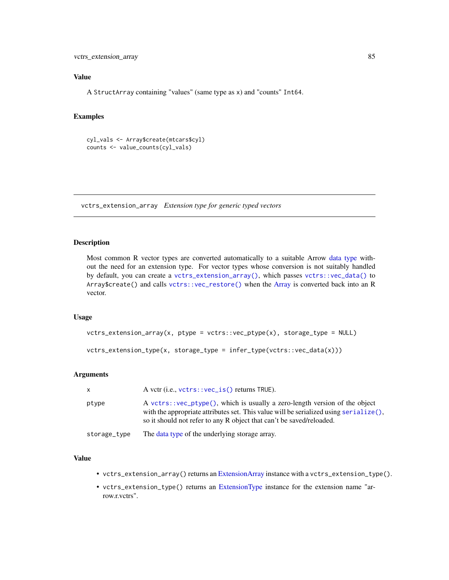<span id="page-84-1"></span>vctrs\_extension\_array 85

# Value

A StructArray containing "values" (same type as x) and "counts" Int64.

# Examples

```
cyl_vals <- Array$create(mtcars$cyl)
counts <- value_counts(cyl_vals)
```
<span id="page-84-0"></span>vctrs\_extension\_array *Extension type for generic typed vectors*

# Description

Most common R vector types are converted automatically to a suitable Arrow [data type](#page-24-0) without the need for an extension type. For vector types whose conversion is not suitably handled by default, you can create a [vctrs\\_extension\\_array\(\)](#page-84-0), which passes [vctrs::vec\\_data\(\)](#page-0-0) to Array\$create() and calls [vctrs::vec\\_restore\(\)](#page-0-0) when the [Array](#page-3-0) is converted back into an R vector.

#### Usage

```
vctrs_extension_array(x, ptype = vctrs::vec_ptype(x), storage_type = NULL)
```

```
vctrs_extension_type(x, storage_type = infer_type(vctrs::vec_data(x)))
```
# Arguments

| X            | A vctr (i.e., $vctrs$ : $vec_is()$ returns TRUE).                                                                                                                                                                                           |
|--------------|---------------------------------------------------------------------------------------------------------------------------------------------------------------------------------------------------------------------------------------------|
| ptype        | A vctrs:: $vec_p$ (), which is usually a zero-length version of the object<br>with the appropriate attributes set. This value will be serialized using serialize().<br>so it should not refer to any R object that can't be saved/reloaded. |
| storage_type | The data type of the underlying storage array.                                                                                                                                                                                              |

#### Value

- vctrs\_extension\_array() returns an [ExtensionArray](#page-32-1) instance with a vctrs\_extension\_type().
- vctrs\_extension\_type() returns an [ExtensionType](#page-32-2) instance for the extension name "arrow.r.vctrs".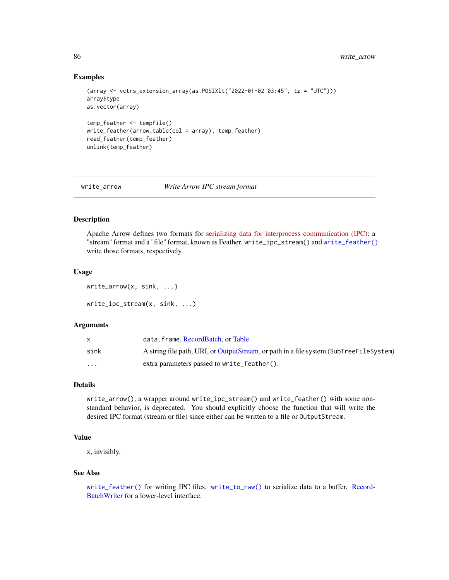#### Examples

```
(array <- vctrs_extension_array(as.POSIXlt("2022-01-02 03:45", tz = "UTC")))
array$type
as.vector(array)
temp_feather <- tempfile()
write_feather(arrow_table(col = array), temp_feather)
read_feather(temp_feather)
unlink(temp_feather)
```
write\_arrow *Write Arrow IPC stream format*

#### <span id="page-85-0"></span>Description

Apache Arrow defines two formats for [serializing data for interprocess communication \(IPC\):](https://arrow.apache.org/docs/format/Columnar.html#serialization-and-interprocess-communication-ipc) a "stream" format and a "file" format, known as Feather. write\_ipc\_stream() and [write\\_feather\(\)](#page-89-0) write those formats, respectively.

#### Usage

write\_arrow(x, sink, ...) write\_ipc\_stream(x, sink, ...)

#### Arguments

|                         | data.frame.RecordBatch.orTable                                                         |
|-------------------------|----------------------------------------------------------------------------------------|
| sink                    | A string file path, URI, or OutputStream, or path in a file system (SubTreeFileSystem) |
| $\cdot$ $\cdot$ $\cdot$ | extra parameters passed to write feather().                                            |

#### Details

write\_arrow(), a wrapper around write\_ipc\_stream() and write\_feather() with some nonstandard behavior, is deprecated. You should explicitly choose the function that will write the desired IPC format (stream or file) since either can be written to a file or OutputStream.

# Value

x, invisibly.

#### See Also

[write\\_feather\(\)](#page-89-0) for writing IPC files. [write\\_to\\_raw\(\)](#page-93-0) to serialize data to a buffer. [Record-](#page-73-0)[BatchWriter](#page-73-0) for a lower-level interface.

<span id="page-85-1"></span>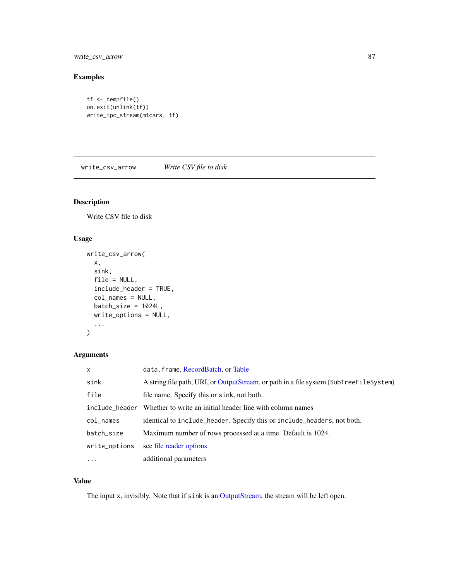<span id="page-86-0"></span>write\_csv\_arrow 87

# Examples

```
tf <- tempfile()
on.exit(unlink(tf))
write_ipc_stream(mtcars, tf)
```
write\_csv\_arrow *Write CSV file to disk*

# Description

Write CSV file to disk

# Usage

```
write_csv_arrow(
  x,
  sink,
 file = NULL,
  include_header = TRUE,
  col_names = NULL,
 batch_size = 1024L,
 write_options = NULL,
  ...
)
```
# Arguments

| X               | data.frame, RecordBatch, or Table                                                      |
|-----------------|----------------------------------------------------------------------------------------|
| sink            | A string file path, URI, or OutputStream, or path in a file system (SubTreeFileSystem) |
| file            | file name. Specify this or sink, not both.                                             |
|                 | include_header Whether to write an initial header line with column names               |
| $col$ $\_names$ | identical to include_header. Specify this or include_headers, not both.                |
| batch_size      | Maximum number of rows processed at a time. Default is 1024.                           |
| write_options   | see file reader options                                                                |
| $\cdots$        | additional parameters                                                                  |

# Value

The input x, invisibly. Note that if sink is an [OutputStream,](#page-57-0) the stream will be left open.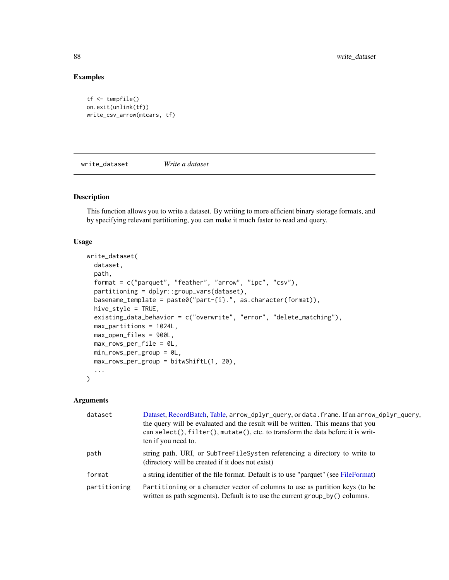# Examples

```
tf <- tempfile()
on.exit(unlink(tf))
write_csv_arrow(mtcars, tf)
```
write\_dataset *Write a dataset*

# Description

This function allows you to write a dataset. By writing to more efficient binary storage formats, and by specifying relevant partitioning, you can make it much faster to read and query.

# Usage

```
write_dataset(
 dataset,
 path,
 format = c("parquet", "feather", "arrow", "ipc", "csv"),
  partitioning = dplyr::group_vars(dataset),
 basename_template = paste0("part-{i}.", as.character(format)),
 hive_style = TRUE,
 existing_data_behavior = c("overwrite", "error", "delete_matching"),
 max_partitions = 1024L,
 max_open_files = 900L,
 max_rows_per_file = 0L,
 min_rows_per_group = 0L,
 max_rows_per_group = bitwShiftL(1, 20),
  ...
)
```
#### Arguments

| dataset      | Dataset, RecordBatch, Table, arrow_dplyr_query, or data. frame. If an arrow_dplyr_query,<br>the query will be evaluated and the result will be written. This means that you<br>can select(), filter(), mutate(), etc. to transform the data before it is writ-<br>ten if you need to. |
|--------------|---------------------------------------------------------------------------------------------------------------------------------------------------------------------------------------------------------------------------------------------------------------------------------------|
| path         | string path, URI, or SubTreeFileSystem referencing a directory to write to<br>(directory will be created if it does not exist)                                                                                                                                                        |
| format       | a string identifier of the file format. Default is to use "parquet" (see FileFormat)                                                                                                                                                                                                  |
| partitioning | Partitioning or a character vector of columns to use as partition keys (to be<br>written as path segments). Default is to use the current group_by() columns.                                                                                                                         |

<span id="page-87-0"></span>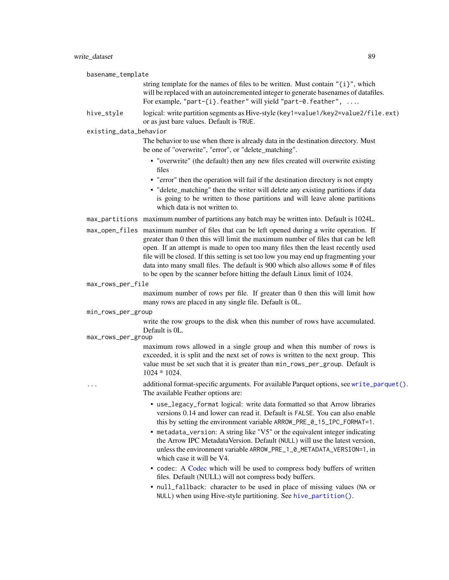<span id="page-88-0"></span>

| basename_template      |                                                                                                                                                                                                                                                                                                                                                                                                                                                                                                                            |
|------------------------|----------------------------------------------------------------------------------------------------------------------------------------------------------------------------------------------------------------------------------------------------------------------------------------------------------------------------------------------------------------------------------------------------------------------------------------------------------------------------------------------------------------------------|
|                        | string template for the names of files to be written. Must contain $"$ {i}", which<br>will be replaced with an autoincremented integer to generate basenames of datafiles.<br>For example, "part-{i}. feather" will yield "part-0. feather",                                                                                                                                                                                                                                                                               |
| hive_style             | logical: write partition segments as Hive-style (key1=value1/key2=value2/file.ext)<br>or as just bare values. Default is TRUE.                                                                                                                                                                                                                                                                                                                                                                                             |
| existing_data_behavior |                                                                                                                                                                                                                                                                                                                                                                                                                                                                                                                            |
|                        | The behavior to use when there is already data in the destination directory. Must<br>be one of "overwrite", "error", or "delete_matching".                                                                                                                                                                                                                                                                                                                                                                                 |
|                        | • "overwrite" (the default) then any new files created will overwrite existing<br>files<br>• "error" then the operation will fail if the destination directory is not empty<br>• "delete_matching" then the writer will delete any existing partitions if data<br>is going to be written to those partitions and will leave alone partitions<br>which data is not written to.                                                                                                                                              |
|                        | max_partitions maximum number of partitions any batch may be written into. Default is 1024L.                                                                                                                                                                                                                                                                                                                                                                                                                               |
|                        | max_open_files maximum number of files that can be left opened during a write operation. If<br>greater than 0 then this will limit the maximum number of files that can be left<br>open. If an attempt is made to open too many files then the least recently used<br>file will be closed. If this setting is set too low you may end up fragmenting your<br>data into many small files. The default is 900 which also allows some # of files<br>to be open by the scanner before hitting the default Linux limit of 1024. |
| max_rows_per_file      |                                                                                                                                                                                                                                                                                                                                                                                                                                                                                                                            |
|                        | maximum number of rows per file. If greater than 0 then this will limit how<br>many rows are placed in any single file. Default is 0L.                                                                                                                                                                                                                                                                                                                                                                                     |
| min_rows_per_group     |                                                                                                                                                                                                                                                                                                                                                                                                                                                                                                                            |
| max_rows_per_group     | write the row groups to the disk when this number of rows have accumulated.<br>Default is OL.                                                                                                                                                                                                                                                                                                                                                                                                                              |
|                        | maximum rows allowed in a single group and when this number of rows is<br>exceeded, it is split and the next set of rows is written to the next group. This<br>value must be set such that it is greater than min_rows_per_group. Default is<br>$1024 * 1024.$                                                                                                                                                                                                                                                             |
| $\cdots$               | additional format-specific arguments. For available Parquet options, see write_parquet().<br>The available Feather options are:                                                                                                                                                                                                                                                                                                                                                                                            |
|                        | • use_legacy_format logical: write data formatted so that Arrow libraries<br>versions 0.14 and lower can read it. Default is FALSE. You can also enable<br>this by setting the environment variable ARROW_PRE_0_15_IPC_FORMAT=1.<br>• metadata_version: A string like "V5" or the equivalent integer indicating                                                                                                                                                                                                            |
|                        | the Arrow IPC Metadata Version. Default (NULL) will use the latest version,<br>unless the environment variable ARROW_PRE_1_0_METADATA_VERSION=1, in<br>which case it will be V4.                                                                                                                                                                                                                                                                                                                                           |
|                        | • codec: A Codec which will be used to compress body buffers of written<br>files. Default (NULL) will not compress body buffers.                                                                                                                                                                                                                                                                                                                                                                                           |
|                        | • null_fallback: character to be used in place of missing values (NA or<br>NULL) when using Hive-style partitioning. See hive_partition().                                                                                                                                                                                                                                                                                                                                                                                 |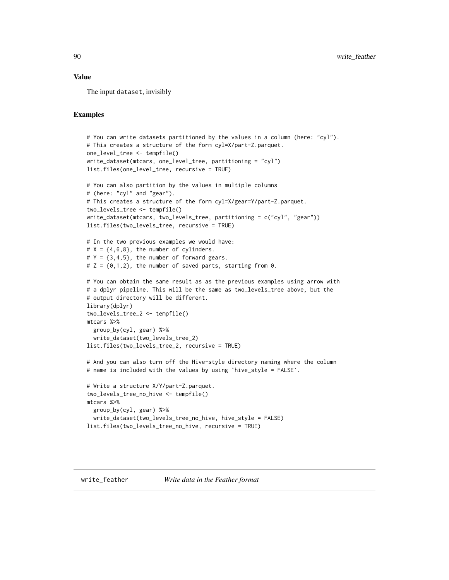#### <span id="page-89-1"></span>Value

The input dataset, invisibly

#### Examples

```
# You can write datasets partitioned by the values in a column (here: "cyl").
# This creates a structure of the form cyl=X/part-Z.parquet.
one_level_tree <- tempfile()
write_dataset(mtcars, one_level_tree, partitioning = "cyl")
list.files(one_level_tree, recursive = TRUE)
# You can also partition by the values in multiple columns
# (here: "cyl" and "gear").
# This creates a structure of the form cyl=X/gear=Y/part-Z.parquet.
two_levels_tree <- tempfile()
write_dataset(mtcars, two_levels_tree, partitioning = c("cyl", "gear"))
list.files(two_levels_tree, recursive = TRUE)
# In the two previous examples we would have:
# X = \{4, 6, 8\}, the number of cylinders.
# Y = \{3, 4, 5\}, the number of forward gears.
# Z = \{0, 1, 2\}, the number of saved parts, starting from 0.
# You can obtain the same result as as the previous examples using arrow with
# a dplyr pipeline. This will be the same as two_levels_tree above, but the
# output directory will be different.
library(dplyr)
two_levels_tree_2 <- tempfile()
mtcars %>%
  group_by(cyl, gear) %>%
  write_dataset(two_levels_tree_2)
list.files(two_levels_tree_2, recursive = TRUE)
# And you can also turn off the Hive-style directory naming where the column
# name is included with the values by using `hive_style = FALSE`.
# Write a structure X/Y/part-Z.parquet.
two_levels_tree_no_hive <- tempfile()
mtcars %>%
  group_by(cyl, gear) %>%
  write_dataset(two_levels_tree_no_hive, hive_style = FALSE)
list.files(two_levels_tree_no_hive, recursive = TRUE)
```
<span id="page-89-0"></span>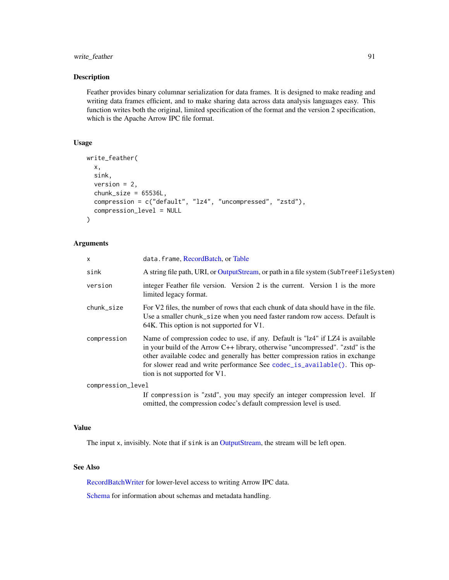# <span id="page-90-0"></span>write\_feather 91

# Description

Feather provides binary columnar serialization for data frames. It is designed to make reading and writing data frames efficient, and to make sharing data across data analysis languages easy. This function writes both the original, limited specification of the format and the version 2 specification, which is the Apache Arrow IPC file format.

# Usage

```
write_feather(
 x,
  sink,
 version = 2,
  chunk_size = 65536L,compression = c("default", "lz4", "uncompressed", "zstd"),
  compression_level = NULL
)
```
#### Arguments

| X                 | data.frame, RecordBatch, or Table                                                                                                                                                                                                                                                                                                                                 |
|-------------------|-------------------------------------------------------------------------------------------------------------------------------------------------------------------------------------------------------------------------------------------------------------------------------------------------------------------------------------------------------------------|
| sink              | A string file path, URI, or OutputStream, or path in a file system (SubTreeFileSystem)                                                                                                                                                                                                                                                                            |
| version           | integer Feather file version. Version 2 is the current. Version 1 is the more<br>limited legacy format.                                                                                                                                                                                                                                                           |
| chunk_size        | For V2 files, the number of rows that each chunk of data should have in the file.<br>Use a smaller chunk_size when you need faster random row access. Default is<br>64K. This option is not supported for V1.                                                                                                                                                     |
| compression       | Name of compression codec to use, if any. Default is "1z4" if LZ4 is available<br>in your build of the Arrow $C++$ library, otherwise "uncompressed". "zstd" is the<br>other available codec and generally has better compression ratios in exchange<br>for slower read and write performance See codec_is_available(). This op-<br>tion is not supported for V1. |
| compression_level |                                                                                                                                                                                                                                                                                                                                                                   |
|                   | If compression is "zstd", you may specify an integer compression level. If<br>omitted, the compression codec's default compression level is used.                                                                                                                                                                                                                 |

# Value

The input x, invisibly. Note that if sink is an [OutputStream,](#page-57-0) the stream will be left open.

# See Also

[RecordBatchWriter](#page-73-0) for lower-level access to writing Arrow IPC data.

[Schema](#page-78-0) for information about schemas and metadata handling.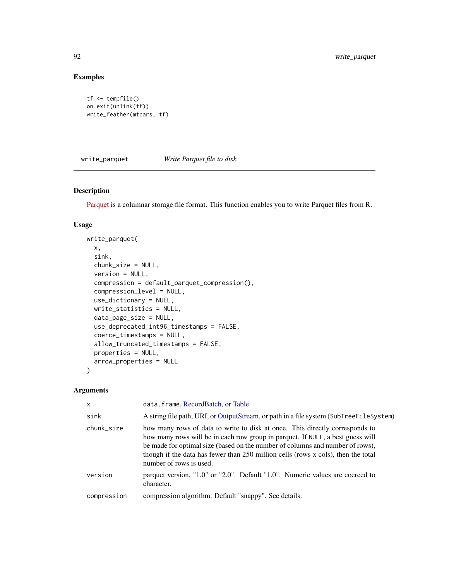# Examples

```
tf <- tempfile()
on.exit(unlink(tf))
write_feather(mtcars, tf)
```
<span id="page-91-0"></span>write\_parquet *Write Parquet file to disk*

# Description

[Parquet](https://parquet.apache.org/) is a columnar storage file format. This function enables you to write Parquet files from R.

# Usage

```
write_parquet(
  x,
  sink,
  chunk_size = NULL,
  version = NULL,
  compression = default_parquet_compression(),
  compression_level = NULL,
  use_dictionary = NULL,
  write_statistics = NULL,
  data_page_size = NULL,
  use_deprecated_int96_timestamps = FALSE,
  coerce_timestamps = NULL,
  allow_truncated_timestamps = FALSE,
 properties = NULL,
  arrow_properties = NULL
\mathcal{L}
```
# Arguments

| $\mathsf{x}$ | data.frame, RecordBatch, or Table                                                                                                                                                                                                                                                                                                                               |
|--------------|-----------------------------------------------------------------------------------------------------------------------------------------------------------------------------------------------------------------------------------------------------------------------------------------------------------------------------------------------------------------|
| sink         | A string file path, URI, or OutputStream, or path in a file system (SubTreeFileSystem)                                                                                                                                                                                                                                                                          |
| chunk_size   | how many rows of data to write to disk at once. This directly corresponds to<br>how many rows will be in each row group in parquet. If NULL, a best guess will<br>be made for optimal size (based on the number of columns and number of rows),<br>though if the data has fewer than 250 million cells (rows x cols), then the total<br>number of rows is used. |
| version      | parquet version, "1.0" or "2.0". Default "1.0". Numeric values are coerced to<br>character.                                                                                                                                                                                                                                                                     |
| compression  | compression algorithm. Default "snappy". See details.                                                                                                                                                                                                                                                                                                           |

<span id="page-91-1"></span>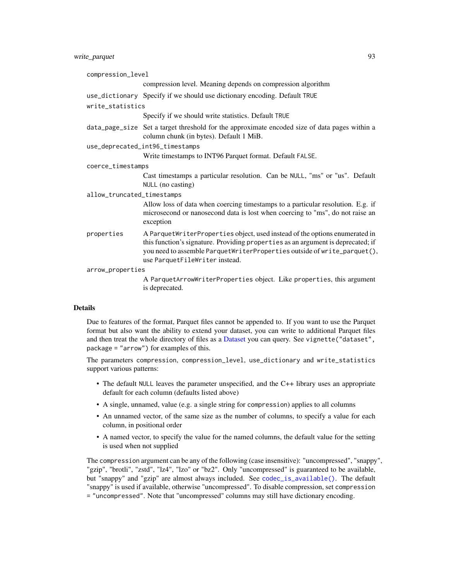# <span id="page-92-0"></span>write\_parquet 93

| compression_level          |                                                                                                                                                                                                                                                                               |
|----------------------------|-------------------------------------------------------------------------------------------------------------------------------------------------------------------------------------------------------------------------------------------------------------------------------|
|                            | compression level. Meaning depends on compression algorithm                                                                                                                                                                                                                   |
|                            | use_dictionary Specify if we should use dictionary encoding. Default TRUE                                                                                                                                                                                                     |
| write_statistics           |                                                                                                                                                                                                                                                                               |
|                            | Specify if we should write statistics. Default TRUE                                                                                                                                                                                                                           |
|                            | data_page_size Set a target threshold for the approximate encoded size of data pages within a<br>column chunk (in bytes). Default 1 MiB.                                                                                                                                      |
|                            | use_deprecated_int96_timestamps                                                                                                                                                                                                                                               |
|                            | Write timestamps to INT96 Parquet format. Default FALSE.                                                                                                                                                                                                                      |
| coerce_timestamps          |                                                                                                                                                                                                                                                                               |
|                            | Cast timestamps a particular resolution. Can be NULL, "ms" or "us". Default<br>NULL (no casting)                                                                                                                                                                              |
| allow_truncated_timestamps |                                                                                                                                                                                                                                                                               |
|                            | Allow loss of data when coercing timestamps to a particular resolution. E.g. if<br>microsecond or nanosecond data is lost when coercing to "ms", do not raise an<br>exception                                                                                                 |
| properties                 | A ParquetWriterProperties object, used instead of the options enumerated in<br>this function's signature. Providing properties as an argument is deprecated; if<br>you need to assemble ParquetWriterProperties outside of write_parquet(),<br>use ParquetFileWriter instead. |
| arrow_properties           |                                                                                                                                                                                                                                                                               |
|                            | A ParquetArrowWriterProperties object. Like properties, this argument<br>is deprecated.                                                                                                                                                                                       |

# **Details**

Due to features of the format, Parquet files cannot be appended to. If you want to use the Parquet format but also want the ability to extend your dataset, you can write to additional Parquet files and then treat the whole directory of files as a [Dataset](#page-28-0) you can query. See vignette ("dataset", package = "arrow") for examples of this.

The parameters compression, compression\_level, use\_dictionary and write\_statistics support various patterns:

- The default NULL leaves the parameter unspecified, and the C++ library uses an appropriate default for each column (defaults listed above)
- A single, unnamed, value (e.g. a single string for compression) applies to all columns
- An unnamed vector, of the same size as the number of columns, to specify a value for each column, in positional order
- A named vector, to specify the value for the named columns, the default value for the setting is used when not supplied

The compression argument can be any of the following (case insensitive): "uncompressed", "snappy", "gzip", "brotli", "zstd", "lz4", "lzo" or "bz2". Only "uncompressed" is guaranteed to be available, but "snappy" and "gzip" are almost always included. See [codec\\_is\\_available\(\)](#page-17-0). The default "snappy" is used if available, otherwise "uncompressed". To disable compression, set compression = "uncompressed". Note that "uncompressed" columns may still have dictionary encoding.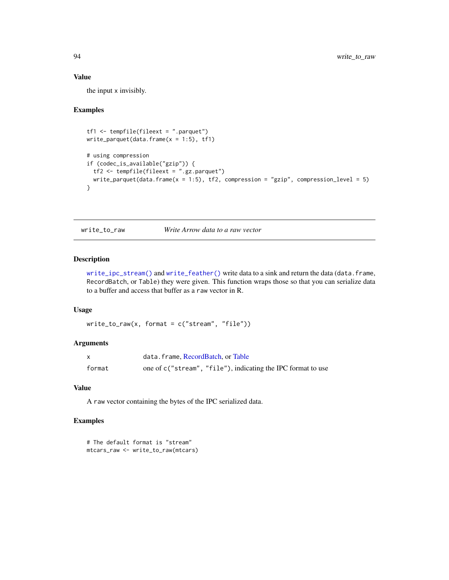#### Value

the input x invisibly.

#### Examples

```
tf1 <- tempfile(fileext = ".parquet")
write\_parent(data-frame(x = 1:5), tf1)# using compression
if (codec_is_available("gzip")) {
 tf2 <- tempfile(fileext = ".gz.parquet")
  write_parquet(data.frame(x = 1:5), tf2, compression = "gzip", compression_level = 5)
}
```
<span id="page-93-0"></span>write\_to\_raw *Write Arrow data to a raw vector*

# Description

[write\\_ipc\\_stream\(\)](#page-85-0) and [write\\_feather\(\)](#page-89-0) write data to a sink and return the data (data.frame, RecordBatch, or Table) they were given. This function wraps those so that you can serialize data to a buffer and access that buffer as a raw vector in R.

# Usage

 $write_to_raw(x, format = c("stream", "file"))$ 

# Arguments

|        | data.frame, RecordBatch, or Table                            |
|--------|--------------------------------------------------------------|
| format | one of c("stream", "file"), indicating the IPC format to use |

#### Value

A raw vector containing the bytes of the IPC serialized data.

#### Examples

```
# The default format is "stream"
mtcars_raw <- write_to_raw(mtcars)
```
<span id="page-93-1"></span>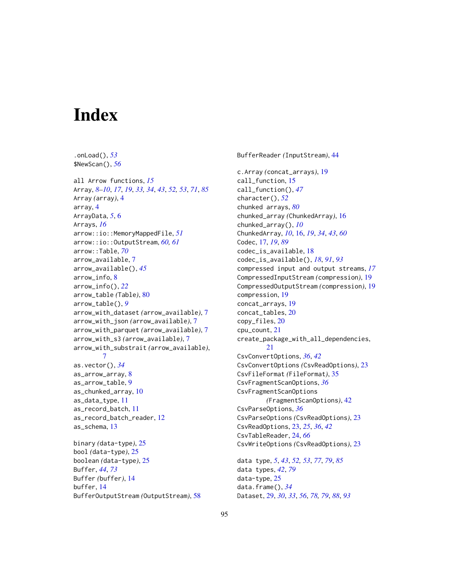# **Index**

.onLoad(), *[53](#page-52-0)*

buffer, [14](#page-13-1)

\$NewScan(), *[56](#page-55-0)* all Arrow functions, *[15](#page-14-0)* Array, *[8](#page-7-0)[–10](#page-9-0)*, *[17](#page-16-1)*, *[19](#page-18-0)*, *[33,](#page-32-3) [34](#page-33-0)*, *[43](#page-42-0)*, *[52,](#page-51-0) [53](#page-52-0)*, *[71](#page-70-1)*, *[85](#page-84-1)* Array *(*array*)*, [4](#page-3-1) array, [4](#page-3-1) ArrayData, *[5](#page-4-0)*, [6](#page-5-0) Arrays, *[16](#page-15-1)* arrow::io::MemoryMappedFile, *[51](#page-50-0)* arrow::io::OutputStream, *[60,](#page-59-0) [61](#page-60-0)* arrow::Table, *[70](#page-69-0)* arrow\_available, [7](#page-6-0) arrow\_available(), *[45](#page-44-0)* arrow\_info, [8](#page-7-0) arrow\_info(), *[22](#page-21-0)* arrow\_table *(*Table*)*, [80](#page-79-1) arrow\_table(), *[9](#page-8-0)* arrow\_with\_dataset *(*arrow\_available*)*, [7](#page-6-0) arrow\_with\_json *(*arrow\_available*)*, [7](#page-6-0) arrow\_with\_parquet *(*arrow\_available*)*, [7](#page-6-0) arrow\_with\_s3 *(*arrow\_available*)*, [7](#page-6-0) arrow\_with\_substrait *(*arrow\_available*)*, [7](#page-6-0) as.vector(), *[34](#page-33-0)* as\_arrow\_array, [8](#page-7-0) as\_arrow\_table, [9](#page-8-0) as\_chunked\_array, [10](#page-9-0) as\_data\_type, [11](#page-10-0) as\_record\_batch, [11](#page-10-0) as\_record\_batch\_reader, [12](#page-11-0) as\_schema, [13](#page-12-0) binary *(*data-type*)*, [25](#page-24-1) bool *(*data-type*)*, [25](#page-24-1) boolean *(*data-type*)*, [25](#page-24-1) Buffer, *[44](#page-43-2)*, *[73](#page-72-0)* Buffer *(*buffer*)*, [14](#page-13-1)

BufferOutputStream *(*OutputStream*)*, [58](#page-57-1)

BufferReader *(*InputStream*)*, [44](#page-43-2) c.Array *(*concat\_arrays*)*, [19](#page-18-0) call\_function, [15](#page-14-0) call\_function(), *[47](#page-46-0)* character(), *[52](#page-51-0)* chunked arrays, *[80](#page-79-1)* chunked\_array *(*ChunkedArray*)*, [16](#page-15-1) chunked\_array(), *[10](#page-9-0)* ChunkedArray, *[10](#page-9-0)*, [16,](#page-15-1) *[19](#page-18-0)*, *[34](#page-33-0)*, *[43](#page-42-0)*, *[60](#page-59-0)* Codec, [17,](#page-16-1) *[19](#page-18-0)*, *[89](#page-88-0)* codec\_is\_available, [18](#page-17-1) codec\_is\_available(), *[18](#page-17-1)*, *[91](#page-90-0)*, *[93](#page-92-0)* compressed input and output streams, *[17](#page-16-1)* CompressedInputStream *(*compression*)*, [19](#page-18-0) CompressedOutputStream *(*compression*)*, [19](#page-18-0) compression, [19](#page-18-0) concat\_arrays, [19](#page-18-0) concat\_tables, [20](#page-19-0) copy\_files, [20](#page-19-0) cpu\_count, [21](#page-20-0) create\_package\_with\_all\_dependencies, [21](#page-20-0) CsvConvertOptions, *[36](#page-35-0)*, *[42](#page-41-1)* CsvConvertOptions *(*CsvReadOptions*)*, [23](#page-22-1) CsvFileFormat *(*FileFormat*)*, [35](#page-34-3) CsvFragmentScanOptions, *[36](#page-35-0)* CsvFragmentScanOptions *(*FragmentScanOptions*)*, [42](#page-41-1) CsvParseOptions, *[36](#page-35-0)* CsvParseOptions *(*CsvReadOptions*)*, [23](#page-22-1) CsvReadOptions, [23,](#page-22-1) *[25](#page-24-1)*, *[36](#page-35-0)*, *[42](#page-41-1)* CsvTableReader, [24,](#page-23-0) *[66](#page-65-0)* CsvWriteOptions *(*CsvReadOptions*)*, [23](#page-22-1) data type, *[5](#page-4-0)*, *[43](#page-42-0)*, *[52,](#page-51-0) [53](#page-52-0)*, *[77](#page-76-0)*, *[79](#page-78-1)*, *[85](#page-84-1)* data types, *[42](#page-41-1)*, *[79](#page-78-1)* data-type, [25](#page-24-1)

data.frame(), *[34](#page-33-0)*

Dataset, [29,](#page-28-1) *[30](#page-29-0)*, *[33](#page-32-3)*, *[56](#page-55-0)*, *[78,](#page-77-0) [79](#page-78-1)*, *[88](#page-87-0)*, *[93](#page-92-0)*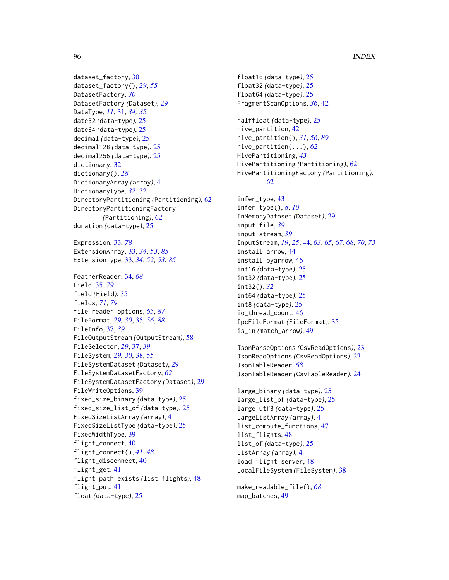# 96 **INDEX**

```
dataset_factory, 30
dataset_factory(), 29, 55
DatasetFactory, 30
DatasetFactory (Dataset), 29
DataType, 11, 31, 34, 35
date32 (data-type), 25
date64 (data-type), 25
decimal (data-type), 25
decimal128 (data-type), 25
decimal256 (data-type), 25
dictionary, 32
dictionary(), 28
DictionaryArray (array), 4
DictionaryType, 32, 32
DirectoryPartitioning (Partitioning), 62
DirectoryPartitioningFactory
        (Partitioning), 62
duration (data-type), 25
Expression, 33, 78
ExtensionArray, 33, 34, 53, 85
ExtensionType, 33, 34, 52, 53, 85
FeatherReader, 34, 68
Field, 35, 79
field (Field), 35
fields, 71, 79
file reader options, 65, 87
FileFormat, 29, 30, 35, 56, 88
FileInfo, 37, 39
FileOutputStream (OutputStream), 58
FileSelector, 29, 37, 39
FileSystem, 29, 30, 38, 55
FileSystemDataset (Dataset), 29
FileSystemDatasetFactory, 62
FileSystemDatasetFactory (Dataset), 29
FileWriteOptions, 39
fixed_size_binary (data-type), 25
fixed_size_list_of (data-type), 25
FixedSizeListArray (array), 4
FixedSizeListType (data-type), 25
FixedWidthType, 39
flight_connect, 40
flight_connect(), 41, 48
flight_disconnect, 40
flight_get, 41
flight_path_exists (list_flights), 48
flight_put, 41
float (data-type), 25
```
float16 *(*data-type*)*, [25](#page-24-1) float32 *(*data-type*)*, [25](#page-24-1) float64 *(*data-type*)*, [25](#page-24-1) FragmentScanOptions, *[36](#page-35-0)*, [42](#page-41-1) halffloat *(*data-type*)*, [25](#page-24-1) hive\_partition, [42](#page-41-1) hive\_partition(), *[31](#page-30-0)*, *[56](#page-55-0)*, *[89](#page-88-0)* hive\_partition(...), *[62](#page-61-1)* HivePartitioning, *[43](#page-42-0)* HivePartitioning *(*Partitioning*)*, [62](#page-61-1) HivePartitioningFactory *(*Partitioning*)*, [62](#page-61-1) infer\_type, [43](#page-42-0) infer\_type(), *[8](#page-7-0)*, *[10](#page-9-0)* InMemoryDataset *(*Dataset*)*, [29](#page-28-1) input file, *[39](#page-38-0)* input stream, *[39](#page-38-0)* InputStream, *[19](#page-18-0)*, *[25](#page-24-1)*, [44,](#page-43-2) *[63](#page-62-0)*, *[65](#page-64-0)*, *[67,](#page-66-1) [68](#page-67-0)*, *[70](#page-69-0)*, *[73](#page-72-0)* install\_arrow, [44](#page-43-2) install\_pyarrow, [46](#page-45-0) int16 *(*data-type*)*, [25](#page-24-1) int32 *(*data-type*)*, [25](#page-24-1) int32(), *[32](#page-31-0)*

int64 *(*data-type*)*, [25](#page-24-1) int8 *(*data-type*)*, [25](#page-24-1) io\_thread\_count, [46](#page-45-0) IpcFileFormat *(*FileFormat*)*, [35](#page-34-3) is\_in *(*match\_arrow*)*, [49](#page-48-0)

JsonParseOptions *(*CsvReadOptions*)*, [23](#page-22-1) JsonReadOptions *(*CsvReadOptions*)*, [23](#page-22-1) JsonTableReader, *[68](#page-67-0)* JsonTableReader *(*CsvTableReader*)*, [24](#page-23-0)

large\_binary *(*data-type*)*, [25](#page-24-1) large\_list\_of *(*data-type*)*, [25](#page-24-1) large\_utf8 *(*data-type*)*, [25](#page-24-1) LargeListArray *(*array*)*, [4](#page-3-1) list\_compute\_functions, [47](#page-46-0) list\_flights, [48](#page-47-0) list\_of *(*data-type*)*, [25](#page-24-1) ListArray *(*array*)*, [4](#page-3-1) load\_flight\_server, [48](#page-47-0) LocalFileSystem *(*FileSystem*)*, [38](#page-37-0)

make\_readable\_file(), *[68](#page-67-0)* map\_batches, [49](#page-48-0)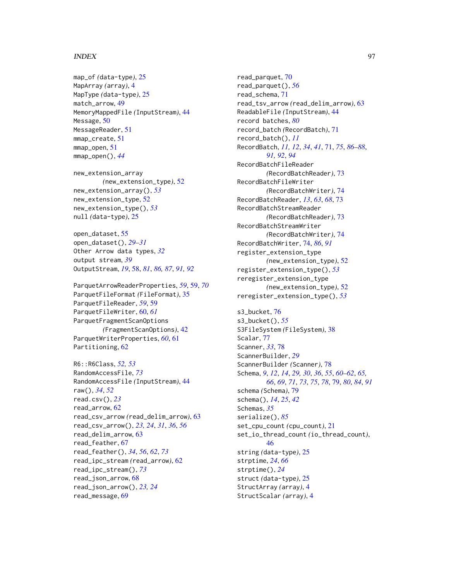#### INDEX  $\sim$  97

map\_of *(*data-type*)*, [25](#page-24-1) MapArray *(*array*)*, [4](#page-3-1) MapType *(*data-type*)*, [25](#page-24-1) match\_arrow, [49](#page-48-0) MemoryMappedFile *(*InputStream*)*, [44](#page-43-2) Message, [50](#page-49-0) MessageReader, [51](#page-50-0) mmap\_create, [51](#page-50-0) mmap\_open, [51](#page-50-0) mmap\_open(), *[44](#page-43-2)*

new\_extension\_array *(*new\_extension\_type*)*, [52](#page-51-0) new\_extension\_array(), *[53](#page-52-0)* new\_extension\_type, [52](#page-51-0) new\_extension\_type(), *[53](#page-52-0)* null *(*data-type*)*, [25](#page-24-1)

```
open_dataset, 55
open_dataset(), 29–31
Other Arrow data types, 32
output stream, 39
OutputStream, 19, 58, 81, 86, 87, 91, 92
```
ParquetArrowReaderProperties, *[59](#page-58-0)*, [59,](#page-58-0) *[70](#page-69-0)* ParquetFileFormat *(*FileFormat*)*, [35](#page-34-3) ParquetFileReader, *[59](#page-58-0)*, [59](#page-58-0) ParquetFileWriter, [60,](#page-59-0) *[61](#page-60-0)* ParquetFragmentScanOptions *(*FragmentScanOptions*)*, [42](#page-41-1) ParquetWriterProperties, *[60](#page-59-0)*, [61](#page-60-0) Partitioning, [62](#page-61-1)

```
R6::R6Class, 52, 53
RandomAccessFile, 73
RandomAccessFile (InputStream), 44
raw(), 34, 52
read.csv(), 23
read_arrow, 62
read_csv_arrow (read_delim_arrow), 63
read_csv_arrow(), 23, 24, 31, 36, 56
read_delim_arrow, 63
read_feather, 67
read_feather(), 34, 56, 62, 73
read_ipc_stream (read_arrow), 62
read_ipc_stream(), 73
read_json_arrow, 68
read_json_arrow(), 23, 24
read_message, 69
```
read\_parquet, [70](#page-69-0) read\_parquet(), *[56](#page-55-0)* read\_schema, [71](#page-70-1) read\_tsv\_arrow *(*read\_delim\_arrow*)*, [63](#page-62-0) ReadableFile *(*InputStream*)*, [44](#page-43-2) record batches, *[80](#page-79-1)* record\_batch *(*RecordBatch*)*, [71](#page-70-1) record\_batch(), *[11](#page-10-0)* RecordBatch, *[11,](#page-10-0) [12](#page-11-0)*, *[34](#page-33-0)*, *[41](#page-40-0)*, [71,](#page-70-1) *[75](#page-74-0)*, *[86](#page-85-1)[–88](#page-87-0)*, *[91,](#page-90-0) [92](#page-91-1)*, *[94](#page-93-1)* RecordBatchFileReader *(*RecordBatchReader*)*, [73](#page-72-0) RecordBatchFileWriter *(*RecordBatchWriter*)*, [74](#page-73-1) RecordBatchReader, *[13](#page-12-0)*, *[63](#page-62-0)*, *[68](#page-67-0)*, [73](#page-72-0) RecordBatchStreamReader *(*RecordBatchReader*)*, [73](#page-72-0) RecordBatchStreamWriter *(*RecordBatchWriter*)*, [74](#page-73-1) RecordBatchWriter, [74,](#page-73-1) *[86](#page-85-1)*, *[91](#page-90-0)* register\_extension\_type *(*new\_extension\_type*)*, [52](#page-51-0) register\_extension\_type(), *[53](#page-52-0)* reregister\_extension\_type *(*new\_extension\_type*)*, [52](#page-51-0) reregister\_extension\_type(), *[53](#page-52-0)*

s3\_bucket, [76](#page-75-0) s3\_bucket(), *[55](#page-54-0)* S3FileSystem *(*FileSystem*)*, [38](#page-37-0) Scalar, [77](#page-76-0) Scanner, *[33](#page-32-3)*, [78](#page-77-0) ScannerBuilder, *[29](#page-28-1)* ScannerBuilder *(*Scanner*)*, [78](#page-77-0) Schema, *[9](#page-8-0)*, *[12](#page-11-0)*, *[14](#page-13-1)*, *[29,](#page-28-1) [30](#page-29-0)*, *[36](#page-35-0)*, *[55](#page-54-0)*, *[60](#page-59-0)[–62](#page-61-1)*, *[65,](#page-64-0) [66](#page-65-0)*, *[69](#page-68-0)*, *[71](#page-70-1)*, *[73](#page-72-0)*, *[75](#page-74-0)*, *[78](#page-77-0)*, [79,](#page-78-1) *[80](#page-79-1)*, *[84](#page-83-0)*, *[91](#page-90-0)* schema *(*Schema*)*, [79](#page-78-1) schema(), *[14](#page-13-1)*, *[25](#page-24-1)*, *[42](#page-41-1)* Schemas, *[35](#page-34-3)* serialize(), *[85](#page-84-1)* set\_cpu\_count *(*cpu\_count*)*, [21](#page-20-0) set\_io\_thread\_count *(*io\_thread\_count*)*, [46](#page-45-0) string *(*data-type*)*, [25](#page-24-1) strptime, *[24](#page-23-0)*, *[66](#page-65-0)* strptime(), *[24](#page-23-0)* struct *(*data-type*)*, [25](#page-24-1) StructArray *(*array*)*, [4](#page-3-1) StructScalar *(*array*)*, [4](#page-3-1)